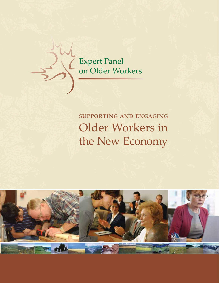Expert Panel on Older Workers

# supporting and engaging Older Workers in the New Economy

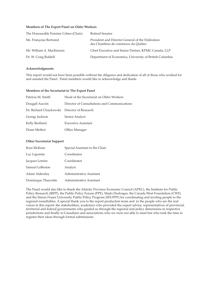#### **Members of The Expert Panel on Older Workers**

| President and Director General of the Fédération<br>Ms. Françoise Bertrand       |  |
|----------------------------------------------------------------------------------|--|
| des Chambres de commerce du Québec                                               |  |
| Chief Executive and Senior Partner, KPMG Canada, LLP<br>Mr. William A. MacKinnon |  |
| Department of Economics, University of British Columbia<br>Dr. W. Craig Riddell  |  |

#### **Acknowledgments**

This report would not have been possible without the diligence and dedication of all of those who worked for and assisted the Panel. Panel members would like to acknowledge and thank:

#### **Members of the Secretariat to The Expert Panel**

| Patricia M. Smith                           | Head of the Secretariat on Older Workers     |
|---------------------------------------------|----------------------------------------------|
| Dougall Aucoin                              | Director of Consultations and Communications |
| Dr. Richard Chaykowski Director of Research |                                              |
| George Jackson                              | Senior Analyst                               |
| Kelly Bestland                              | <b>Executive Assistant</b>                   |
| Diane Methot                                | Office Manager                               |

#### **Other Secretariat Support**

| Ross McKean         | Special Assistant to the Chair |
|---------------------|--------------------------------|
| Luc Lapointe        | Coordinator                    |
| Jacques Lemire      | Coordinator                    |
| Samuel LeBreton     | Analyst                        |
| Adam Aldersley      | Administrative Assistant       |
| Dominique Thauvette | Administrative Assistant       |

The Panel would also like to thank the Atlantic Province Economic Council (APEC), the Institute for Public Policy Research (IRPP), the Public Policy Forum (PPF), Mado Desforges, the Canada West Foundation (CWF) and the Simon Fraser University Public Policy Program (SFUPPP) for coordinating and inviting people to the regional roundtables. A special thank you to the report production team and to the people who are the real voices in this report: the stakeholders, academics who provided the expert advice, representatives of provincial, territorial and federal governments who guided us through the regional and policy dimensions in respective jurisdictions and finally to Canadians and associations who we were not able to meet but who took the time to register their ideas through formal submissions.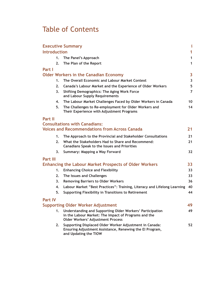# Table of Contents

| <b>Executive Summary</b> |                                                                                                                                                               |                         |  |  |
|--------------------------|---------------------------------------------------------------------------------------------------------------------------------------------------------------|-------------------------|--|--|
| <b>Introduction</b>      |                                                                                                                                                               | 1                       |  |  |
| 1.                       | The Panel's Approach                                                                                                                                          | 1                       |  |  |
| 2.                       | The Plan of the Report                                                                                                                                        | 1                       |  |  |
| Part I                   |                                                                                                                                                               |                         |  |  |
|                          | <b>Older Workers in the Canadian Economy</b>                                                                                                                  | 3                       |  |  |
| 1.                       | The Overall Economic and Labour Market Context                                                                                                                | $\overline{\mathbf{3}}$ |  |  |
| 2.                       | Canada's Labour Market and the Experience of Older Workers                                                                                                    |                         |  |  |
| 3 <sub>1</sub>           | <b>Shifting Demographics: The Aging Work Force</b><br>and Labour Supply Requirements                                                                          | $\overline{7}$          |  |  |
| 4.                       | The Labour Market Challenges Faced by Older Workers in Canada                                                                                                 | 10                      |  |  |
| 5.                       | The Challenges to Re-employment for Older Workers and<br>Their Experience with Adjustment Programs                                                            | 14                      |  |  |
| Part II                  |                                                                                                                                                               |                         |  |  |
|                          | <b>Consultations with Canadians:</b>                                                                                                                          |                         |  |  |
|                          | <b>Voices and Recommendations from Across Canada</b>                                                                                                          | 21                      |  |  |
| 1.                       | The Approach to the Provincial and Stakeholder Consultations                                                                                                  | 21                      |  |  |
| 2.                       | What the Stakeholders Had to Share and Recommend:<br><b>Canadians Speak to the Issues and Priorities</b>                                                      | 21                      |  |  |
| 3.                       | Summary: Mapping a Way Forward                                                                                                                                | 32                      |  |  |
| <b>Part III</b>          |                                                                                                                                                               |                         |  |  |
|                          | <b>Enhancing the Labour Market Prospects of Older Workers</b>                                                                                                 | 33                      |  |  |
| 1.                       | <b>Enhancing Choice and Flexibility</b>                                                                                                                       | 33                      |  |  |
| 2.                       | The Issues and Challenges                                                                                                                                     | 33                      |  |  |
| 3.                       | <b>Removing Barriers to Older Workers</b>                                                                                                                     | 36                      |  |  |
| 4.                       | Labour Market "Best Practices": Training, Literacy and Lifelong Learning                                                                                      | 40                      |  |  |
| 5.                       | <b>Supporting Flexibility in Transitions to Retirement</b>                                                                                                    | 44                      |  |  |
| <b>Part IV</b>           |                                                                                                                                                               |                         |  |  |
|                          | <b>Supporting Older Worker Adjustment</b>                                                                                                                     | 49                      |  |  |
| 1.                       | Understanding and Supporting Older Workers' Participation<br>in the Labour Market: The Impact of Programs and the<br><b>Older Workers' Adjustment Process</b> | 49                      |  |  |
| 2.                       | Supporting Displaced Older Worker Adjustment in Canada:<br>Ensuring Adjustment Assistance, Renewing the El Program,<br>and Updating the TIOW                  | 52                      |  |  |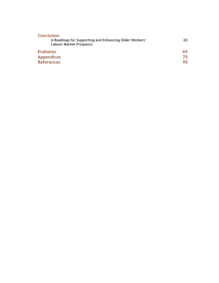| <b>Conclusion</b>                                                                       |     |
|-----------------------------------------------------------------------------------------|-----|
| A Roadmap for Supporting and Enhancing Older Workers'<br><b>Labour Market Prospects</b> | 65  |
| <b>Endnotes</b>                                                                         | 69  |
| <b>Appendices</b>                                                                       | 75. |
| <b>References</b>                                                                       | 95. |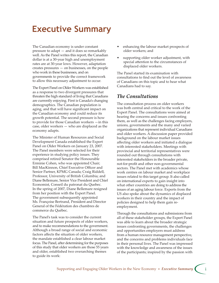# **Executive Summary**

The Canadian economy is under constant pressure to adapt — and it does so remarkably well. As the Panel writes this report, the Canadian dollar is at a 30-year high and unemployment rates are at 30-year lows. However, adaptation creates pressures — on businesses, on the people who work in these businesses, and on governments to provide the correct framework to allow this necessary adjustment to occur.

The Expert Panel on Older Workers was established as a response to two divergent pressures that threaten the high standard of living that Canadians are currently enjoying. First is Canada's changing demographics. The Canadian population is aging, and that will have significant impact on the Canadian economy and could reduce its growth potential. The second pressure is how to provide for those Canadian workers —in this case, older workers — who are displaced as the economy adapts.

The Minister of Human Resources and Social Development Canada established the Expert Panel on Older Workers on January 23, 2007. The Panel members were selected for their experience in studying policy issues. They comprised retired Senator the Honourable Erminie Cohen, who was appointed Chair; Bill MacKinnon, Chief Executive Officer and Senior Partner, KPMG Canada; Craig Riddell, Professor, University of British Columbia; and Diane Bellemare, Senior Vice President and Chief Economist, Conseil du patronat du Quebec. In the spring of 2007, Diane Bellemare resigned from her position with the Expert Panel. The government subsequently appointed Ms. Françoise Bertrand, President and Director General of the Fédération des chambres de commerce du Québec.

The Panel's task was to consider the current situation and future prospects of older workers, and to make recommendations to the government. Although a broad range of social and economic factors affects the situation of older workers, the mandate established a clear labour market focus. The Panel, after determining for the purposes of this study that older workers are those 55 years and older, established two overarching themes to guide its work:

- enhancing the labour market prospects of older workers; and
- supporting older worker adjustment, with special attention to the circumstances of displaced older workers.

The Panel started its examination with consultations to find out the level of awareness of Canadians on this topic and to hear what Canadians had to say.

# *The Consultations*

The consultation process on older workers was both central and critical to the work of the Expert Panel. The consultations were aimed at hearing the concerns and issues confronting them, as well as the challenges facing employers, unions, governments and the many and varied organizations that represent individual Canadians and older workers. A discussion paper provided background on the labour market issues affecting older workers and initiated a dialogue with interested stakeholders. Meetings with provincial and territorial representatives were rounded out through consultations with interested stakeholders in the broader private, not-for-profit and other non-governmental sectors. The Panel met with academics whose work centres on labour market and workplace issues related to this target group. It also called on international experts to gain insight into what other countries are doing to address the issues of an aging labour force. Experts from the US also spoke about the dynamics of displaced workers in their country and the impact of policies designed to help them gain reemployment.

Through the consultations and submissions from all of these stakeholder groups, the Expert Panel was able to learn about the broader strategic issues confronting governments, the challenges and opportunities employers must address from a human resource management perspective, and the concerns and problems individuals face in their personal lives. The Panel was impressed with the knowledge and awareness of the issues of the participants; inspired by the passion with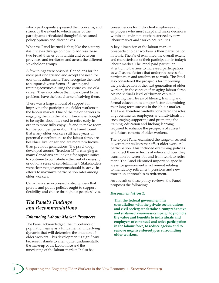which participants expressed their concerns; and struck by the extent to which many of the participants articulated thoughtful, reasoned policy options and alternatives.

What the Panel learned is that, like the country itself, views diverge on how to address these two broad themes both within and between provinces and territories and across the different stakeholder groups.

A few things were obvious. Canadians for the most part understand and accept the need for economic adjustment. They recognize the need to support diverse forms of learning and training activities during the entire course of a career. They also believe that those closest to the problems have the best chance of solving them.

There was a large amount of support for improving the participation of older workers in the labour market. One of the major barriers to engaging them in the labour force was thought to be myths about the need to retire early in order to more fully enjoy life and to make room for the younger generation. The Panel found that many older workers still have years of potential contributions to the labour force, are healthier, live longer and are more productive than previous generations. The psychology developed around "freedom 55" is changing as many Canadians are looking for opportunities to continue to contribute either out of necessity or out of a sense of self-fulfillment. Stakeholders were clear that governments should be active in efforts to maximize participation rates among older workers.

Canadians also expressed a strong view that private and public policies ought to support flexibility and choice throughout people's lives.

### *The Panel's Findings and Recommendations*

### *Enhancing Labour Market Prospects*

The Panel acknowledged the importance of population aging as a fundamental underlying dynamic that will determine the situation of older workers. This development is significant because it stands to alter, quite fundamentally, the make-up of the labour force and the functioning of the labour market. It also has

consequences for individual employees and employers who must adapt and make decisions within an environment characterized by new labour market and workplace realities.

A key dimension of the labour market prospects of older workers is their participation in work. The Panel examined the overall extent and characteristics of their participation in today's labour market. The Panel paid particular attention to barriers to increased participation as well as the factors that underpin successful participation and attachment to work. The Panel also considered the prospects for improving the participation of the next generation of older workers, in the context of an aging labour force. An individual's level of "human capital," including their levels of literacy, training and formal education, is a major factor determining their long-term success in the labour market. The Panel therefore carefully considered the roles of governments, employers and individuals in encouraging, supporting and promoting the training, education and lifelong learning required to enhance the prospects of current and future cohorts of older workers.

The Expert Panel examined the range of current government policies that affect older workers' participation. This included examining policies that affect them in terms of when and how they transition between jobs and from work to retirement. The Panel identified important, specific areas for government involvement relating to mandatory retirement, pensions and new transition approaches to retirement.

As a result of these policy reviews, the Panel proposes the following:

#### *Recommendation 1:*

**That the federal government, in consultation with the private sector, unions and civil society, undertake a comprehensive and sustained awareness campaign to promote the value and benefits to individuals and employers of continued and active participation in the labour force, to reduce ageism and to remove negative stereotypes surrounding older workers.**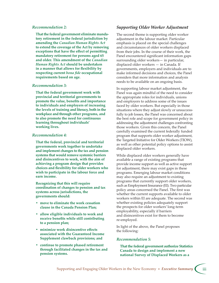#### *Recommendation 2:*

**That the federal government eliminate mandatory retirement in the federal jurisdiction by amending the** *Canadian Human Rights Act* **to extend the coverage of the Act by removing exceptions that have the effect of permiing mandatory retirement for persons aged 65 and older. This amendment of the** *Canadian Human Rights Act* **should be undertaken in a manner that allows for flexibility by respecting current** *bona fide* **occupational requirements based on age.**

#### *Recommendation 3:*

**That the federal government work with provincial and territorial governments to promote the value, benefits and importance to individuals and employers of increasing the levels of training and literacy, both in the workplace and through other programs, and to also promote the need for continuous learning throughout individuals' working lives.**

#### *Recommendation 4:*

**That the federal, provincial and territorial governments work together to undertake and implement changes to the tax and pension systems that would remove systemic barriers and disincentives to work, with the aim of achieving a program design that provides choices and flexibility for older workers who wish to participate in the labour force and earn income.**

**Recognizing that this will require coordination of changes to pension and tax systems across jurisdictions, the governments should:**

- **move to eliminate the work cessation clause in the Canada Pension Plan;**
- **allow eligible individuals to work and receive benefits while still contributing to a pension plan;**
- **minimize work disincentive effects associated with the Guaranteed Income Supplement clawback provisions; and**
- **continue to promote phased retirement through facilitated changes in the tax and pension systems.**

### *Supporting Older Worker Adjustment*

The second theme is supporting older worker adjustment in the labour market. Particular emphasis is placed on the special challenges and circumstances of older workers displaced from their jobs. In the course of their work, the Panel encountered significant information gaps surrounding older workers— in particular, displaced older workers — in Canada. If governments, employers and individuals are to make informed decisions and choices, the Panel considers that more information and analysis needs to be available on an ongoing basis.

In supporting labour market adjustment, the Panel was again mindful of the need to consider the appropriate roles for individuals, unions and employers to address some of the issues faced by older workers. But especially in those situations where they adjust slowly or unsuccessfully to job losses, the Panel was concerned about the best role and scope for government policy in addressing the adjustment challenges confronting those workers. Given this concern, the Panel carefully examined the current federally funded program that supports older worker adjustment, the Targeted Initiative for Older Workers (TIOW), as well as other potential policy options to assist displaced older workers.

While displaced older workers generally have available a range of existing programs that provide income support as well as active support for adjustment, there may exist gaps in these programs. Emerging labour market conditions may also require an adjustment to existing programs that currently support older workers, such as Employment Insurance (EI). Two particular policy areas concerned the Panel. The first was whether the current supports available to older workers within EI are adequate. The second was whether existing policies adequately support the prospects for older workers' long-term employability, especially if barriers and disincentives exist for them to become re-employed.

In light of the above, the Panel proposes the following:

#### *Recommendation 5:*

**That the federal government authorize Statistics Canada to design and implement a new national Survey of Displaced Workers as a**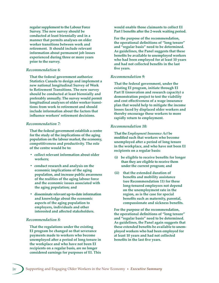**regular supplement to the Labour Force Survey. The new survey should be conducted at least biennially and in a manner that permits analyses on older worker transitions between work and retirement. It should include relevant information about permanent job losses experienced during three or more years prior to the survey.**

#### *Recommendation 6:*

**That the federal government authorize Statistics Canada to design and implement a new national longitudinal Survey of Work to Retirement Transitions. The new survey should be conducted at least biennially and preferably annually. The survey would permit longitudinal analyses of older worker transitions from work to retirement and should include information about the factors that influence workers' retirement decisions.**

#### *Recommendation 7:*

**That the federal government establish a centre for the study of the implications of the aging population on the labour market, the economy, competitiveness and productivity. The role of the centre would be to:**

- **collect relevant information about older workers;**
- **conduct research and analysis on the economic implications of the aging population, and increase public awareness of the realities of the aging labour force and the economic issues associated with the aging population; and**
- **disseminate relevant up-to-date information and knowledge about the economic aspects of the aging population to employers, individuals and other interested and affected stakeholders.**

#### *Recommendation 8:*

**That the regulations under the existing EI program be changed so that severance payments made to workers who become unemployed after a period of long tenure in the workplace and who have not been EI recipients on a regular basis, are no longer considered earnings for purposes of EI. This** 

**would enable those claimants to collect EI**  Part I benefits after the 2-week waiting period.

**For the purpose of the recommendation, the operational definitions of "long tenure" and "regular basis" need to be determined. As guidelines, the Panel suggests that these benefits be available to unemployed workers who had been employed for at least 10 years and had not collected benefits in the last five years.**

#### *Recommendation 9:*

**That the federal government, under the existing EI program, initiate through EI Part II (innovation and research capacity) a demonstration project to test the viability and cost effectiveness of a wage insurance plan that would help to mitigate the income losses faced by displaced older workers and thereby encourage these workers to more rapidly return to employment.**

#### *Recommendation 10:*

**That the** *Employment Insurance Act* **be modified such that workers who become unemployed after a period of long tenure in the workplace, and who have not been EI recipients on a regular basis:**

- **(i) be eligible to receive benefits for longer than they are eligible to receive them under the current program; and**
- **(ii) that the extended duration of benefits and mobility assistance (see Recommendation 11) for these long-tenured employees not depend on the unemployment rate in the region, as is the case for special benefits such as maternity, parental, compassionate and sickness benefits.**

**For the purpose of the recommendation, the operational definitions of "long tenure" and "regular basis" need to be determined. As guidelines, the Panel again suggests that these extended benefits be available to unemployed workers who had been employed for at least 10 years and had not collected benefits in the last five years.**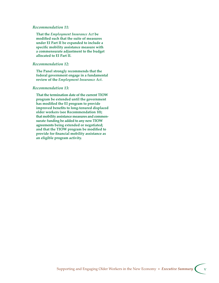#### *Recommendation 11:*

**That the** *Employment Insurance Act* **be modified such that the suite of measures under EI Part II be expanded to include a specific mobility assistance measure with a commensurate adjustment to the budget allocated to EI Part II.**

#### *Recommendation 12:*

**The Panel strongly recommends that the federal government engage in a fundamental review of the** *Employment Insurance Act***.**

#### *Recommendation 13:*

**That the termination date of the current TIOW program be extended until the government has modified the EI program to provide improved benefits to long-tenured displaced older workers (see Recommendation 10); that mobility assistance measures and commensurate funding be added to any new TIOW agreements being extended or negotiated; and that the TIOW program be modified to provide for financial mobility assistance as an eligible program activity.**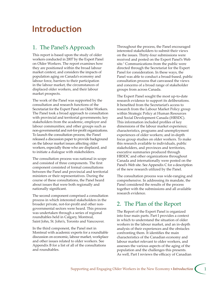# **Introduction**

# 1. The Panel's Approach

This report is based upon the study of older workers conducted in 2007 by the Expert Panel on Older Workers. The report examines how they are positioned within the broad labour market context, and considers the impacts of population aging on Canada's economy and labour force, barriers to their participation in the labour market, the circumstances of displaced older workers, and their labour market prospects.

The work of the Panel was supported by the consultation and research functions of the Secretariat for the Expert Panel on Older Workers. The Panel took a broad approach to consultation with provincial and territorial governments; key stakeholders from the academic, employer and labour communities; and other groups such as non-governmental and not-for-profit organizations. To launch the consultation process, the Panel released a discussion paper to provide background on the labour market issues affecting older workers, especially those who are displaced, and to initiate a dialogue with stakeholders.

The consultation process was national in scope and consisted of three components. The first component consisted of formal consultations between the Panel and provincial and territorial ministers or their representatives. During the course of these consultations, the Panel heard about issues that were both regionally and nationally significant.

The second component comprised a consultation process in which interested stakeholders in the broader private, not-for-profit and other nongovernmental sectors were heard. This process was undertaken through a series of regional roundtables held in Calgary, Montreal, Saint John, St. John's, Toronto and Vancouver.

In the third component, the Panel met in Montreal with academic experts for a roundtable discussion on economic, labour market, workplace and other issues related to older workers. See Appendix B for a list of all of the consultations and roundtables.

Throughout the process, the Panel encouraged interested stakeholders to submit their views on the issues. Thirty-four submissions were received and posted on the Expert Panel's Web site.<sup>1</sup> Communications from the public were directed through the Secretariat for the Expert Panel for consideration. In these ways, the Panel was able to conduct a broad-based, public consultation process that canvassed the views and concerns of a broad range of stakeholder groups from across Canada.

The Expert Panel sought the most up-to-date research evidence to support its deliberations. It benefited from the Secretariat's access to research from the Labour Market Policy group within Strategic Policy at Human Resources and Social Development Canada (HRSDC). This information included profiles of key dimensions of the labour market experience; characteristics, programs and unemployment experiences of older workers; and in-depth focus group studies on older workers. To make this research available to individuals, public stakeholders, and provinces and territories, executive summaries produced through HRSDC and other organizations throughout Canada and internationally were posted on the Panel's Web site. See Appendix C for a description of the new research utilized by the Panel.

The consultation process was wide-ranging and comprehensive. In addressing its mandate, the Panel considered the results of the process together with the submissions and all available research evidence.

# 2. The Plan of the Report

The Report of the Expert Panel is organized into four main parts. Part I provides a context in which to understand the situation of older workers in the labour market, and an in-depth analysis of their experiences and the obstacles confronting them. It identifies the main characteristics of the Canadian economy and labour market relevant to older workers, and assesses the various aspects of the aging of the population and the challenges this presents. As well, Part I reviews the efficacy of Canadian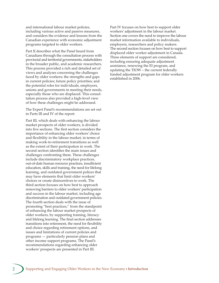and international labour market policies, including various active and passive measures, and considers the evidence and lessons from the Canadian experience with economic adjustment programs targeted to older workers.

Part II describes what the Panel heard from Canadians through the consultation process with provincial and territorial governments, stakeholders in the broader public, and academic researchers. This process provided a rich and detailed set of views and analyses concerning the challenges faced by older workers; the strengths and gaps in current policies; future policy priorities; and the potential roles for individuals, employers, unions and governments in meeting their needs, especially those who are displaced. This consultation process also provided a high-level view of how these challenges might be addressed.

The Expert Panel's recommendations are set out in Parts III and IV of the report.

Part III, which deals with enhancing the labour market prospects of older workers, is divided into five sections. The first section considers the importance of enhancing older workers' choice and flexibility in the labour market, in terms of making work-to-retirement transitions as well as the extent of their participation in work. The second section identifies the main issues and challenges confronting them. These challenges include discriminatory workplace practices, out-of-date human resource practices, insufficient education, skills and training, the need for lifelong learning, and outdated government polices that may have elements that limit older workers' choices or create disincentives to work. The third section focuses on how best to approach removing barriers to older workers' participation and success in the labour market, including age discrimination and outdated government policies. The fourth section deals with the issue of promoting "best practices," from the standpoint of enhancing the labour market prospects of older workers, by supporting training, literacy and lifelong learning. The final section addresses transitions into retirement, the need for flexibility and choice regarding retirement options, and issues and limitations of current policies and programs — particularly pension plans and other income support programs. The Panel's recommendations regarding enhancing older workers' prospects are presented in Part III.

Part IV focuses on how best to support older workers' adjustment in the labour market. Section one covers the need to improve the labour market information available to individuals, employers, researchers and policy makers. The second section focuses on how best to support displaced older worker adjustment in Canada. Three elements of support are considered, including ensuring adequate adjustment assistance, renewing the EI program, and updating the TIOW – the current federally funded adjustment program for older workers established in 2006.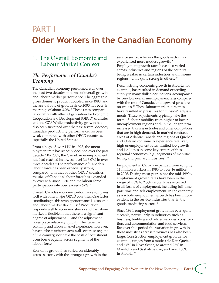# PART I**Older Workers in the Canadian Economy**

# 1. The Overall Economic and Labour Market Context

# *The Performance of Canada's Economy*

The Canadian economy performed well over the past two decades in terms of overall growth and labour market performance. The aggregate gross domestic product doubled since 1980, and the annual rate of growth since 2000 has been in the range of about 3.0%. 2 These rates compare favourably with other Organisation for Economic Cooperation and Development (OECD) countries and the G7.<sup>3</sup> While productivity growth has also been sustained over the past several decades, Canada's productivity performance has been weak compared with other OECD countries, especially the United States. 4

From a high of over 11% in 1993, the unemployment rate has steadily declined over the past decade. 5 By 2007, the Canadian unemployment rate had reached its lowest level (at 6.0%) in over three decades. 6 The performance of Canada's labour force has been especially strong compared with that of other OECD countries: the size of Canada's labour force has expanded by over 45% since 1980, and the labour force participation rate now exceeds 67%. 7

Overall, Canada's economic performance compares well with other major OECD countries. One factor contributing to this strong performance is economic and labour market flexibility. 8 Production responds well to economic shocks and the labour market is flexible in that there is a significant degree of adjustment — and the adjustment takes place relatively quickly. The Canadian economy and labour market experience, however, have not been uniform across all sectors or regions of the country, nor have the costs of adjustment been borne equally across segments of the labour force.

Economic growth has varied considerably across sectors, with the strongest growth in the service sector, whereas the goods sector has experienced more modest growth.<sup>9</sup> Employment growth rates have also varied across industries and regions of the country, being weaker in certain industries and in some regions, while quite strong in others. 10

Recent strong economic growth in Alberta, for example, has resulted in demand exceeding supply in many skilled occupations, accompanied by very low overall unemployment rates compared with the rest of Canada, and upward pressure on wages. 11 These labour market outcomes have resulted in pressures for "upside" adjustments. These adjustments typically take the form of labour mobility from higher to lower unemployment regions and, in the longer term, increased training in trades and other occupations that are in high demand. In marked contrast, areas of Atlantic Canada and regions of Quebec and Ontario continue to experience relatively high unemployment rates, limited job growth and job losses in some key sectors of these regional economies (e.g., segments of manufacturing and primary industries).<sup>12</sup>

Employment in Canada expanded from roughly 11 million workers in 1980 to over 16 million in 2006. During most years since the mid-1990s, employment growth rates have been in the range of 2.0% to 2.5%. Growth has occurred in all forms of employment, including full-time, part-time and self-employment. In the economy as a whole, employment growth has been more evident in the service industries than in the goods-producing sector. 13

Since 1990, employment growth has been quite sizeable, particularly in industries such as business, building and related services, construction, and accommodation and food services. But over this period the variation in growth in these industries across provinces has also been large. Construction employment growth, for example, ranges from a modest 4.6% in Quebec and 6.6% in Nova Scotia, to around 26% in Manitoba and Saskatchewan, and over 100% in Alberta. 14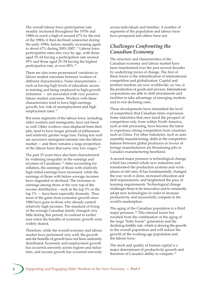The overall labour force participation rate steadily increased throughout the 1970s and 1980s to reach a high of around 67% by the end of the 1980s; it then declined somewhat during the early 1990s, before steadily increasing again to about 67% during 2003–2007.<sup>15</sup> Labour force participation rates also vary by age, with those aged 55–64 having a participation rate around 59% and those aged 25–54 having the highest participation rate, at over 80%. 16

There are also some pronounced variations in labour market outcomes between workers of different characteristics. Some characteristics such as having high levels of education, access to training and being employed in high-growth industries — are associated with very positive labour market outcomes. Workers with these characteristics tend to have high earnings growth, low risk of unemployment and high employment rates.<sup>17</sup>

But some segments of the labour force, including older workers and immigrants, have not fared so well. Older workers, once displaced from their jobs, tend to have longer periods of joblessness and relatively greater wage loss. Faring less well are successive immigrant entrants into the labour market — and there remains a large proportion of the labour force that earns very low wages.<sup>18</sup>

The past 25 years have also been characterized by widening inequality in the earnings and incomes of Canadians.<sup>19</sup> After accounting for inflation, the earnings of those with relatively high initial earnings have increased, while the earnings of those with below-average incomes have stagnated or declined. The increases in earnings among those at the very top of the income distribution – such as the top 5% or the top  $1\%$  — have been especially dramatic. Thus most of the gains from economic growth since 1980 have gone to those who already earned relatively high incomes. The standard of living of the average Canadian family changed very little during this period, in contrast to earlier eras when the benefits of economic growth were widely shared.

Therefore, while the overall economy and labour market have performed very well, the growth and the benefits of growth have not been uniformly distributed. Economic and employment growth has occurred unevenly across regions and industries, and income growth has occurred unevenly across individuals and families. A number of segments of the population and labour force have prospered and others have not.

### *Challenges Confronting the Canadian Economy*

The structure and characteristics of the Canadian economy and labour market have been transformed over the past several decades by underlying forces of change. The first of these forces is the intensification of international competition and globalization. Capital and product markets are now worldwide; so, too, is the production of goods and services. International corporations are able to shift investments and facilities to take advantage of emerging markets and to exit declining ones.

These developments have intensified the level of competition that Canadian firms experience. Some industries that once faced the prospect of competition only from within North America, such as fish processing, have become the latest to experience strong competition from countries such as China. For other industries, such as auto assembly manufacturing, shifts in the competitive balance between global producers in favour of foreign manufacturers are threatening jobs in Canada's manufacturing heartland.

A second major pressure is technological change, which has created whole new industries and transformed the production systems and workplaces of old ones. It has fundamentally changed the way work is done, increased education and skill requirements, and heightened the pace of learning requirements. Technological change challenges firms to be innovative and to constantly adopt new technologies in order to increase productivity and successfully compete in the world's marketplace.

The aging of the Canadian population is a third major pressure.<sup>20</sup> This internal factor has resulted from the combination of the aging of the large "baby boom" generation and the declining fertility rate, which is slowing the growth in the overall population and will reduce the growth of the working-age population and the labour force.

The stock and quality of human capital is a major determinant of productivity growth and therefore of Canada's ability to compete.<sup>21</sup>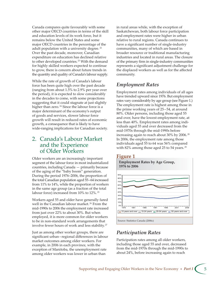Canada compares quite favourably with some other major OECD countries in terms of the skill and education levels of its work force, but it remains below the United States and some major OECD countries in the percentage of the adult population with a university degree.<sup>22</sup> Over the past decade, moreover, Canadian expenditure on education has declined relative to other developed countries.<sup>23</sup> With the demand for highly skilled workers expected to continue to grow, there is concern about future trends in the quantity and quality of Canada's labour supply.

While the rate of growth of Canada's labour force has been quite high over the past decade (ranging from about 1.5% to 2.9% per year over the period), it is expected to slow considerably in the decades to come, with some projections suggesting that it could stagnate at just slightly higher than zero.<sup>24</sup> Since the labour force is a major determinant of the economy's output of goods and services, slower labour force growth will result in reduced rates of economic growth, a consequence that is likely to have wide-ranging implications for Canadian society.

# 2. Canada's Labour Market and the Experience of Older Workers

Older workers are an increasingly important segment of the labour force in most industrialized countries, including Canada — primarily because of the aging of the "baby boom" generation. During the period 1976–2006, the proportion of the total Canadian population aged 55 – 64 increased from 11% to 14%, while the proportion of workers in the same age group (as a fraction of the total labour force) increased from 10% to 12%.<sup>25</sup>

Workers aged 55 and older have generally fared well in the Canadian labour market.<sup>26</sup> From the mid-1990s to 2006 the employment rate increased from just over 22% to about 30%. But when employed, it is more common for older workers to be in non-standard work arrangements that involve fewer hours of work and less stability. 27

Just as among other worker groups, there are significant urban – regional differences in labour market outcomes among older workers. For example, in 2006 in each province, with the exception of Manitoba, the unemployment rate among older workers was lower in urban than

in rural areas while, with the exception of Saskatchewan, both labour force participation and employment rates were higher in urban relative to rural regions. Canada continues to have a significant number of single-industry communities, many of which are based in broader resource or traditional manufacturing industries and located in rural areas. The closure of the primary firm in single-industry communities represents a significant adjustment challenge for the displaced workers as well as for the affected community.

# *Employment Rates*

Employment rates among individuals of all ages have trended upward since 1976. But employment rates vary considerably by age group (see Figure 1.) The employment rate is highest among those in the prime working years of 25 – 54, at around 80%. Older persons, including those aged 55 and over, have the lowest employment rate, at less than 40%. Employment rates among individuals aged 55 and over decreased from the mid-1970s through the mid-1990s before increasing again to reach about 30% by 2006. 28 In 2006, the employment rate among those individuals aged 55 to 64 was 56% compared with 82% among those aged 25 to 54 years.<sup>29</sup>

### **Figure 1**

**Employment Rates by Age Group, 1976 to 2006** 0% 10% 20% 30% 40% 50% 60% 70% 80% 90%  $\overline{\phantom{0}}$  15 years and over  $\overline{\phantom{0}}$  15-24 years  $\overline{\phantom{0}}$  25-54 years  $\overline{\phantom{0}}$  55 years and over 1976 1981 1986 1991 1996 2001 2006 Source: Statistics Canada (2006c)

# *Participation Rates*

Participation rates among all older workers, including those aged 55 and over, decreased from the mid-1970s through the mid-1990s to about 24%, before increasing again to reach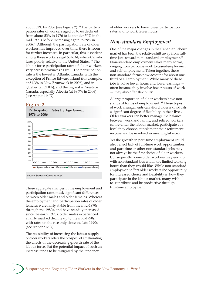about 32% by 2006 (see Figure 2). 30 The participation rates of workers aged 55 to 64 declined from about 53% in 1976 to just under 50% in the mid-1990s before increasing again to 59% in 2006. 31 Although the participation rate of older workers has improved over time, there is room for further increases. In particular, this is evident among those workers aged 55 to 64, where Canada fares poorly relative to the United States. 32 The labour force participation rates of older workers vary across provinces as well. The participation rate is the lowest in Atlantic Canada, with the exception of Prince Edward Island (for example, at 51.3% in New Brunswick in 2006), and in Quebec (at 52.0%), and the highest in Western Canada, especially Alberta (at 69.7% in 2006) (see Appendix D).

### **Figure 2**

**Participation Rates by Age Group, 1976 to 2006**



These aggregate changes in the employment and participation rates mask significant differences between older males and older females. Whereas the employment and participation rates of older females were fairly stable from the mid-1970s through the 1980s, and have steadily increased since the early 1990s, older males experienced a fairly marked decline up to the mid-1990s, with rates on the rise only since the late 1990s (see Appendix D).

The possibility of increasing the labour supply of older workers offers the prospect of ameliorating the effects of the decreasing growth rate of the labour force. But the potential impact of such an increase tends to be mitigated by the tendency

of older workers to have lower participation rates and to work fewer hours.

## *Non-standard Employment*

One of the major changes in the Canadian labour market has been the relative shift away from fulltime jobs toward non-standard employment.<sup>33</sup> Non-standard employment takes many forms, ranging from part-time work to casual employment and self-employment. Taken together, these non-standard forms now account for about onethird of all employment. While many of these jobs involve fewer hours and lower earnings often because they involve fewer hours of work — they also offer flexibility.

A large proportion of older workers have nonstandard forms of employment.<sup>34</sup> These types of work arrangements can afford older individuals a significant degree of flexibility in their lives. Older workers can better manage the balance between work and family, and retired workers can re-enter the labour market, participate at a level they choose, supplement their retirement income and be involved in meaningful work.

Yet the growth in part-time employment could also reflect lack of full-time work opportunities, and part-time or other non-standard jobs may not always be the first choice of older workers. Consequently, some older workers may end up with non-standard jobs with more limited working hours than they would like. While non-standard employment offers older workers the opportunity for increased choice and flexibility in how they participate in the labour market, many wish to contribute and be productive through full-time employment.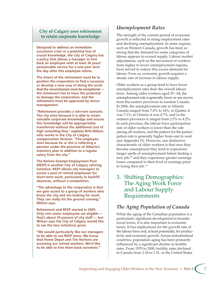### **City of Calgary uses rehirement to retain corporate knowledge**

**Designed to address an immediate succession crisis or a potential loss of crucial knowledge, the City of Calgary has a policy that allows a manager to hire back an employee with at least 30 years' pensionable service for a one-year term the day after this employee retires.**

**The intent of the rehirement must be to position the corporation to find a successor or develop a new way of doing the work. And the circumstances must be exceptional the retirement has to have the potential to damage the corporation, and the rehirement must be approved by senior management.**

**"Rehirement provides a win-win scenario. The city wins because it is able to retain valuable corporate knowledge and ensure this knowledge will be appropriately transferred without the additional cost of high consulting fees," explains Britt Wilson, who works in the City of Calgary compensation division. "The employee wins because he or she is collecting a pension under the province of Alberta's statutory plan in addition to a regular salary from the city."**

**The Retiree Exempt Employment Pool (REEP) is another City of Calgary rehiring initiative. REEP allows city managers to access a pool of retired employees for short-term work, particularly to backfill absences, without a competition.**

**"The advantage to the corporation is that we gain access to a group of workers who know the city and are looking for work. They can really hit the ground running," Wilson says.**

**Rehirement and REEP started in 2005. Only non-union employees are eligible that's about 10 percent of city staff — but Wilson says the City of Calgary would like to see the two initiatives grow.**

**"We would particularly like our managers to be able to use REEP more. We know that Home Depot and Tim Hortons are accessing our retired workers. We'd like to be able to hire them back ourselves."**

# *Unemployment Rates*

The strength of the current period of economic growth is reflected in rising employment rates and declining unemployment. In some regions, such as Western Canada, growth has been so strong that the demand for some categories of labour appears to exceed supply. Labour market adjustments, such as the movement of workers from higher to lower unemployment regions, have served to reduce this excess demand for labour. Even so, economic growth requires a steady rate of increase in labour supply.

Older workers as a group tend to have lower unemployment rates than the overall labour force. Among older workers aged 55 – 64, the unemployment rate is generally lower as one moves from the eastern provinces to western Canada. In 2006, the unemployment rate in Atlantic Canada ranged from 7.0% to 14%; in Quebec it was 7.1%; in Ontario it was 4.7%; and in the western provinces it ranged from 2.5% to 4.2%. In each province, the labour force participation rate of older workers is lower than the rate among all workers, and the pattern for the participation rate is generally higher from east to west (see Appendix D). However, one distinctive characteristic of older workers is that once they become unemployed they tend to experience longer spells of unemployment before finding a new job; $35$  and they experience greater earnings losses compared to their level of earnings prior to losing their job. 36

# 3. Shifting Demographics: The Aging Work Force and Labour Supply Requirements

# *The Aging Population of Canada*

While the aging of the Canadian population is a particularly significant development in broader social terms, it is also important in economic terms. It has implications for the growth rate of the labour force and, at least potentially, for productivity and economic growth. Across industrialized countries, population aging has been primarily influenced by a significant decline in fertility rates. From 1970 to 2000, fertility rates declined in Canada from 2.34 to 1.51, in the United States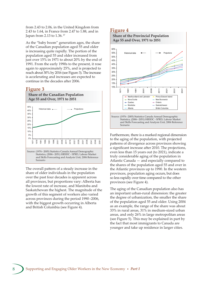from 2.43 to 2.06, in the United Kingdom from 2.43 to 1.64, in France from 2.47 to 1.88, and in Japan from 2.13 to 1.36. 37

As the "baby boom" generation ages, the share of the Canadian population aged 55 and older is increasing quite rapidly. The portion of the population aged 55 and older increased from just over 15% in 1971 to about 20% by the end of 1991. From the early 1990s to the present, it rose again to approximately 25%, and is projected to reach about 30% by 2016 (see Figure 3). The increase is accelerating and increases are expected to continue in the decades after 2006.

### **Figure 3**



The overall pattern of a steady increase in the share of older individuals in the population over the past four decades is apparent across all provinces, but proportions vary: Alberta has the lowest rate of increase, and Manitoba and Saskatchewan the highest. The magnitude of the growth of this segment of workers also varied across provinces during the period 1990 –2006, with the biggest growth occurring in Alberta and British Columbia (see Figure 4).

### **Figure 4**



Furthermore, there is a marked regional dimension to the aging of the population, with projected patterns of divergence across provinces showing a significant increase after 2010. The projections, even less than 15 years out (to 2021), indicate a truly considerable aging of the population in Atlantic Canada — and especially compared to the shares of the population aged 55 and over in the Atlantic provinces up to 1990. In the western provinces, population aging occurs, but does so less rapidly over time compared to the other provinces (see Figure 4).

The aging of the Canadian population also has an important urban-rural dimension: the greater the degree of urbanization, the smaller the share of the population aged 55 and older. Using 2004 as an example, the range of the share was about 33% in rural areas, 31% in medium-sized urban areas, and only 26% in large metropolitan areas (see Figure 5). This may be explained in part by the fact that most immigrants to Canada are younger and take up residence in larger cities.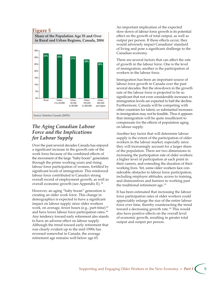### **Figure 5**



## *The Aging Canadian Labour Force and the Implications for Labour Supply*

Over the past several decades Canada has enjoyed a significant increase in the growth rate of the work force because of the combined effects of the movement of the large "baby boom" generation through the prime working years and rising labour force participation of women, fortified by significant levels of immigration. This reinforced labour force contributed to Canada's strong overall record of employment growth, as well as overall economic growth (see Appendix E). 38

However, an aging "baby boom" generation is creating an older work force. This change in demographics is expected to have a significant impact on labour supply since older workers work, on average, fewer hours (e.g., part-time)<sup>39</sup> and have lower labour force participation rates. 40 Any tendency toward early retirement also stands to have an adverse effect on labour supply. Although the trend toward early retirement that was clearly evident up to the mid-1990s has reversed somewhat in Canada, the average retirement age remains well below age 65.

An important implication of the expected slow-down of labour force growth is its potential effect on the growth of total output, as well as output per person. If these effects occur, they would adversely impact Canadians' standard of living and pose a significant challenge to the Canadian economy.

There are several factors that can affect the rate of growth in the labour force. One is the level of immigration; another is the participation of workers in the labour force.

Immigration has been an important source of labour force growth in Canada over the past several decades. But the slowdown in the growth rate of the labour force is projected to be so significant that not even considerable increases in immigration levels are expected to halt the decline. Furthermore, Canada will be competing with other countries for talent, so substantial increases in immigration may not be feasible. Thus it appears that immigration will be quite insufficient to compensate for the effects of population aging on labour supply.

Another key factor that will determine labour supply is the extent of the participation of older workers in the labour market, especially since they will increasingly account for a larger share of the population. There are two dimensions to increasing the participation rate of older workers: a higher level of participation at each point in their careers, and extending the duration of their working lives. Yet, some older workers face considerable obstacles to labour force participation, including employer attitudes, access to training, and disincentives and barriers to working past the traditional retirement age.<sup>41</sup>

It has been estimated that increasing the labour force participation rates of older workers could appreciably enlarge the size of the entire labour force over time, thereby counteracting the trend toward a decreasing growth rate. 42 This would also have positive effects on the overall level of economic growth, resulting in greater total output and output per person.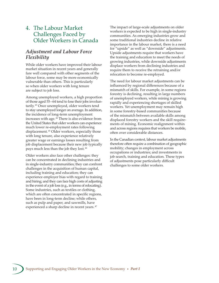# 4. The Labour Market Challenges Faced by Older Workers in Canada

## *Adjustment and Labour Force Flexibility*

While older workers have improved their labour market situation in recent years and generally fare well compared with other segments of the labour force, some may be more economically vulnerable than others. This is particularly so when older workers with long tenure are subject to job loss.

Among unemployed workers, a high proportion of those aged 55 – 64 tend to lose their jobs involuntarily. 43 Once unemployed, older workers tend to stay unemployed longer on average. In addition, the incidence of long-term unemployment increases with age. 44 There is also evidence from the United States that older workers can experience much lower re-employment rates following displacement. 45 Older workers, especially those with long tenure, also experience relatively greater wage or earnings losses resulting from job displacement because their new job typically pays much less than the job they lost. 46

Older workers also face other challenges: they can be concentrated in declining industries and in single-industry communities; they can confront challenges in the acquisition of human capital, including training and education; they can experience employer bias with regard to training and hiring; and they can face high costs of adjusting in the event of a job loss (e.g., in terms of relocating). Some industries, such as textiles or clothing, which are often concentrated in specific regions, have been in long-term decline; while others, such as pulp and paper, and sawmills, have experienced a sharp decline in recent years.<sup>47</sup>

The impact of large-scale adjustments on older workers is expected to be high in single-industry communities. As emerging industries grow and some traditional industries decline in relative importance in the labour market, there is a need for "upside" as well as "downside" adjustments. Upside adjustments require that workers have the training and education to meet the needs of growing industries, while downside adjustments displace workers from declining industries and require them to receive the retraining and/or relocation to become re-employed.

The need for labour market adjustments can be influenced by regional differences because of a mismatch of skills. For example, in some regions forestry is declining, resulting in large numbers of unemployed workers, while mining is growing rapidly and experiencing shortages of skilled workers. Yet unemployment may remain high in some forestry-based communities because of the mismatch between available skills among displaced forestry workers and the skill requirements of mining. Economic realignment within and across regions requires that workers be mobile, often over considerable distances.

In the Canadian context, labour market adjustments therefore often require a combination of geographic mobility; changes in employment across occupations or industries; and investments in job search, training and education. These types of adjustments pose particularly difficult challenges to some older workers.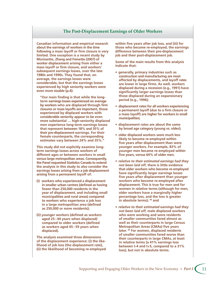### **The Post-Displacement Earnings of Older Workers**

**Canadian information and empirical research about the earnings of workers in the time following a mass layoff or firm closure is very limited. One exception is a recent study by Morissette, Zhang and Frenette (2007) of worker displacement arising from either a mass layoff or firm closure, and workers' subsequent earnings losses, over the late 1980s and 1990s. They found that, on average, the earnings losses were considerable, but that the earnings losses experienced by high seniority workers were even more sizable (p.4):**

**"Our main finding is that while the longterm earnings losses experienced on average by workers who are displaced through firm closures or mass layoffs are important, those experienced by displaced workers with considerable seniority appear to be even more substantial … high-seniority displaced men experience long-term earnings losses that represent between 18% and 35% of their pre-displacement earnings. For their female counterparts, the corresponding estimates vary between 24% and 35%."**

**This study did not explicitly examine longterm earnings losses across workers of different ages or between workers in small versus large metropolitan areas. Consequently, the Panel requested Statistics Canada to extend the analysis in this study to also consider the earnings losses arising from a job displacement arising from a permanent layoff of:**

- **(i) workers who experienced a displacement in smaller urban centres (defined as having fewer than 250,000 residents in the year of displacement, and including small municipalities and rural areas) compared to workers who experience a job loss in a large metropolitan area (defined as 250,000 or more residents);**
- **(ii) younger workers (defined as workers aged 25 – 44 years when displaced) compared to older workers (defined as workers aged 45 – 59 years when displaced).**

**The analysis examined three dimensions of the displacement experience: (i) the likelihood of job loss (the displacement rate), (ii) the likelihood of becoming re-employed** 

**within five years after job loss, and (iii) for those who become re-employed, the earnings difference between their pre-displacement job and their post-displacement job.**

**Some of the main results from this analysis indicate that:**

- **generally, primary industries such as construction and manufacturing are most affected by displacements, and layoff rates are lower in large firms. As well, workers displaced during a recession (e.g., 1991) have significantly larger earnings losses than those displaced during an expansionary period (e.g., 1996);**
- **displacement rates for all workers experiencing a permanent layoff (due to a firm closure or a mass layoff) are higher for workers in small municipalities;**
- **displacement rates are about the same by broad age category (young vs. older);**
- **older displaced workers were much less likely to become re-employed within five years after displacement than were younger workers. For example, 83% of younger men became re-employed within five years, versus 64% of older men.**
- *relative to their estimated earnings had they not been laid off***, there is little evidence that older workers who become re-employed have significantly larger earnings losses five years after displacement than younger workers who become re-employed after displacement. This is true for men and for women in relative terms (although for men, older workers have a marginally higher percentage loss, and the loss is greater in absolute terms); 48 and**
- *relative to their estimated earnings had they not been laid off***, male displaced workers who were working and were residents of smaller communities fared almost as well as their counterparts in large Census Metropolitan Areas (CMAs) five years later. 49 For women, displaced residents of smaller communities fared worse than their counterparts in large CMAs, at least in relative terms (a 41% earnings loss between t-4 and t+5, compared to a 31% loss), but not in absolute terms.**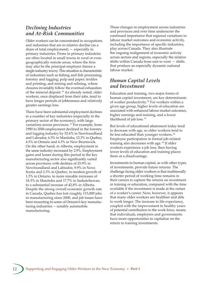### *Declining Industries and At-Risk Communities*

Older workers can be concentrated in occupations and industries that are in relative decline (as a share of total employment) — especially in primary industries. Firms in primary industries are often located in small towns in rural or even geographically remote areas, where the firm may also be the principal employer (hence a single-industry town). This situation is characteristic of industries such as fishing and fish processing; forestry and logging; pulp and paper; textiles and printing; and mining and refining, where closures invariably follow the eventual exhaustion of the mineral deposit.<sup>50</sup> As already noted, older workers, once displaced from their jobs, tend to have longer periods of joblessness and relatively greater earnings loss.

There have been substantial employment declines in a number of key industries (especially in the primary sector of the economy), with large variations across provinces. 51 For example, from 1990 to 2006 employment declined in the forestry and logging industry by 52.6% in Newfoundland and Labrador, 6.3% in Manitoba, 12.3% in Quebec, 4.5% in Ontario and 4.3% in New Brunswick. On the other hand, in Alberta, employment in the same industry increased by 2.9%. Employment gains and losses during this period in the key manufacturing sector also significantly varied across provinces, with declines of 25.9% in Newfoundland and Labrador, 9.9% in Nova Scotia and 2.5% in Quebec, to modest growth of 1.5% in Ontario, to more sizeable increases of 18.3% in Manitoba and 17.7% in Saskatchewan, to a substantial increase of 42.8% in Alberta. Despite the strong overall economic growth rate in Canada, Quebec has lost roughly 115,000 jobs in manufacturing since 2000, and job losses have been mounting in some of Ontario's key manufacturing industries — notably automobile manufacturing.

These changes in employment across industries and provinces and over time underscore the continued importance that regional variations in labour market outcomes and economic activity, including the importance of specific industries, play across Canada. They also illustrate the ongoing realignment of economic activity across sectors and regions, especially the relative shifts within Canada from east to west  $-$  shifts that produce an especially dynamic national labour market.

# *Human Capital Levels and Investment*

Education and training, two major forms of human capital investment, are key determinants of worker productivity.<sup>52</sup> For workers within a given age group, higher levels of education are associated with enhanced labour market outcomes, higher earnings and training, and a lower likelihood of job loss. 53

But levels of educational attainment today tend to decrease with age, so older workers tend to be less educated than younger workers. 54 Employee participation in formal job-related training also decreases with age.<sup>55</sup> If older workers experience a job loss, then having lower levels of education and training places them at a disadvantage.

Investments in human capital, as with other types of investments, provide future returns. The challenge facing older workers is that traditionally a shorter period of working time remains in their careers to capture the returns on investment in training or education, compared with the time available if the investment is made at the outset of a worker's career. Now, however, it appears that many older workers are healthier and able to work longer. The increase in life expectancy, coupled with the improvement in healthy years of potential contribution to the work force, means that individuals, employers and governments have more opportunities to capitalize on the return to training investments.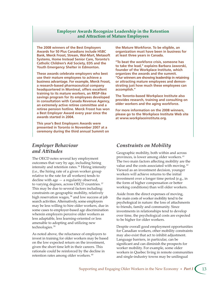### **Employer Awards Recognize Leadership in the Retention and Araction of Mature Employees**

**The 2008 winners of the Best Employers Awards for 50 Plus Canadians include HSBC Bank, Merck Frosst, Stream, Wal-Mart, Metasoft Systems, Home Instead Senior Care, Toronto's Catholic Children's Aid Society, EDS and the Youth Emergency Shelter in Edmonton.**

**These awards celebrate employers who best use their mature employees to achieve a business advantage. For example, Merck Frosst, a research-based pharmaceutical company headquartered in Montreal, offers excellent training to its mature workers, an RRSP-like savings program for its employees developed in consultation with Canada Revenue Agency, an extremely active retiree committee and a retiree pension hotline. Merck Frosst has won a Best Employer Award every year since the awards started in 2004.**

**This year's Best Employers Awards were presented in Toronto in November 2007 at a ceremony during the third annual Summit on** 

## *Employer Behaviour and A-itudes*

The OECD notes several key employment outcomes that vary by age, including hiring intensity and retention rates. 56 Hiring intensity (i.e., the hiring rate of a given worker group relative to the rate for all workers) tends to decline with age — a regularity observed, to varying degrees, across OECD countries. 57 This may be due to several factors including: constraints on geographic mobility, relatively high reservation wages,<sup>58</sup> and low success at job search activities. Alternatively, some employers may be less willing to hire older workers, due in some cases to employer-based age discrimination wherein employers perceive older workers as less adaptable, less learning-oriented or less amenable to adopting and utilizing new technologies. 59

As noted above, the reluctance of employers to invest in training for older workers may be based on the low expected return on the investment, given the short time left in their careers. This rationale could be reinforced by the decline in retention rates among older workers.<sup>60</sup>

**the Mature Workforce. To be eligible, an organization must have been in business for at least three years in Canada.**

**"To beat the workforce crisis, someone has to take the lead," explains Barbara Jaworski, founder of the Workplace Institute, which organizes the awards and the summit. "Our winners are showing leadership in retaining or attracting mature employees and demonstrating just how much these employees can accomplish."**

**The Toronto-based Workplace Institute also provides research, training and consulting on older workers and the aging workforce.**

**For more information on the 2008 winners, please go to the Workplace Institute Web site at www.workplaceinstitute.org.**

### *Constraints on Mobility*

Geographic mobility, both within and across provinces, is lower among older workers. 61 The two main factors affecting mobility are the value and the costs associated with moving.<sup>62</sup> Viewed as an investment decision, younger workers will achieve returns to the initial investment over a longer time period (e.g., in the form of higher compensation or better working conditions) than will older workers.

Aside from the direct expenses of moving, the main costs of worker mobility tend to be psychological in nature: the loss of attachments to friends, family and community. Since investments in relationships tend to develop over time, the psychological costs are expected to be higher for older workers.

Despite overall good employment opportunities for Canadian workers, other mobility constraints may also exist that act to inhibit adjustment. Language barriers, in particular, can be significant and can diminish the prospects for worker mobility. For example, some older workers in Quebec living in remote communities and single-industry towns may be unilingual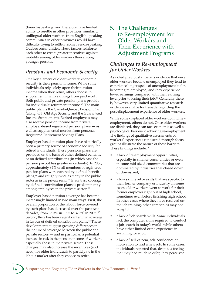(French-speaking) and therefore have limited ability to resettle in other provinces; similarly, unilingual older workers from English-speaking communities in other provinces would have difficulty trying to settle in some French-speaking Quebec communities. These factors reinforce each other to create greater incentives against mobility among older workers than among younger persons.

### *Pensions and Economic Security*

One key element of older workers' economic security is their pension income. While some individuals rely solely upon their pension income when they retire, others choose to supplement it with earnings from paid work. Both public and private pension plans provide for individuals' retirement income. 63 The main public plan is the Canada/Quebec Pension Plan (along with Old Age Security and the Guaranteed Income Supplement). Retired employees may also receive pension income from private, employer-based registered pension plans — as well as supplemental monies from personal Registered Retirement Savings Plans.

Employer-based pension plans have historically been a primary source of economic security for retired individuals. These pensions plans are provided on the basis of either defined benefits, or on defined contributions (in which case the pension payout has greater uncertainty). In 2006, approximately 84% of all members of registered pension plans were covered by defined benefit plans, 64 and roughly twice as many in the public sector as in the private sector.<sup>65</sup> In contrast, coverage by defined contribution plans is predominantly among employees in the private sector.<sup>66</sup>

Employer-based pension coverage has become increasingly limited in two main ways. First, the overall proportion of the labour force covered by such plans has decreased over the past two decades, from 35.3% in 1985 to 32.5% in 2005. 67 Second, there has been a significant shift in coverage in favour of defined contribution plans. 68 These developments suggest growing differences in the nature of coverage between the public and private sectors — and in particular, a potential increase in risk in the pension income of workers, especially those in the private sector. These changes may also increase the incentives (and need) for older individuals to participate in the labour market after they choose to retire.

5. The Challenges to Re-employment for Older Workers and Their Experience with Adjustment Programs

## *Challenges to Re-employment for Older Workers*

As noted previously, there is evidence that once older workers become unemployed they tend to experience longer spells of unemployment before becoming re-employed, and they experience lower earnings compared with their earning level prior to losing their job.<sup>69</sup> Generally there is, however, very limited quantitative research evidence available for Canada regarding the post-displacement experience of older workers.

While some displaced older workers do find new employment, others do not. Once older workers are displaced, they can face economic as well as psychological barriers to achieving re-employment. The findings of qualitative assessments of workers' experiences conducted through focus groups illustrate the nature of these barriers. These findings include: 70

- a lack of re-employment opportunities, especially in smaller communities or even in some mid-sized communities that are dominated by industries that closed down or downsized;
- a low skill level or skills that are specific to their former company or industry. In some cases, older workers went to work for their former employer right out of high school, sometimes even before finishing high school. In other cases where they have received onthe-job training, other companies may not accept it;
- a lack of job search skills. Some individuals lack the computer skills required to conduct a job search in today's world, while others have either limited or no experience in searching for a job;
- a lack of self-esteem, self-confidence or motivation to find a new job. In some cases, individuals reported that, despite a feeling that they had much to offer, they perceived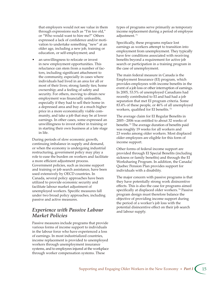that employers would not see value in them through expressions such as "I'm too old," or "Who would want to hire me?" Others expressed a lack of confidence and/or motivation to undertake something "new" at an older age, including a new job, training or education, or self-employment; and

an unwillingness to relocate or invest in new employment opportunities. This reluctance can stem from a number of factors, including significant attachment to the community, especially in cases where individuals had lived in an area for all or most of their lives; strong family ties; home ownership; and a feeling of safety and security. For others, moving to obtain new employment was financially unfeasible, especially if they had to sell their home in a depressed area and buy at a much higher price in a more economically viable community, and take a job that may be at lower earnings. In other cases, some expressed an unwillingness to invest either in training or in starting their own business at a late stage in life.

During periods of slow economic growth, continuing imbalance in supply and demand, or when the economy is undergoing industrial restructuring, government policy may play a role to ease the burden on workers and facilitate a more efficient adjustment process. Government policies, such as income support and training or job search assistance, have been used extensively by OECD countries. In Canada, several policy approaches have been utilized to provide economic security and facilitate labour market adjustment of unemployed workers. Specific measures fall under two broad policy approaches, including passive and active measures.

## *Experience with Passive Labour Market Policies*

Passive measures include programs that provide various forms of income support to individuals in the labour force who have experienced a loss of earnings. In most industrialized countries, income replacement is provided to unemployed workers through unemployment insurance systems, and to employees injured at the workplace through worker compensation systems. These

types of programs serve primarily as temporary income replacement during a period of employee adjustment. 71

Specifically, these programs replace lost earnings as workers attempt to transition into employment from unemployment. They typically have few conditions associated with receiving benefits beyond a requirement for active job search or participation in a training program in the case of unemployment.

The main federal measure in Canada is the Employment Insurance (EI) program, which provides employees with income benefits in the event of a job loss or other interruption of earnings. In 2005, 53.5% of unemployed Canadians had recently contributed to EI and had had a job separation that met EI program criteria. Some 83.4% of these people, or 46% of all unemployed workers, qualified for EI benefits. 72

The average claim for EI Regular Benefits in 2005 – 2006 was entitled to about 32 weeks of benefits. 73 The average duration of benefits paid was roughly 19 weeks for all workers and 23 weeks among older workers. Most displaced older employees are eligible for this form of income support.

Other forms of federal income support are provided through EI Special Benefits (including sickness or family benefits) and through the EI Worksharing Program. In addition, the Canada/ Quebec Pension Plan provides support for individuals with a disability.

The major concern with passive programs is that they have potentially strong work disincentive effects. This is also the case for programs aimed specifically at displaced older workers.<sup>74</sup> Passive program design must therefore balance the objective of providing income support during the period of a worker's job loss with the potential disincentive effect on their job search and labour supply.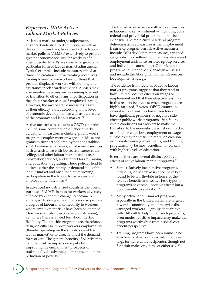### *Experience With Active Labour Market Policies*

As labour markets undergo adjustment, advanced industrialized countries, as well as developing countries, have used active labour market policies (ALMPs) extensively to provide greater economic security for workers of all ages. Specific ALMPs are usually targeted at a particular form of labour market adjustment. Typical examples include measures aimed at direct job creation such as creating incentives for employers to hire workers, or those that provide displaced workers with training and assistance in job search activities. ALMPs may also involve measures such as re-employment or transition to other forms of participation in the labour market (e.g., self-employed status). However, the mix of active measures, as well as their efficacy, varies according to the level of economic development as well as the nature of the economy and labour market.<sup>75</sup>

Active measures in use across OECD countries include some combination of labour market adjustment measures, including: public works programs; employment or wage subsidies; programs to support self-employment or establish small business enterprises; employment services such as assistance with job search, career counselling, and other labour market and career information services; and support for (re)training and education upgrading. These policies tend to address either the supply or demand side of the labour market and are aimed at improving participation in the labour force, wages and employability outcomes. 76

In advanced industrialized countries the overall purpose of ALMPs is to assist workers adversely affected by economic change to become reemployed. In doing so, such policies also provide a degree of labour market security to workers where employment risks have been heightened (due, for example, to economic globalization), yet where there is a need for labour market flexibility. The specific programs are, therefore, designed either to improve workers' employability (thereby operating on the supply side of the labour market) or to directly affect the demand for workers. The general benefits of ALMPs may include positive impacts on equity by improving the employment prospects of traditionally disadvantaged persons, and on the reduction of poverty. 77

The Canadian experience with active measures in labour market adjustment — including both federal and provincial programs — has been extensive. The main current federal program delivering active measures is the Employment Insurance program Part II. Active measures include skills development measures, targeted wage subsidies, self-employment assistance and employment assistance services (group services and individual counselling). Other federal programs fall under pan-Canadian activities and include the Aboriginal Human Resources Development Strategy.

The evidence from reviews of active labour market programs suggests that they tend to have limited positive effects on wages or employment and that their effectiveness may in this respect be greatest when programs are highly targeted.<sup>78</sup> Across OECD countries, several active measures have been found to have significant problems or negative sideeffects: public works programs often fail to create conditions for workers to make the transition to the non-subsidized labour market or to higher-wage jobs; employment or wage subsidies may not result in more job creation or promote training investments; and training programs may be most beneficial to workers with higher levels of education.

Even so, there are several distinct positive effects of active labour market programs:<sup>79</sup>

- Some relatively inexpensive programs, including job search assistance, have been found to be worthwhile in terms of the relative benefits and costs. These types of programs have small positive effects but a good benefit-to-cost ratio. 80
- Many active labour market programs, especially in the United States, are targeted toward economically and otherwise disadvantaged workers — groups that are typically difficult to help.<sup>81</sup> For such programs, even modest positive impacts may make the programs worthwhile from a social costbenefit perspective.
- Training programs have been found to be effective for disadvantaged adult females (e.g., former welfare recipients), though not for adult males or youths of either sex. 82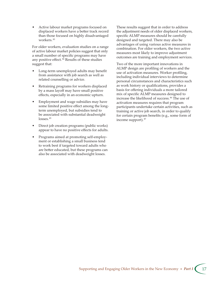• Active labour market programs focused on displaced workers have a better track record than those focused on highly disadvantaged workers. 83

For older workers, evaluation studies on a range of active labour market policies suggest that only a small number of specific programs may have any positive effect. 84 Results of these studies suggest that:

- Long-term unemployed adults may benefit from assistance with job search as well as related counselling or advice.
- Retraining programs for workers displaced by a mass layoff may have small positive effects, especially in an economic upturn.
- Employment and wage subsidies may have some limited positive effect among the longterm unemployed, but subsidies tend to be associated with substantial deadweight losses.<sup>85</sup>
- Direct job creation programs (public works) appear to have no positive effects for adults.
- Programs aimed at promoting self-employment or establishing a small business tend to work best if targeted toward adults who are better educated, but these programs can also be associated with deadweight losses.

These results suggest that in order to address the adjustment needs of older displaced workers, specific ALMP measures should be carefully designed and targeted. There may also be advantages of using various active measures in combination. For older workers, the two active measures most likely to improve adjustment outcomes are training and employment services.

Two of the more important innovations in ALMP design are profiling of workers and the use of activation measures. Worker profiling, including individual interviews to determine personal circumstances and characteristics such as work history or qualifications, provides a basis for offering individuals a more tailored mix of specific ALMP measures designed to increase the likelihood of success. 86 The use of activation measures requires that program participants undertake certain activities, such as training or active job search, in order to qualify for certain program benefits (e.g., some form of income support). 87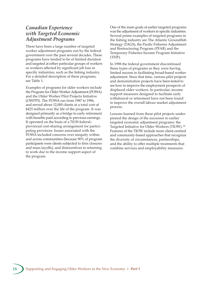### *Canadian Experience with Targeted Economic Adjustment Programs*

There have been a large number of targeted worker adjustment programs run by the federal government over the past several decades. These programs have tended to be of limited duration and targeted at either particular groups of workers or workers affected by significant job loss in specific industries, such as the fishing industry. For a detailed description of these programs, see Table 1.

Examples of programs for older workers include the Program for Older Worker Adjustment (POWA) and the Older Worker Pilot Projects Initiative (OWPPI). The POWA ran from 1987 to 1996, and served about 12,000 clients at a total cost of \$425 million over the life of the program. It was designed primarily as a bridge to early retirement with benefits paid according to previous earnings. It operated on the basis of a 70/30 federal– provincial cost-sharing arrangement for participating provinces. Issues associated with the POWA included concerns over inequity within and across communities (because 90% of program participants were clients subjected to firm closures and mass layoffs), and disincentives to returning to work due to the income support aspect of the program.

One of the main goals of earlier targeted programs was the adjustment of workers in specific industries. Several prime examples of targeted programs in the fishing industry are The Atlantic Groundfish Strategy (TAGS), the Pacific Fisheries Adjustment and Restructuring Program (PFAR) and the Temporary Fisheries Income Program Initiative (TFIP).

In 1998 the federal government discontinued these types of programs as they were having limited success in facilitating broad-based worker adjustment. Since that time, various pilot projects and demonstration projects have been tested to see how to improve the employment prospects of displaced older workers. In particular, income support measures designed to facilitate early withdrawal or retirement have not been found to improve the overall labour market adjustment process.

Lessons learned from these pilot projects underpinned the design of the successor to earlier targeted economic adjustment programs: the Targeted Initiative for Older Workers (TIOW). 88 Features of the TIOW include more client-centred and community-based approaches that recognize the diversity of circumstances, partnerships, and the ability to offer multiple treatments that combine services and employability measures.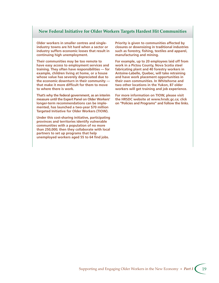### **New Federal Initiative for Older Workers Targets Hardest Hit Communities**

**Older workers in smaller centres and singleindustry towns are hit hard when a sector or industry suffers economic losses that result in continuing high unemployment.**

**Their communities may be too remote to have easy access to employment services and training. They often have responsibilities — for example, children living at home, or a house whose value has severely depreciated due to the economic downturn in their community that make it more difficult for them to move to where there is work.**

**That's why the federal government, as an interim measure until the Expert Panel on Older Workers' longer-term recommendations can be implemented, has launched a two-year \$70 million Targeted Initiative for Older Workers (TIOW).**

**Under this cost-sharing initiative, participating provinces and territories identify vulnerable communities with a population of no more than 250,000; then they collaborate with local partners to set up programs that help unemployed workers aged 55 to 64 find jobs.**

**Priority is given to communities affected by closures or downsizing in traditional industries such as forestry, fishing, textiles and apparel, manufacturing and mining.**

**For example, up to 20 employees laid off from work in a Pictou County, Nova Scotia steel fabricating plant and 40 forestry workers in Antoine-Labelle, Quebec, will take retraining and have work placement opportunities in their own communities. In Whitehorse and two other locations in the Yukon, 87 older workers will get training and job experience.**

**For more information on TIOW, please visit the HRSDC website at www.hrsdc.gc.ca; click on "Policies and Programs" and follow the links.**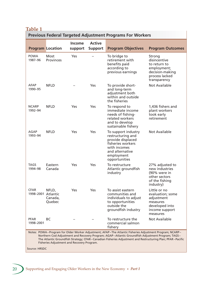# **Table 1**

| <b>Previous Federal Targeted Adjustment Programs For Workers</b>                                                                                                                                                                                                                                                                                                       |                                 |                          |                                 |                                                                                                                                                      |                                                                                                            |
|------------------------------------------------------------------------------------------------------------------------------------------------------------------------------------------------------------------------------------------------------------------------------------------------------------------------------------------------------------------------|---------------------------------|--------------------------|---------------------------------|------------------------------------------------------------------------------------------------------------------------------------------------------|------------------------------------------------------------------------------------------------------------|
|                                                                                                                                                                                                                                                                                                                                                                        | <b>Program Location</b>         | <b>Income</b><br>support | <b>Active</b><br><b>Support</b> | <b>Program Objectives</b>                                                                                                                            | <b>Program Outcomes</b>                                                                                    |
| <b>POWA</b><br>1987-96                                                                                                                                                                                                                                                                                                                                                 | <b>Most</b><br><b>Provinces</b> | Yes                      |                                 | To bridge to<br>retirement with<br>benefits paid<br>according to<br>previous earnings                                                                | Strong<br>disincentive<br>to return to<br>employment;<br>decision-making<br>process lacked<br>transparency |
| AFAP<br>1990-95                                                                                                                                                                                                                                                                                                                                                        | <b>NFLD</b>                     |                          | Yes                             | To provide short-<br>and long-term<br>adjustment both<br>within and outside<br>the fisheries                                                         | Not Available                                                                                              |
| <b>NCARP</b><br>1992-94                                                                                                                                                                                                                                                                                                                                                | <b>NFLD</b>                     | Yes                      | Yes                             | To respond to<br>immediate income<br>needs of fishing-<br>related workers<br>and to develop<br>sustainable fishery                                   | 1,436 fishers and<br>plant workers<br>took early<br>retirement                                             |
| AGAP<br>1993-94                                                                                                                                                                                                                                                                                                                                                        | <b>NFLD</b>                     | Yes                      | Yes                             | To support industry<br>restructuring and<br>provide displaced<br>fisheries workers<br>with incomes<br>and alternative<br>employment<br>opportunities | <b>Not Available</b>                                                                                       |
| <b>TAGS</b><br>1994-98                                                                                                                                                                                                                                                                                                                                                 | Eastern<br>Canada               | Yes                      | Yes                             | To restructure<br>Atlantic groundfish<br>industry                                                                                                    | 27% adjusted to<br>new industries<br>(90% were in<br>other sectors<br>of the fishing<br>industry)          |
| <b>CFAR</b><br>1998-2001 Atlantic                                                                                                                                                                                                                                                                                                                                      | NFLD,<br>Canada,<br>Quebec      | Yes                      | Yes                             | To assist eastern<br>communities and<br>individuals to adjust<br>to opportunities<br>outside the<br>groundfish industry                              | Little or no<br>evaluation; some<br>adjustment<br>measures<br>developed into<br>income support<br>measures |
| <b>PFAR</b><br>1998-2001                                                                                                                                                                                                                                                                                                                                               | <b>BC</b>                       |                          |                                 | To restructure the<br>commercial salmon<br>fishery                                                                                                   | <b>Not Available</b>                                                                                       |
| Notes: POWA-Program for Older Worker Adjustment; AFAP-The Atlantic Fisheries Adjustment Program; NCARP-<br>Northern Cod Adjustment and Recovery Program; AGAP-Atlantic Groundfish Adjustment Program; TAGS-<br>The Atlantic Groundfish Strategy; CFAR-Canadian Fisheries Adjustment and Restructuring Plan; PFAR-Pacific<br>Fisheries Adjustment and Recovery Program. |                                 |                          |                                 |                                                                                                                                                      |                                                                                                            |

Source: HRSDC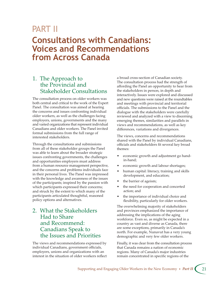# PART II

# **Consultations with Canadians: Voices and Recommendations from Across Canada**

# 1. The Approach to the Provincial and Stakeholder Consultations

The consultation process on older workers was both central and critical to the work of the Expert Panel. The consultation was aimed at hearing the concerns and issues confronting individual older workers, as well as the challenges facing employers, unions, governments and the many and varied organizations that represent individual Canadians and older workers. The Panel invited formal submissions from the full range of interested stakeholders.

Through the consultations and submissions from all of these stakeholder groups the Panel was able to learn about the broader strategic issues confronting governments, the challenges and opportunities employers must address from a human resource management perspective, and the concerns and problems individuals face in their personal lives. The Panel was impressed with the knowledge and awareness of the issues of the participants; inspired by the passion with which participants expressed their concerns; and struck by the extent to which many of the participants articulated thoughtful, reasoned policy options and alternatives.

# 2. What the Stakeholders Had to Share and Recommend: Canadians Speak to the Issues and Priorities

The views and recommendations expressed by individual Canadians, government officials, employers, unions and organizations with an interest in the situation of older workers reflect a broad cross-section of Canadian society. The consultation process had the strength of affording the Panel an opportunity to hear from the stakeholders in person, in depth and interactively. Issues were explored and discussed and new questions were raised at the roundtables and meetings with provincial and territorial officials. The submissions to the Panel and the dialogue with the stakeholders were carefully reviewed and analyzed with a view to discerning emerging themes, similarities and parallels in views and recommendations, as well as key differences, variations and divergences.

The views, concerns and recommendations shared with the Panel by individual Canadians, officials and stakeholders fit several key broad themes:

- economic growth and adjustment go handin-hand;
- economic growth and labour shortages;
- human capital: literacy, training and skills development, and education;
- the barrier of ageism;
- the need for cooperation and concerted action; and
- the importance of individual choice and flexibility, particularly for older workers.

The overwhelming majority of stakeholders and provinces emphasized the importance of addressing the implications of the aging workforce. Even so, as might be expected in a country as vast and diverse as Canada, there are some exceptions, primarily in Canada's north. For example, Nunavut has a very young demographic and very few older workers.

Finally, it was clear from the consultation process that Canada remains a nation of economic regions. Many of Canada's major industries remain concentrated in specific regions of the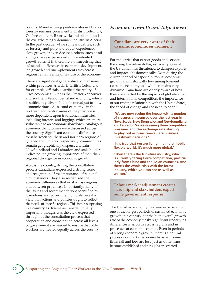country. Manufacturing predominates in Ontario; forestry remains prominent in British Columbia, Quebec and New Brunswick; and oil and gas is the overwhelmingly dominant industry in Alberta. In the past decade, while some industries, such as forestry and pulp and paper, experienced slow growth or even declines, others, such as oil and gas, have experienced unprecedented growth rates. It is, therefore, not surprising that substantial differences in economic development, job growth and unemployment rates across regions remains a major feature of the economy.

There are significant geographical dimensions within provinces as well. In British Columbia, for example, officials described the reality of "two economies." One is the Greater Vancouver and southern Vancouver Island economy, which is sufficiently diversified to better adjust to slow economic times. A "second economy" in the northern and central areas of the province is more dependent upon traditional industries, including forestry and logging, which are more vulnerable to an economic slowdown. Analogous economic dichotomies were discussed across the country. Significant economic differences exist between southern and northern regions of Quebec and Ontario, respectively; communities remain geographically dispersed within Newfoundland and Labrador; and stakeholders indicated the growing importance of the urbanregional divergence in economic growth.

Across the country, during the consultation process Canadians expressed a strong sense and recognition of the importance of regional circumstances. They also recognized the economic differences that exist across regions and between provinces. Importantly, many of the issues and recommendations identified by Canadians and government officials reveal a view that actions and policies ought to reflect the needs of specific regions. This is not surprising in a country as diverse as Canada. Equally important, though, was the view expressed throughout the consultation process that cooperation and coordination across all levels of government are needed to ensure that older workers are treated equally across the country.

### *Economic Growth and Adjustment*

### **Canadians are very aware of their dynamic economic environment**

For industries that export goods and services, the rising Canadian dollar, especially against the US dollar, has threatened to dampen exports and impact jobs domestically. Even during the current period of especially robust economic growth and historically low unemployment rates, the economy as a whole remains very dynamic. Canadians are clearly aware of how they are affected by the impacts of globalization and international competition, the importance of our trading relationship with the United States, the speed of change and the need to adapt.

**"We are now seeing the impact with a number of closures announced over the last year in Nova Scotia, New Brunswick and Newfoundland and Labrador. So we're seeing these competitive pressures and the exchange rate starting to play out as firms re-evaluate business investment decisions."**

**"It is true that we are living in a more mobile, flexible world. It's much more global."**

**"Then there's the furniture industry, which is currently facing fierce competition, particularly from China and the Asian countries. And there's the whole crisis with the forest industry, which you can see as well as we can."**

### **Labour market adjustment creates hardship and stakeholders expect some government response**

The Canadian economy has been experiencing one of the longest periods of sustained economic growth in a century. Yet the high overall growth rate of the economy masks significant underlying differences in growth across regions and in processes of economic change. Even in periods of strong economic growth, there is a natural process in a market economy by which some firms fail and jobs are lost, just as other firms become established and new jobs are created.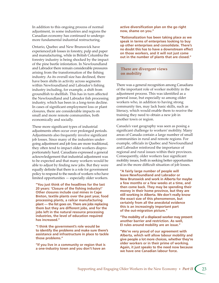In addition to this ongoing process of normal adjustment, in some industries and regions the Canadian economy has continued to undergo more fundamental industrial restructuring.

Ontario, Quebec and New Brunswick have experienced job losses in forestry, pulp and paper and manufacturing, while in British Columbia the forestry industry is being shocked by the impact of the pine beetle infestation. In Newfoundland and Labrador there remain considerable pressures arising from the transformation of the fishing industry. As its overall size has declined, there have been shifts in activity across segments within Newfoundland and Labrador's fishing industry including, for example, a shift from groundfish to shellfish. This has in turn affected the Newfoundland and Labrador fish processing industry, which has been in a long-term decline. In cases of significant employment loss or plant closures, there are considerable impacts on small and more remote communities, both economically and socially.

These more significant types of industrial adjustments often occur over prolonged periods. Adjustments also frequently involve significant job losses. Since many of the industries undergoing adjustment and job loss are more traditional, they often tend to impact older workers disproportionately hard. Canadians expressed a general acknowledgement that industrial adjustment was to be expected and that many workers would be able to adjust by finding new jobs. But they were equally definite that there is a role for government policy to respond to the needs of workers who have limited opportunities — especially older workers.

**"You just think of the headlines for the last 20 years: 'Closure of the fishing industry!' Other closures include coal mines in Cape Breton, textile plants over the past year, food processing plants, a railcar manufacturing plant — the list goes on. There are jobs replacing them but they are different jobs, and for the jobs left in the natural resource processing industries, the level of education required has increased."**

**"I think the government's role would be to identify the problems and make sure there's assistance and infrastructure in place to tackle those problems."**

**"If you live in a community or region that is a one-industry town and you don't have an** 

**active diversification plan on the go right now, shame on you."**

**"Rationalization has been taking place as we speak in terms of enterprises looking to buy up other enterprises and consolidate. There's no doubt this has to have a downstream effect on those workers, and it will not just come out in the number of plants that are closed."**

### **There are divergent views on mobility**

There was a general recognition among Canadians of the important role of worker mobility in the adjustment process. This was identified as a general issue, but especially so among older workers who, in addition to having strong community ties, may lack basic skills, such as literacy, which would enable them to receive the training they need to obtain a new job in another town or region.

Canada's vast geography was seen as posing a significant challenge to workers' mobility. Many areas of Canada contain a large number of small communities in rural and remote regions. For example, officials in Quebec and Newfoundland and Labrador reinforced the importance of regional and rural issues within their provinces. Consequently, older workers face significant mobility issues, both in seeking better opportunities and in the more difficult situation of job losses.

**"A fairly large number of people will leave Newfoundland and Labrador or New Brunswick and work in Alberta for maybe a few months or a few weeks at a time, and then come back. They may be spending their money in their home province, but they are still working in Alberta. We don't really know the exact size of this phenomenon, but certainly from all the anecdotal evidence this is an increasingly important part of the out-migration picture."**

**"The mobility of a displaced worker may present another barrier and restriction. As well, EI rules around mobility are an issue."**

**"We're very proud of our agreement with Alberta, which will allow labour mobility and give people a lot more choices, whether they're older workers or in their prime of working. Again, it just speaks to the need now because we have one Canadian labour force.**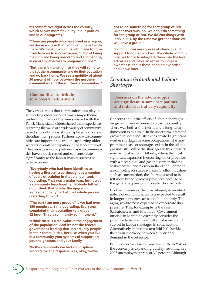**It's competitive right across the country, which allows more flexibility in our policies and in our programs."**

**"These are people who have lived in a region, set down roots in that region and have family there. We think it would be inhumane to force them to move to another region, on top of losing their job and being unable to find another one, in order to get access to programs or jobs."**

**"But there is transition, so they will come to the southern community and do their education and go back home. We see a mobility of about 30 percent of flow between the northern communities and the southern communities."**

### **Communities contribute to successful adjustment**

The various roles that communities can play in supporting older workers was a major theme underlying many of the views shared with the Panel. Many stakeholders shared their experiences regarding the value of a wide variety of communitybased supports in assisting displaced workers in the adjustment process. Partnerships with communities are important as well in supporting older workers' overall participation in the labour market. The message was that partnerships with communities have a track record and can contribute significantly to the labour market success of older workers.

**"Everybody who had been identified as having a literacy issue throughout a number of years of training in that plant all took upgrading. That was a major leap, but it was a community leap together. Nobody felt left out. I think that is why the upgrading worked and why part of that whole process is starting to work."**

**"The part I am most proud of is we had over 150 people start the upgrading. Everyone completed their upgrading to a grade 12 level. That is community commitment."**

**"I think there is a real value in the engagement of the population. And it's not the federal government leading that. It's actually people in their communities. Because when you live in a community your systems of support are your neighbours and your family."**

**"In the community we had 280 displaced workers. So the response was, okay, we've** 

**got to do something for that group of 280. Our answer was, no, we don't do something for the group of 280. We do 280 things with individuals. By the time we get that done we will have a group."**

**"Communities are sources of strength and support for older workers. The whole community has to try to integrate them into the local activities and make an effort to increase awareness about these people's expertise and know-how."**

## *Economic Growth and Labour Shortages*

### **Pressures on the labour supply are significant in some occupations and industries but vary regionally**

Concerns about the effects of labour shortages on growth were expressed across the country. There was both a short-term and a long-term dimension to this issue. In the short term, dramatic growth in some industries has created significant worker shortages in some occupations. The most prominent case of shortages exists in the oil and gas industry. While the shortages in this industry may be most acute in Alberta, where the most significant expansion is occurring, other provinces with a sizeable oil and gas industry, including Saskatchewan and Newfoundland and Labrador, are competing for scarce workers. In other industries such as construction, the shortages tend to be felt more broadly across provinces because of the general expansion in construction activity.

In other provinces, the broad-based, diversified nature of economic growth is expected to result in longer-term pressures on labour supply. The aging workforce is expected to exacerbate this pressure. This, for example, is the case in Saskatchewan and Manitoba. Government officials in Manitoba currently consider the province to be at or near full employment and subject to labour shortages in some sectors. Alternatively, in northeastern British Columbia there is an imbalance between supply and demand in the oil sector.

But it is also the case in Canada's north. In Yukon the economy is expanding quickly, resulting in a 2007 unemployment rate of 3.2 percent. Although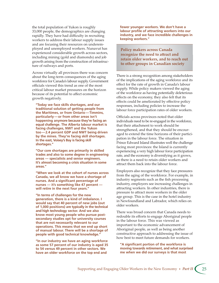the total population of Yukon is roughly 33,000 people, the demographics are changing rapidly. They have had difficulty in recruiting workers to address their labour supply issues and are focusing their resources on underemployed and unemployed workers. Nunavut has experienced considerable growth across sectors, including mining (gold and diamonds) and job growth arising from the construction of infrastructure of railways and ports.

Across virtually all provinces there was concern about the long-term consequences of the aging workforce for Canada's labour supply. Government officials viewed this trend as one of the most critical labour market pressures on the horizon because of its potential to affect economic growth negatively.

**"Today we face skills shortages, and our traditional solution of getting people from the Maritimes, or from Ontario — Timmins, particularly — or from other areas isn't happening anymore because they're facing an equal challenge. The Alberta labour market is facing challenges, NWT and the Yukon too — 2.4 percent GDP and NWT being driven by the mines. They're facing skill shortages. In the east, Voisey's Bay is facing skill shortages."**

**"Our core shortages are primarily in skilled trades and also to some degree in engineering areas — specialists and senior engineers. It's almost becoming a crisis situation in some areas."**

**"When we look at the cohort of nurses across Canada, we all know we have a shortage of nurses. And a significant percentage of nurses — it's something like 47 percent will retire in the next four years."**

**"In terms of challenges for the new generation, there is a kind of imbalance. I would say that 40 percent of new jobs (out of 1,000 positions) are typically in the technical and high technology sector. And we also know most young people who pursue postsecondary studies opt for university courses that are not necessarily relevant to our operations. This means that we end up short of manual labour. There will be a shortage of people with good technical knowledge."**

**"In our industry we have an aging workforce as some 57 percent of our industry is aged 35 to 54 versus 49 percent in other sectors. We have an older workforce on the top end and** 

**fewer younger workers. We don't have a labour profile of attracting workers into our industry, and we face incredible challenges in keeping workers."**

**Policy makers across Canada recognize the need to attract and retain older workers, and to reach out to other groups in Canadian society**

There is a strong recognition among stakeholders of the implications of the aging workforce and its effect for the rate of growth in Canada's labour supply. While policy makers viewed the aging of the workforce as having potentially deleterious effects on the economy, they also felt that its effects could be ameliorated by effective policy responses, including policies to increase the labour force participation rates of older workers.

Officials across provinces noted that older individuals need to be re-engaged in the workforce, that their attachment to work should be strengthened, and that they should be encouraged to extend the time horizons of their participation in the labour force. The situation in Prince Edward Island illustrates well the challenge facing most provinces: the Island is currently experiencing a very high labour force participation rate, and the economy is diversifying as it grows, so there is a need to retain older workers and attract them back into the labour force.

Employers also recognize that they face pressures from the aging of the workforce. For example, in industry segments such as the fish processing industry, employers see increasing challenges in attracting workers. In other industries, there is pressure to attract more workers in the older age group. This is the case in the hotel industry in Newfoundland and Labrador, which relies on older workers.

There was broad concern that Canada needs to redouble its efforts to engage Aboriginal people in the labour force. This was viewed as important to the economic advancement of Aboriginal people, as well as being another constructive approach to addressing the issue of how best to meet future demands for workers.

**"A significant portion of the workforce is moving towards retirement, and what surprised me when we did our surveys is that most**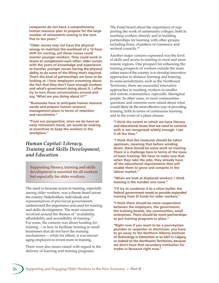**companies do not have a comprehensive human resource plan to prepare for the large number of retirements coming in the next five to ten years."**

**"Older nurses may not have the physical energy to maintain the workload of a 12-hour shift for nursing, yet those nurses could mentor younger workers. They could work in teams to complement each other: older nurses with the years of knowledge and experience to transfer, younger nurses having the physical ability to do some of the lifting that's required. That's the kind of partnerships we have to be looking at. I hear employers screaming about the fact that they don't have enough workers and what's government doing about it. I often try to turn those conversations around and say, 'What are you doing about it?'"**

**"Businesses have to anticipate human resource needs and prepare human resource management plans in terms of retention and recruitment."**

**"From our perspective, since we do have an early retirement trend, we would be looking at incentives to keep the workers in the workplace."**

## *Human Capital: Literacy, Training and Skills Development, and Education*

**Supporting literacy, training and skills development is essential for all workers but especially for older workers**

The need to increase access to training, especially among older workers, was a theme heard across the country. Stakeholders, individuals and representatives of provincial governments underscored the importance and need for training and skills development. The main concerns revolved around the themes of "availability, affordability and accessibility of training." For some, the concern was about funding for training — or how to facilitate training in small businesses that do not have the training mechanisms — while for others, it was encouraging employers to invest more in training.

There were also issues raised with regard to the delivery of learning and training programs.

The Panel heard about the importance of supporting the work of community colleges, both in reaching workers directly and in building partnerships for learning with other groups, including firms, chambers of commerce and sectoral councils.<sup>89</sup>

Another major concern expressed was the level of skills and access to training in rural and more remote regions. One prospect for enhancing the training prospects of workers outside the main urban areas of the country is to develop innovative approaches to distance learning and training. In some jurisdictions, such as the Northwest Territories, there are successful innovative approaches to reaching workers in smaller and remote communities, especially Aboriginal people. In other cases, in rural communities questions and concerns were raised about what would likely be the most effective way of providing training, both in terms of continuous learning and in the event of a plant closure.

**"I think the extent to which we have literacy and educational issues that we need to contend with is not recognized widely enough. I see it all the time."**

**"I think that the measures should be taken upstream, meaning that before winding down, there should be some work on training. There is a challenge here in terms of the issue of basic training. We have to make sure that when they take the jobs, they already have all the educational requirements that will enable them to grow and compete in the labour market."**

**"When we look at displaced workers, I think training is the number one issue."**

**"I'll try to condense it to a silver bullet: the federal government needs to provide expanded training from EI funds for older workers."**

**"I think there should be more cooperation between the employers, the government, the training boards, the communities, small enterprises. There should be more partnerships to put training programs in place."**

**"Right now if you want to be a journeyman plumber or carpenter or electrician, you have to go away to the Northern Alberta Institute of Technology in Edmonton or to SAIT in Calgary, or indeed to the Northwest Territories, because we don't have that secondary institution for trades in Nunavut right now."**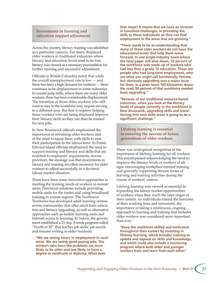### **Investments in learning and education support adjustment**

Across the country, literacy training was identified as a particular concern. For many displaced older workers in traditional industries where literacy and education levels tend to be low, literacy was viewed as a necessary precondition for further training and successful adjustment.

Officials in British Columbia noted that while the overall unemployment rate is low — and there has been a high demand for workers — there continues to be displacement in some industries. In coastal pulp mills, where there are many older workers, there has been considerable displacement. The transition of those older workers who still want to stay in the workforce may require moving to a different area. But first it requires helping those workers who are being displaced improve their literacy skills so they can then be trained for new jobs.

In New Brunswick officials emphasized the importance of retraining older workers and of the need to equip them with skills to ease their participation in the labour force. In Prince Edward Island officials emphasized the need to support training and literacy and skills that are matched to employers' requirements. Across provinces, the message was that investments in literacy and training are often necessary for older workers to adjust successfully in a dynamic labour market situation.

There have been some innovative approaches to meeting the training needs of workers in remote areas. Provincial solutions include providing mobile units for the trades and using broadband training in remote regions. The Northwest Territories has developed adult learning centres across communities that offer adult basic education and literacy upgrading, as well as alternative approaches such as mobile learning units and Internet access to learning. In Yukon, the government established a 21-day, 3-week program called "North of 55" that teaches job skills, job search and résumé writing to older residents.

**"We are seeing losses in employment in rural areas. We are losing good paying jobs. The workers who have the problems are more likely to be older and less likely to have a degree or certificate or diploma. What does** 

**that mean? It means that we have an increase in transition challenges, in providing the skills to these individuals so they can find employment in the areas that are growing."** 

**"There needs to be an understanding that many of these older workers do not have the educational levels that help them move forward. In one single-industry town where the local paper mill shut down, 52 percent of the workforce was made up of workers who had less than a grade 10 education. These are people who had long-term employment, who are what you might call functionally literate, but obviously upgrading was a major issue for them. In a sister town 100 kilometres down the road, 50 percent of that workforce needed basic upgrading."**

**"Because of our traditional resource-based industries, when you look at the literacy levels of people currently in the workforce in New Brunswick, upgrading skills and transitioning into new skills areas is going to be a significant challenge."**

**Lifelong learning is essential to ensuring the success of future generations of older workers**

There was widespread recognition of the importance of lifelong learning for all workers. This encompassed acknowledging the need to improve the literacy levels of workers of all ages, encouraging workplace-centred training and generally supporting diverse forms of learning and training activities during the course of workers' careers.

Lifelong learning was viewed as essential to expanding the labour market opportunities of workers when they reach the later stages of their careers. As individuals extend the horizons of their working lives and retirement, the importance of taking a continuous, ongoing approach to learning and training that includes older workers was considered more important than ever.

**"Keep the workforce skilled and motivated throughout their careers by investing in lifelong learning, which includes training to update and expand on skills and knowledge, and which could also include a mentoring program where both older and younger workers train and learn from each other."**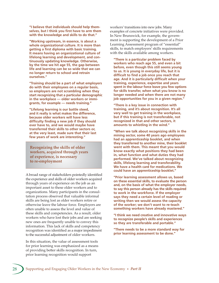**"I believe that individuals should help themselves, but I think you first have to arm them with the knowledge and skills to do that."** 

**"Working upstream, in essence, is about a whole organizational culture. It is more than getting a first diploma with basic training. It means having an organizational culture of lifelong learning and development, and continuously updating knowledge. Otherwise, by the time we hit age 55, the gap between life and learning can be so wide that we can no longer return to school and retrain ourselves."**

**"Training should be a part of what employers do with their employees on a regular basis, so employers are not scrambling when they start recognizing that a particular demographic in the workplace — older workers or immigrants, for example — needs training."**

**"Lifelong learning is our battle steed, and it really is what makes the difference, because older workers will have less difficulty finding a new job if they should ever have to, and we would maybe have transferred their skills to other sectors or, at the very least, made sure that their last few years of work are interesting."**

**Recognizing the skills of older workers, acquired through years of experience, is necessary to re-employment**

A broad range of stakeholders pointedly identified the experience and skills of older workers acquired through years of experience on the job as an important asset to these older workers and to organizations. Many participants in the consultation process observed that valuable informal skills are being lost as older workers retire or otherwise leave the labour force. Employers are often unable to assess the level and value of these skills and competencies. As a result, older workers who have lost their jobs and are seeking new ones are frequently unable to convey this information. This lack of skills and competency recognition was identified as a major impediment to the successful adjustment of older workers.

In this situation, the value of assessment tools for prior learning was emphasized as a means of providing better skills recognition. In turn, prior learning recognition would support

workers' transitions into new jobs. Many examples of concrete initiatives were provided. In New Brunswick, for example, the government is supporting the development of a Prior Learning Assessment program of "essential" skills, to match employers' skills requirements with the skills available among workers.

**"There is a particular problem faced by workers who reach age 55, and even a bit before, even though this still seems young to us. It is young in everyday life, but it is difficult to find a job once you reach that age. And it is particularly difficult when your training, experience, expertise and years spent in the labour force leave you few options for skills transfer, when what you know is no longer needed and when there are not many job opportunities for you in a given region."**

**"There is a key issue in connection with training, and it's about recognition. It's all very well to get training in the workplace, but if this training is not transferable, not recognized in that and other sectors, it amounts to whistling in the wind."**

**"When we talk about recognizing skills in the mining sector, some 40 years ago employees had an apprenticeship booklet, and when they transferred to another mine, their booklet went with them. This meant that you would know exactly what positions they had been in, what function and what duties they had performed. We've talked about recognizing skills, lifelong learning and transferability. We have a health card for medications. We could have an apprenticeship booklet."**

**"Prior learning assessment allows us, based on these essential skills, to evaluate the person and, on the basis of what the employer needs, to say this person already has the skills required to work in the workforce. If the employer says they need a certain level of reading or writing then we would assess the capacity of the worker; we don't want to re-teach something workers have already mastered."**

**"I think we need creative and innovative ways to recognize people's skills and experiences so they are transferable and portable."**

**"There needs to be a more standard way for prior learning assessment to be done."**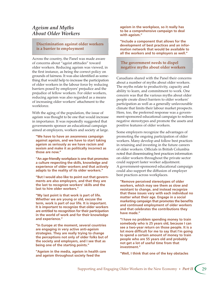### *Ageism and Myths About Older Workers*

### **Discrimination against older workers is a barrier to employment**

Across the country, the Panel was made aware of concerns about "ageist attitudes" toward older workers. Reducing ageism was viewed, in the first instance, as being the correct policy on grounds of fairness. It was also identified as something that would help to increase the participation of older workers in the labour force by reducing barriers posed by employers' prejudice and the prejudice of fellow workers. For older workers, reducing ageism was also regarded as a means of increasing older workers' attachment to the workforce.

With the aging of the population, the issue of ageism was thought to be one that would increase in importance. It was repeatedly suggested that governments sponsor an educational campaign aimed at employers, workers and society at large.

**"We have to have an awareness campaign against ageism, and we have to start taking ageism as seriously as we have racism and sexism and make it as politically incorrect as those are now."**

**"An age-friendly workplace is one that promotes a culture respecting the skills, knowledge and experience of older workers and that actively adapts to the reality of its older workers."** 

**"But I would also like to point out that governments are also employers, and that they are the last to recognize workers' skills and the last to hire older workers."**

**"My last point is that work is part of life. Whether we are young or old, excuse the term, work is part of our life. It is important. It is important to recognize that older workers are entitled to recognition for their participation in the world of work and for their knowledge and experience."**

**"In Europe at the moment, several countries are engaging in very active anti-ageism strategies. They are really trying to change the perceptions not only of older folks but of the society and employers, and I see that as being one of the starting points."**

**"Ageism in the media, ageism in health care and ageism throughout society feed the** 

**ageism in the workplace, so it really has to be a comprehensive campaign to deal with ageism."**

**"Include a component that allows for the development of best practices and an information network that would be available to all the workers and to employers as well."**

### **The government needs to dispel negative myths about older workers**

Canadians shared with the Panel their concerns about a number of myths about older workers. The myths relate to productivity, capacity and ability to learn, and commitment to work. One concern was that the various myths about older people create direct barriers to older workers' participation as well as a generally unfavourable climate that limits their labour market prospects. Here, too, the preferred response was a government-sponsored educational campaign to redress negative stereotypes and promote the assets and positive features of older workers.

Some employers recognize the advantages of promoting the ongoing participation of older workers. Many develop and follow best practices in retaining and investing in the future careers of older workers. Officials in British Columbia noted that disseminating best practices information on older workers throughout the private sector could support faster worker adjustment. A government-sponsored educational campaign could also support the diffusion of employer best practices across workplaces.

**"Remove perceived stereotypes of older workers, which may see them as slow and resistant to change, and instead recognize that these issues vary with each individual no matter what their age. Engage in a social marketing campaign that promotes the benefits and continued employment of older workers and that celebrates the contributions they have made."**

**"I have no problem spending money to train somebody who is 25 years old, because I can see a two-year return on those people. It is a lot more difficult for me to say that I'm going to spend a certain amount of money to train people who are 55 years old and probably not get a lot of useful time from that investment."**

**"Well, I think that one of the key obstacles**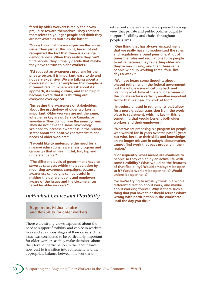**faced by older workers is really their own prejudice toward themselves. They compare themselves to younger people and think they are not worth as much as the latter."**

**"So we know that the employers are the biggest issue. They just, at this point, have not yet recognized the fact that there is a change in demographics. When they realize they can't find people, they'll finally decide that maybe they have to turn to older workers."**

**"I'd suggest an awareness program for the private sector. It is important, easy to do and not very expensive. We are talking about a conversation with an employer that complains it cannot recruit, where we ask about its approach, its hiring culture, and then help it become aware that it is shutting out everyone over age 50."**

**"Increasing the awareness of stakeholders about the psychology of older workers is important. Older workers are not the same, whether in key areas, Service Canada, or anywhere. They do not have the same dynamic. They do not have the same psychology. We need to increase awareness in the private sector about the positive characteristics and needs of older workers."**

**"I would like to underscore the need for a massive educational awareness program and campaign that is meaningful, fun, hip and understandable."**

**"The different levels of government have to serve as catalysts within the population by mounting awareness campaigns, because awareness campaigns can be useful in making the general public and employers aware of the issues and the circumstances faced by older workers."**

# *Individual Choice and Flexibility*

**Support individual choice and flexibility for older workers**

There were strong views expressed about the need to support flexibility and choice in workers' lives and at various stages of their careers. This issue was considered to be particularly important for older workers as they make decisions about their level of participation in the labour force, how best to transition into retirement, and the appropriate balance between the work and

retirement spheres. Canadians expressed a strong view that private and public policies ought to support flexibility and choice throughout people's lives.

**"One thing that has always amazed me is that we really haven't modernized the rules and regulations around pensions. A lot of times the rules and regulations force people to retire because they're getting older and they're maximizing, and then these same people wind up working three, four, five days a week."**

**"We have heard some thoughts about phased retirement in the federal government, but the whole issue of cutting back and planning work time at the end of a career in the private sector is certainly another important factor that we need to work at too."**

**"Introduce phased-in retirements that allow for a more gradual transition from the workplace to retirement, which is key — this is something that would benefit both older workers and their employers."**

**"What we are proposing is a program for people who worked for 10 years over the past 30 years but who, because their skills and knowledge are no longer relevant in today's labour market, cannot find work that pays properly in their region."**

**"Consequently, what means are available to people so they can enjoy an active life with some flexibility? What would be the features of that flexibility? Would employers be open to it? Would workers be open to it? Would unions be open to it?"**

**"So we're trying to actually think in a whole different direction about work, and maybe about working forever. Why is there such a thing that you have to or should retire? What's wrong with participation in the workforce until the day you die?"**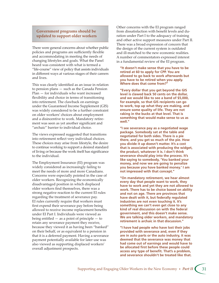### **Government programs should be updated to support older workers**

There were general concerns about whether public policies and programs are sufficiently flexible and accommodating in meeting the needs of changing lifestyles and goals. What the Panel heard was consistent with what is termed a "life-course" view of policy that assists individuals in different ways at various stages of their careers and lives.

This was clearly identified as an issue in relation to pension plans — such as the Canada Pension Plan — for individuals who want increased flexibility and choice in terms of transitioning into retirement. The clawback on earnings under the Guaranteed Income Supplement (GIS) was widely considered to be a further constraint on older workers' choices about employment and a disincentive to work. Mandatory retirement was seen as yet another significant and "archaic" barrier to individual choice.

The views expressed suggested that transitions into retirement reflect very individual choices. These choices may arise from lifestyle, the desire to continue working to support a desired standard of living or because the work itself has significance to the individual.

The Employment Insurance (EI) program was widely considered as increasingly failing to meet the needs of more and more Canadians. Concerns were especially pointed in the case of older workers. Recognizing the economically disadvantaged position in which displaced older workers find themselves, there was a strong negative reaction to the current EI rules regarding the treatment of severance pay. EI rules currently require that workers must first expend their severance pay before being allowed to receive income replacement benefits under EI Part I. Individuals were viewed as being entitled — as a point of principle — to retain any severance payment they receive, because they viewed it as having been "banked" on their behalf, or as equivalent to a pension in that it is a deferred payment. Having a severance payment potentially available for later use was also viewed as supporting displaced workers' overall adjustment prospects.

Other concerns with the EI program ranged from dissatisfaction with benefit levels and duration under Part I to the adequacy of training and other active support measures under Part II. There was a broad expression of concern that the design of the current system is outdated and ill-matched to the new economic realities. A number of commentators expressed interest in a fundamental review of the EI program.

**"It doesn't make sense that you have to be retired at 60 to apply for CPP. You are allowed to go back to work afterwards but you have to be retired when you apply. Where does that come from?"**

**"Every dollar that you get beyond the GIS level is clawed back 50 cents on the dollar, and we would like to see a band of \$5,000, for example, so that GIS recipients can go to work, top up what they are making, and ensure some quality of life. They are not raking in the bucks at that level. That is something that would make sense to us as well."**

**"I see severance pay as a negotiated wage package. Somebody sat at the table and negotiated for both sides. There is a pie there, and you get so much of the pie. How you divide it up doesn't matter. It's a cost that is associated with producing the widget, the product, whatever it is. I don't think severance should play into the process. It's like saying to somebody, 'You banked your money, and now we are going to penalize you because you have banked money.' I am not impressed with that concept."**

**"On mandatory retirement, we hear almost every day that people want to work, they have to work and yet they are not allowed to work. There has to be choice based on ability and not on age. There are provinces that have dealt with it, but federally regulated industries are not even touching it. It's something we can't even get close to any kind of real discussion on with the federal government, and this doesn't make sense. We are talking older workers, and mandatory retirement is archaic in that discussion."**

**"I have had people who have lost their jobs provided with severance and, even if they are in auto parts or the auto industry, it was deemed that the severance was money that had come out of earnings and would have to be allocated first before these people could access any type of benefit. That's a problem, and severance shouldn't be treated like that.**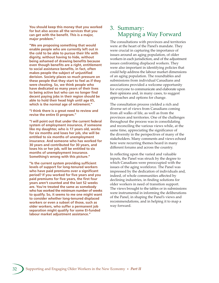**You should keep this money that you worked for but also access all the services that you can get with the benefit. This is a major, major problem."** 

**"We are proposing something that would enable people who are currently left out in the cold to be able to pursue their life with dignity, without having to hide, without being ashamed of drawing benefits because even though benefits are a right, entitlement to social assistance benefits, in fact, often makes people the subject of unjustified derision. Society places so much pressure on these people that they start to feel as if they were cheating. So, we think people who have dedicated so many years of their lives to being active but who can no longer find decent paying jobs in their region should be able to hold their head high until age 65, which is the normal age of retirement."**

**"I think there is a great need to review and revise the entire EI program."**

**"I will point out that under the current federal system of employment insurance, if someone like my daughter, who is 17 years old, works for six months and loses her job, she will be entitled to six months of unemployment insurance. And someone who has worked for 30 years and contributed for 30 years, and loses his or her job, will be entitled to six months of unemployment insurance. Something's wrong with this picture."**

**"Is the current system providing sufficient levels of support for long-tenured workers who have paid premiums over a significant period? If you worked for five years and you paid premiums for five years, the first four years aren't counted and the last 52 weeks are. You're treated the same as somebody who has worked the minimum number of weeks to qualify. So, it seems to me one might want to consider whether long-tenured displaced workers or even a subset of those, such as older workers, who suffer a permanent job separation might qualify for some EI-funded labour market adjustment assistance."**

# 3. Summary: Mapping a Way Forward

The consultations with provinces and territories were at the heart of the Panel's mandate. They were crucial in capturing the importance of issues around an aging population, of older workers in each jurisdiction, and of the adjustment issues confronting displaced workers. They were also important in identifying policies that could help address the labour market dimensions of an aging population. The roundtables and submissions from individual Canadians and associations provided a welcome opportunity for everyone to communicate and elaborate upon their opinions and, in many cases, to suggest approaches and options for change.

The consultation process yielded a rich and diverse set of views from Canadians coming from all walks of life, as well as from the provinces and territories. One of the challenges throughout the process was in consolidating and reconciling the various views while, at the same time, appreciating the significance of the diversity in the perspectives of many of the stakeholders. Many comments and views echoed here were recurring themes heard in many different forums and across the country.

In reflecting upon the varied and valuable inputs, the Panel was struck by the degree to which Canadians were preoccupied with the issues of the aging workforce. The Panel was impressed by the dedication of individuals and, indeed, of whole communities affected by declining industries, in finding solutions for older workers in need of transition support. The views brought to the tables or in submissions were instrumental in informing the deliberations of the Panel, in shaping the Panel's views and recommendations, and in helping it to map a way forward.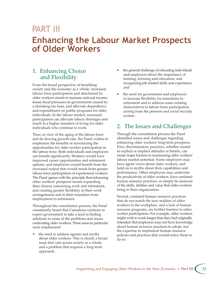# PART III

# **Enhancing the Labour Market Prospects of Older Workers**

# 1. Enhancing Choice and Flexibility

From the broad perspective of benefiting society and the economy as a whole, increased labour force participation and attachment by older workers stands to increase national income, lessen fiscal pressures on governments caused by a shrinking tax base, and alleviate dependency and expenditures on public programs for older individuals. In the labour market, increased participation can alleviate labour shortages and result in a higher standard of living for older individuals who continue to work.

Thus, in view of the aging of the labour force and its slowing growth rate, the Panel wishes to emphasize the benefits of maximizing the opportunities for older worker participation in the labour force. Both individuals and employers can benefit significantly. Workers would have improved career opportunities and retirement options, and employers would benefit from the increased output that would result from greater labour force participation of experienced workers. The Panel agrees with the principle that enhancing older workers' prospects means expanding their choices concerning work and retirement, and creating greater flexibility in their work arrangements and in their transition from employment to retirement.

Throughout the consultation process, the Panel consistently heard that Canadians continue to expect government to take a lead in finding solutions to some of the problems and issues confronting older workers. Three areas in particular were emphasized:

• the need to address ageism and myths about older workers. This is clearly a broad issue that cuts across society as a whole, and a problem that requires a long-term approach;

- the general challenge of educating individuals and employers about the importance of training, learning and education, and recognizing job-related skills and experience; and
- the need for government and employers to increase flexibility for transitions to retirement and to address some existing disincentives to labour force participation arising from the pension and social security system.

# 2. The Issues and Challenges

Through the consultation process the Panel identified issues and challenges regarding enhancing older workers' long-term prospects. First, discriminatory practices, whether rooted in explicit or implied attitudes or beliefs, can create major barriers to maximizing older workers' labour market potential. Some employers may have ageist views about older workers, and hold on to myths about their capabilities and performance. Other employers may underrate the productivity of older workers, have outdated human resource practices, or simply be unaware of the skills, abilities and value that older workers bring to their organization.

Second, outdated human resource practices that do not match the new realities of older workers in the workplace, and a lack of human resource programs, are further barriers to older worker participation. For example, older workers might wish to work longer than they had originally intended. But employers may not have knowledge about human resource practices to adopt, nor the expertise to implement human resource policies and practices that would entice them to do so.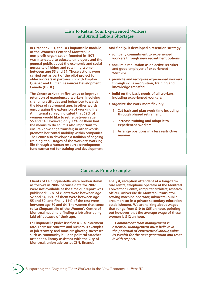### **How to Retain Your Experienced Workers and Avoid Labour Shortages**

**In October 2001, the La Cinquantelle module of the Women's Center of Montreal, a non-profit organization founded in 1973 was mandated to educate employers and the general public about the economic and social necessity of hiring and retaining women between age 55 and 64. Those actions were carried out as part of the pilot project for older workers in partnership with Emploi-Québec and Human Resources Development Canada (HRDC).** 

**The Centre arrived at five ways to improve retention of experienced workers, involving changing attitudes and behaviour towards the idea of retirement age; in other words encouraging the extension of working life. An internal survey indicated that 69% of women would like to retire between age 55 and 64. However, only 37% of them had the means to do so. It is also important to ensure knowledge transfer; in other words promote horizontal mobility within companies. The Centre also developed a tradition of ongoing training at all stages of the workers' working life through a human resource development fund earmarked for training and development.**  **And finally, it developed a retention strategy:**

- **company commitment to experienced workers through new recruitment options;**
- **acquire a reputation as an active recruiter and good employer of experienced workers;**
- **promote and recognize experienced workers through skills recognition, training and knowledge transfer;**
- **build on the basic needs of all workers, including experienced workers;**
- **organize the work more flexibly:**
	- **1. Cut back and plan work time including through phased retirement;**
	- **2. Increase training and adapt it to experienced workers;**
	- **3. Arrange positions in a less restrictive manner.**

### **Concrete, Prime Examples**

**Clients of La Cinquantelle were broken down as follows in 2006, because data for 2007 were not available at the time our report was published: 52% of clients were between age 52 and 54, 35% of them were between age 55 and 59, and finally 11% of the rest were between age 60 and 64. The women that come to La Cinquantelle of the Women's Centre of Montreal need help finding a job after being laid off because of their age.** 

**La Cinquantelle prides itself on a 65% placement rate. There are concrete and numerous examples of job recovery, and some are glowing successes such as community builder, political attachée attendant, library assistant with the City of Montreal, union advisor at CSN, financial** 

**analyst, reception attendant at a long-term care centre, telephone operator at the Montreal Convention Centre, computer architect, research officer, Université de Montréal, translator, sewing machine operator, advocate, public area monitor in a private secondary education establishment. We are talking about wages that range from \$10 to \$65 an hour, pointing out however that the average wage of these women is \$12 an hour.**

*– Commitment from management is essential. Management must believe in the potential of experienced labour, value its wealth for the next generation and treat it with respect. –*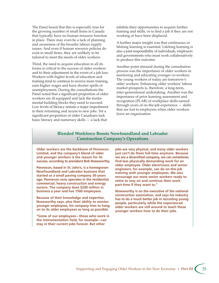The Panel heard that this is especially true for the growing number of small firms in Canada that typically have no human resource function in place. There may even be a lack of planning and awareness of the broader labour supply issues. And even if human resource policies do exist in small firms, they are unlikely to be tailored to meet the needs of older workers.

Third, the need to acquire education in all its forms is critical to the success of older workers and to their adjustment in the event of a job loss. Workers with higher levels of education and training tend to continue to receive more training, earn higher wages and have shorter spells of unemployment. During the consultations the Panel noted that a significant proportion of older workers are ill equipped and lack the fundamental building blocks they need to succeed. Low levels of literacy remain a major impediment to their retraining and access to new jobs. Yet a significant proportion of older Canadians lack basic literacy and numeracy skills — a lack that

inhibits their opportunities to acquire further training and skills, or to find a job if they are not working or have been displaced.

A further major insight was that continuous or lifelong learning is essential. Lifelong learning is also a joint responsibility of individuals, employers and governments who must work collaboratively to produce this outcome.

Another point stressed during the consultation process was the importance of older workers in mentoring and educating younger co-workers. The young workers of today are tomorrow's older workers. Enhancing older workers' labour market prospects is, therefore, a long-term, inter-generational undertaking. Another was the importance of prior learning assessment and recognition (PLAR) of workplace skills earned through years of on-the-job experience — skills that are lost to employers when older workers leave an organization.

### **Blended Workforce Boosts Newfoundland and Labrador Construction Company's Operations**

**Older workers are the backbone of Pennecon Limited, and the company's blend of older and younger workers is the reason for its success, according to president Bob Noseworthy.**

**Pennecon, based in St. John's, is a homegrown Newfoundland and Labrador business that started as a small paving company 30 years ago. Pennecon now operates in the residential, commercial, heavy construction and energy sectors. The company does \$200 million in business a year and has 1500 employees.** 

**Because of their knowledge and expertise, Noseworthy says, plus their ability to mentor younger employees, his company tries to hang on to its older employees as long as possible.** 

**"Some of our employees—those who work in the instrumentation field, for example—can stay in their current jobs forever. But other** 

**jobs are very physical, and many older workers just can't do them full-time anymore. Because we are a diversified company, we can sometimes find less physically demanding work for an older employee. Older electricians and senior engineers, for example, can do on-the-job training with younger employees. We also encourage our more senior workers ready to retire to stay on and continue their work part-time if they want to."**

**Noseworthy is on the executive of the national construction association, and says his industry has to do a much better job in recruiting young people, particularly while the experienced older workers are still around to teach these younger workers how to do their jobs.**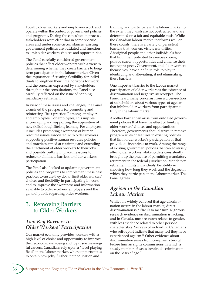Fourth, older workers and employers work and operate within the context of government policies and programs. During the consultation process, stakeholders were clear that in some specific areas and under some circumstances, existing government policies are outdated and function to limit older workers' choices and opportunities.

The Panel carefully considered government policies that affect older workers with a view to determining whether they create barriers to longterm participation in the labour market. Given the importance of creating flexibility for individuals to lengthen their time horizons for work, and the concerns expressed by stakeholders throughout the consultations, the Panel also carefully reflected on the issue of banning mandatory retirement.

In view of these issues and challenges, the Panel examined the prospects for promoting and reinforcing "best practices" among employers and employees. For employees, this implies encouraging and supporting the acquisition of new skills through lifelong learning. For employers, it includes promoting awareness of human resource issues associated with older workers, supporting positive human resource policies and practices aimed at retaining and extending the attachment of older workers to their jobs, and possibly putting in place measures to reduce or eliminate barriers to older workers' participation.

The Panel also looked at updating government policies and programs to complement these best practices to ensure they do not limit older workers' choices and flexibility in participating in work, and to improve the awareness and information available to older workers, employers and the general public regarding older workers.

# 3. Removing Barriers to Older Workers

# *Two Key Barriers to Older Workers' Participation*

Our market economy provides workers with a high level of choice and opportunity to improve their economic well-being and to pursue meaningful careers. Canadians rely upon a "level playing field" in the labour market, where opportunities to obtain new jobs, further their education and

training, and participate in the labour market to the extent they wish are not obstructed and are determined on a fair and equitable basis. While the Canadian labour market performs well on these counts, there is a variety of persistent barriers that women, visible minorities, Aboriginal people and other individuals face that limit their potential to exercise choice, pursue current opportunities and enhance their future prospects. Government, and older workers themselves, have a definite role to play in identifying and alleviating, if not eliminating, these barriers.

One important barrier to the labour market participation of older workers is the existence of discrimination and negative stereotypes. The Panel heard many concerns from a cross-section of stakeholders about various types of ageism that inhibit older workers from participating fully in the labour market.

Another barrier can arise from outdated government policies that have the effect of limiting older workers' choices and opportunities. Therefore, governments should strive to remove program rules or features in existing policies that limit older worker's participation or that provide disincentives to work. Among the range of existing government policies that can adversely affect older workers, stakeholders consistently brought up the practice of permitting mandatory retirement in the federal jurisdiction. Mandatory retirement limits individuals' flexibility in choosing how long they work and the degree in which they participate in the labour market. The Panel agrees.

# *Ageism in the Canadian Labour Market*

While it is widely believed that age discrimination occurs in the labour market, direct discrimination is difficult to measure. Rigorous research evidence on discrimination is lacking, and in Canada, most research relates to gender, with less evidence related to other personal characteristics. Surveys of individual Canadians who self-report indicate that many feel they have experienced ageism.<sup>90</sup> Other evidence about discrimination arises from complaints brought before human rights commissions in which a steady number of cases involve discrimination on the basis of age.<sup>91</sup>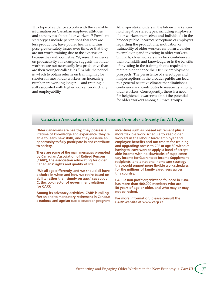This type of evidence accords with the available information on Canadian employer attitudes and stereotypes about older workers. 92 Prevalent stereotypes include perceptions that they are less productive, have poorer health and thus pose greater safety issues over time, or that they are not worth training due to the expense or because they will soon retire. Yet, research evidence on productivity, for example, suggests that older workers are not necessarily less productive than are their younger colleagues. 93 While the period in which to obtain returns on training may be shorter for most older workers, an increasing number are working longer — and training is still associated with higher worker productivity and employability.

All major stakeholders in the labour market can hold negative stereotypes, including employers, older workers themselves and individuals in the broader public. Incorrect perceptions of employers regarding the productivity, motivation or trainability of older workers can form a barrier to employing and investing in older workers. Similarly, older workers may lack confidence in their own skills and knowledge, or in the benefits of investing in the training that is required to maintain or enhance their future employment prospects. The persistence of stereotypes and misperceptions in the broader public can lead to a general negative climate that diminishes confidence and contributes to insecurity among older workers. Consequently, there is a need for heightened awareness about the potential for older workers among all three groups.

### **Canadian Association of Retired Persons Promotes a Society for All Ages**

**Older Canadians are healthy, they possess a lifetime of knowledge and experience, they're able to learn new skills, and they deserve an opportunity to fully participate in and contribute to society.**

**These are some of the main messages promoted by Canadian Association of Retired Persons (CARP), the association advocating for older Canadians' rights and quality of life.** 

**"We all age differently, and we should all have a choice in when and how we retire based on ability rather than simply on age," says Judy Cutler, co-director of government relations for CARP.**

**Among its advocacy activities, CARP is calling for: an end to mandatory retirement in Canada; a national anti-ageism public education program;** 

**incentives such as phased retirement plus a more flexible work schedule to keep older workers in the labour force; employer and employee benefits and tax credits for training and upgrading; access to CPP at age 60 without having to leave work to apply; a band of acceptable income with no clawbacks of supplementary income for Guaranteed Income Supplement recipients; and a national homecare strategy that would support more flexible work schedules for the millions of family caregivers across this country.** 

**CARP, a non-profit organization founded in 1984, has more than 400,000 members who are 50 years of age or older, and who may or may not be retired.** 

**For more information, please consult the CARP website at www.carp.ca.**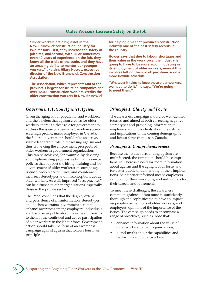### **Older Workers Increase Safety on the Job**

**"Older workers are a big asset in the New Brunswick construction industry for two reasons. First, they increase the safety at job sites, and second, with 30 or sometimes even 40 years of experience on the job, they know all the tricks of the trade, and they have an amazing ability to mentor our younger workers," explains Hilary Howes, executive director of the New Brunswick Construction Association.**

**The Association, which represents 600 of the province's largest construction companies and over 12,000 construction workers, credits the older construction workers in New Brunswick** 

### *Government Action Against Ageism*

Given the aging of our population and workforce and the barriers that ageism creates for older workers, there is a clear role for government to address the issue of ageism in Canadian society. As a high profile, major employer in Canada, the federal government should take an active, visible leadership role in redressing ageism and thus enhancing the employment prospects of older workers in government organizations. This can be achieved, for example, by devising and implementing progressive human resource policies that support the hiring, training and job advancement of older workers; encourage agefriendly workplace cultures; and counteract incorrect stereotypes and misconceptions about older workers. As well, improved "best practices" can be diffused to other organizations, especially those in the private sector.

The Panel concludes that the degree, extent and persistence of misinformation, stereotypes and ageism warrants government action to enhance awareness among employers, individuals and the broader public about the value and benefits to them of the continued and active participation of older workers in the labour force. Government action should take the form of an awareness campaign against ageism that follows four main principles.

**for helping give that province's construction industry one of the best safety records in the country.**

**Howes says that due to labour shortages and their value in the workforce, the industry is going to have to be more accommodating in its employment of older workers, even if this involves letting them work part-time or on a more flexible schedule.**

**"Whatever it takes to keep these older workers, we have to do it," he says. "We're going to need them."**

### *Principle 1: Clarity and Focus*

The awareness campaign should be well-defined, focused and aimed at both correcting negative stereotypes and providing information to employers and individuals about the nature and implications of the coming demographic and labour force changes in Canada.

### *Principle 2: Comprehensiveness*

Because the issues surrounding ageism are multifaceted, the campaign should be comprehensive. There is a need for more information about ageism and the aging labour force, and for better public understanding of their implications. Being better informed means employers can plan for their workforce, and individuals for their careers and retirements.

To meet these challenges, the awareness campaign against ageism must be sufficiently thorough and sophisticated to have an impact on people's perceptions of older workers, and employers' opinions of the importance of the issues. The campaign needs to encompass a range of objectives, such as those that:

- enhance information about the value of older workers to their organizations;
- dispel myths about the capabilities and performance of older workers;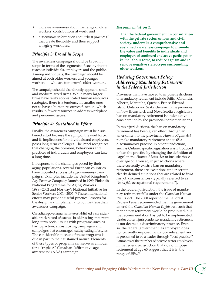- increase awareness about the range of older workers' contributions at work; and
- disseminate information about "best practices" that create flexibility and thus support an aging workforce.

### *Principle 3: Broad in Scope*

The awareness campaign should be broad in scope in terms of the segments of society that it reaches: individuals, employers and the public. Among individuals, the campaign should be aimed at both older workers and younger workers — who are tomorrow's older workers.

The campaign should also directly appeal to smalland medium-sized firms. While many larger firms have fairly sophisticated human resources strategies, there is a tendency in smaller ones not to have a human resources function, which results in fewer resources to address workplace and personnel issues.

### *Principle 4: Sustained in Effort*

Finally, the awareness campaign must be a sustained effort because the aging of the workforce, and its implications for individuals and employers, poses long-term challenges. The Panel recognizes that changing the opinions, behaviours and practices of individuals and employers can take a long time.

In response to the challenges posed by their aging populations, several European countries have mounted successful age-awareness campaigns. Examples include the United Kingdom's Age Positive Campaign launched in 1999, Finland's National Programme for Aging Workers 1998 – 2002 and Norway's National Initiative for Senior Workers 2001-2005.<sup>94</sup> These international efforts may provide useful practical lessons for the design and implementation of the Canadian awareness campaign.

Canadian governments have established a considerable track record of success in addressing important long-term social issues with programs such as Participaction, anti-smoking campaigns and campaigns that encourage healthy eating lifestyles. The considerable success of these programs is due in part to their sustained nature. Elements of these types of programs can serve as a model for a "triple-A" Canadian "affirmative age awareness" (AAA) campaign.

### *Recommendation 1:*

**That the federal government, in consultation with the private sector, unions and civil society, undertake a comprehensive and sustained awareness campaign to promote the value and benefits to individuals and employers of continued and active participation in the labour force, to reduce ageism and to remove negative stereotypes surrounding older workers.**

### *Updating Government Policy: Addressing Mandatory Retirement in the Federal Jurisdiction*

Provinces that have moved to impose restrictions on mandatory retirement include British Columbia, Alberta, Manitoba, Quebec, Prince Edward Island, Ontario and Saskatchewan. In the provinces of New Brunswick and Nova Scotia a legislative ban on mandatory retirement is under active consideration by the provincial parliamentarians.

In most jurisdictions, the ban on mandatory retirement has been given effect through an amendment to the provincial *Human Rights Act* to make mandatory retirement at age 65 a discriminatory practice. In other jurisdictions, such as Ontario, specific legislation was introduced to ban the practice by changing the definition of "age" in the *Human Rights Act* to include those over age 65. Even so, in jurisdictions where there currently exists a ban on mandatory retirement, there are exceptions under certain clearly defined situations that are related to *bona fide* job circumstances (typically referred to as "*bona fide* occupational requirements").

In the federal jurisdiction, the issue of mandatory retirement falls under the *Canadian Human Rights Act*. The 2000 report of the LaForest Review Panel recommended that the government amend the *Canadian Human Rights Act* such that mandatory retirement would be prohibited, but the recommendation has yet to be implemented. Under current jurisprudence, mandatory retirement is not deemed a discriminatory practice. Even so, the federal government, as employer, does not currently impose mandatory retirement and is presumed to be a leader through "best practice." Estimates of the number of private sector employers in the federal jurisdiction that do not impose retirement at age 65 suggest that it is in the range of 25%. 95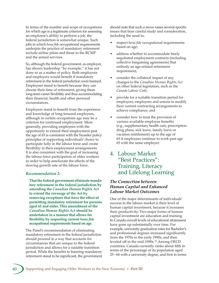In terms of the number and scope of occupations for which age is a legitimate criterion for assessing an employee's ability to perform a job, the federal jurisdiction is somewhat unique. Such jobs in which *bona fide* occupational requirements underpin the practice of mandatory retirement include airline pilots and those in the RCMP and the armed services.

So, although the federal government, as employer, has shown leadership "by example," it has not done so as a matter of policy. Both employees and employers would benefit if mandatory retirement in the federal jurisdiction were banned. Employees stand to benefit because they can choose their time of retirement, giving them long-term career flexibility and thus accommodating their financial, health and other personal circumstances.

Employers stand to benefit from the experience and knowledge of long-tenured employees, although in certain occupations age may be a criterion for continued employment. More generally, providing employees with the opportunity to extend their employment past the age of 65 is consistent with the broader policy principles of supporting individuals' choice to participate fully in the labour force and create flexibility in their employment arrangements. It is also consistent with the goal of increasing the labour force participation of older workers in order to help ameliorate the effects of the slowing growth rate of the labour force.

### *Recommendation 2:*

**That the federal government eliminate mandatory retirement in the federal jurisdiction by amending the** *Canadian Human Rights Act* **to extend the coverage of the Act by removing exceptions that have the effect of permiing mandatory retirement for persons aged 65 and older. This amendment of the**  *Canadian Human Rights Act* **should be undertaken in a manner that allows for flexibility by respecting current** *bona fide* **occupational requirements based on age.**

The Panel's recommendation of eliminating mandatory retirement in the federal jurisdiction should proceed in a way that accounts for circumstances that are unique to the federal jurisdiction and allows for a suitable transition period. While the benefits to banning mandatory retirement stand to be significant, the government should note that such a move raises several specific issues that bear careful study and consideration, including the need to:

- respect *bona fide* occupational requirements based on age;
- address whether to accommodate freely negotiated employment contracts (including collective bargaining agreements) that embody an age-related retirement requirement;
- consider the collateral impact of any changes to the *Canadian Human Rights Act*  on other federal legislation, such as the *Canada Labour Code*;
- provide for a suitable transition period for employers, employees and unions to modify their current contracting arrangements to achieve compliance; and
- consider how to treat the provision of various available employee benefits (e.g., supplementary health care, prescription drug plans, sick leave, family leave or vacation entitlement) up to the age of 65 if employees continue to work past age 65 with the same employer.

# 4. Labour Market "Best Practices": Training, Literacy and Lifelong Learning

### *The Connection between Human Capital and Enhanced Labour Market Outcomes*

One of the major determinants of individuals' success in the labour market is their level of human capital investment, because it increases their productivity. Two major forms of human capital investment are education and training. In Canada overall levels of educational attainment have gone up substantially over time. For example, university graduation rates for Bachelor's and professional degrees increased significantly from the 1970s to the early 1990s, and then leveled off in the mid-1990s.<sup>96</sup> Among OECD countries, Canada currently ranks about fifth in terms of the percentage of its population aged 25 – 64 with a university degree, and first in terms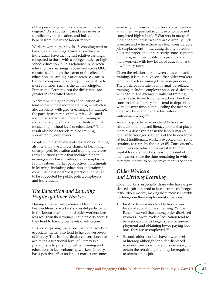of the percentage with a college or university degree. 97 As a country, Canada has invested significantly in education, and individuals benefit from this in the labour market.

Workers with higher levels of schooling tend to have greater earnings. University-educated individuals have the highest relative earnings, compared to those with a college, trades or high school education. 98 This relationship between education and earnings is observed across OECD countries, although the extent of the effect of education on earnings varies across countries. Canada compares favourably in this relative to most countries, such as the United Kingdom, France and Germany, but the differences are greater in the United States.

Workers with higher levels of education also tend to participate more in training — which is also associated with greater earnings. For example, the participation rate of university-educated individuals in formal job-related training is more than double that of individuals with, at most, a high-school level of education.<sup>99</sup> This result also holds for job-related training sponsored by employers.

People with higher levels of education or training also tend to have a lower chance of becoming unemployed. Education and training therefore form a virtuous circle that includes higher earnings and a lower likelihood of unemployment. From a labour market perspective, investments in learning, including education and training, constitute a national "best practice" that ought to be supported by public policy, employers and individuals.

# *The Education and Learning Profile of Older Workers*

Having sufficient education and training is a key condition for workers' successful participation in the labour market — and older workers fare less well than their younger counterparts because they tend to have lower levels of education.

It is not surprising, therefore, that older workers, especially males, also tend to have lower levels of literacy. This is of particular concern because achieving a functional level of literacy is a prerequisite to pursuing further training and education. In fact, enhancing workers' literacy has a positive effect on labour market outcomes,

especially for those with low levels of educational  $att$ attainment  $-$  particularly those who have not completed high school.<sup>100</sup> Workers in many of the Canadian industries that are currently under pressure and where there has been considerable job displacement — including fishing, forestry, pulp and paper, and until recently some segments of mining — fit this profile of typically older, male workers with low levels of education and low literacy rates.

Given the relationship between education and training, it is not unexpected that older workers tend to have less training than younger ones. The participation rate in all formal job-related training, including employer-sponsored, declines with age.<sup>101</sup> The average number of training hours is also lower for older workers. Another concern is that literacy skills tend to depreciate with age over time, compounding the fact that older workers tend to have low rates of functional literacy. 102

As a group, older workers tend to have an education, training and literacy profile that places them at a disadvantage in the labour market relative to younger segments of the labour force. At least traditionally, workers expected with some certainty to retire by the age of 65. Consequently, employers are reluctant to invest in human capital for older workers nearing the end of their career, since the time remaining in which to realize the return on the investment is so short.

# *Older Workers and Lifelong Learning*

Older workers, especially those who have experienced a job loss, tend to face a "triple challenge" in the labour market, making them more vulnerable to changes in their employment situations.

- First, older workers tend to have lower levels of education and training. Yet the Panel observed that among older displaced workers, lower levels of education tend to be associated with longer spells of unemployment and obtaining lower paying jobs once they are re-employed. 103
- Second, older workers have lower levels of literacy, although for older displaced workers, functional literacy, is necessary to obtain the retraining that may be required to obtain a new job.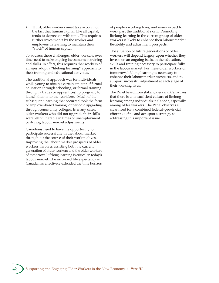• Third, older workers must take account of the fact that human capital, like all capital, tends to depreciate with time. This requires further investments by the worker and employers in learning to maintain their "stock" of human capital.

To address these challenges, older workers, over time, need to make ongoing investments in training and skills. In effect, this requires that workers of all ages adopt a "lifelong learning" approach to their training and educational activities.

The traditional approach was for individuals while young to obtain a certain amount of formal education through schooling, or formal training through a trades or apprenticeship program, to launch them into the workforce. Much of the subsequent learning that occurred took the form of employer-based training, or periodic upgrading through community colleges. In many cases, older workers who did not upgrade their skills were left vulnerable in times of unemployment or during labour market adjustments.

Canadians need to have the opportunity to participate successfully in the labour market throughout the course of their working lives. Improving the labour market prospects of older workers involves assisting both the current generation of older workers and the older workers of tomorrow. Lifelong learning is critical in today's labour market. The increased life expectancy in Canada has effectively extended the time horizon of people's working lives, and many expect to work past the traditional norm. Promoting lifelong learning in the current group of older workers is likely to enhance their labour market flexibility and adjustment prospects.

The situation of future generations of older workers will depend largely upon whether they invest, on an ongoing basis, in the education, skills and training necessary to participate fully in the labour market. For these older workers of tomorrow, lifelong learning is necessary to enhance their labour market prospects, and to support successful adjustment at each stage of their working lives.

The Panel heard from stakeholders and Canadians that there is an insufficient culture of lifelong learning among individuals in Canada, especially among older workers. The Panel observes a clear need for a combined federal–provincial effort to define and act upon a strategy to addressing this important issue.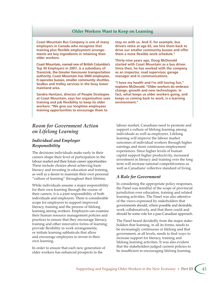### **Older Workers Want to Keep on Learning**

**Coast Mountain Bus Company is one of many employers in Canada who recognize that training plus flexible employment arrangements are key ingredients in retaining their older workers.**

**Coast Mountain, named one of British Columbia's Top 30 Employers in 2007, is a subsidiary of TransLink, the Greater Vancouver transportation authority. Coast Mountain has 5000 employees. It operates busses, smaller community shuttles, SeaBus and trolley services in the busy lower mainland area.**

**Sandra Hentzen, director of People Strategies at Coast Mountain, says her organization uses training and job flexibility to keep its older workers: "We give our longtime employees training opportunities to encourage them to** 

**stay on with us. And if, for example, bus drivers retire at age 65, we hire them back to drive our smaller community busses and offer them a more flexible work schedule."**

**Thirty-nine years ago, Doug McDonald started with Coast Mountain as a bus driver. Since then, he has worked with the company as an inspector, road supervisor, garage manager and in communications.**

**"I have my health and I'm still having fun," explains McDonald. "Older workers do embrace change, growth and new technologies. In fact, what keeps us older workers going, and keeps us coming back to work, is a learning environment."**

# *Room for Government Action on Lifelong Learning*

### *Individual and Employer Responsibility*

The decisions individuals make early in their careers shape their level of participation in the labour market and their future career opportunities. These include choices about achieving basic literacy and investing in education and training, as well as a desire to maintain their own personal "culture of learning" throughout their lifetime.

While individuals assume a major responsibility for their own learning through the course of their careers, it is a joint responsibility of both individuals and employers. There is considerable scope for employers to support improved literacy, training and the process of lifelong learning among workers. Employers can examine their human resource management policies and practices to ensure that they encourage literacy, training and other innovative forms of learning; provide flexibility in work arrangements; or initiate learning sabbaticals that allow and encourage employees to invest in their own learning.

In order to ensure that each new generation of older workers has enhanced prospects in the

labour market, Canadians need to promote and support a culture of lifelong learning among individuals as well as employers. Lifelong learning will improve the labour market outcomes of individual workers through higher earnings and more continuous employment experiences. Since higher levels of human capital support higher productivity, increased investment in literacy and training over the long term will increase national competitiveness as well as Canadians' collective standard of living.

### *A Role for Government*

In considering the appropriate policy responses, the Panel was mindful of the scope of provincial jurisdiction over education, training and related learning activities. The Panel was also attentive of the views expressed by stakeholders that governments should, where possible and desirable, work collaboratively, and that there could and should be some role for a pan-Canadian approach.

The Panel heard decidedly from the major stakeholders that learning, in all its forms, needs to be increasingly continuous or lifelong and that government, at all levels, needs to find ways to increase support for literacy, training and lifelong learning activities. It was also evident that the stakeholders judged current policies to be insufficient in encouraging lifelong learning.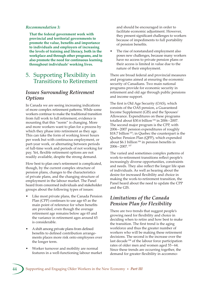### *Recommendation 3:*

**That the federal government work with provincial and territorial governments to promote the value, benefits and importance to individuals and employers of increasing the levels of training and literacy, both in the workplace and through other programs, and to also promote the need for continuous learning throughout individuals' working lives.**

# 5. Supporting Flexibility in Transitions to Retirement

# *Issues Surrounding Retirement Options*

In Canada we are seeing increasing indications of more complex retirement patterns. While some workers continue to make the traditional transition from full work to full retirement, evidence is mounting that this "norm" is changing. More and more workers want to plan for a process by which they phase into retirement as they age. This can take the form of working fewer hours per week but with continuous employment, or part-year work, or alternating between periods of full-time work and periods of not working for pay. Yet, flexible retirement options are not readily available, despite the strong demand.

How best to plan one's retirement is complicated, though, by the current complex structure of pension plans, changes to the characteristics of private plans, and the changing structure of employment in the labour market. The Panel heard from concerned individuals and stakeholder groups about the following types of issues:

- Like most private plans, the Canada Pension Plan (CPP) continues to use age 65 as the main point of reference for when benefits are provided, even though the average retirement age remains below age 65 and the variance in retirement ages around 65 is considerable.
- A shift among private plans from defined benefits to defined contribution arrangements places more risk onto employees over the longer term.
- Worker turnover and mobility are normal features in a well-functioning labour market

and should be encouraged in order to facilitate economic adjustment. However, they present significant challenges to workers because of impediments to full portability of pension benefits.

The rise of nonstandard employment also poses new challenges, because many workers have no access to private pension plans or their access is limited in value due to the nature of their employment.

There are broad federal and provincial measures and programs aimed at ensuring the economic security of Canadians. Two main national programs provide for economic security in retirement and old age through public pensions and income support.

The first is Old Age Security (OAS), which consists of the OAS pension, a Guaranteed Income Supplement (GIS) and the Spouses' Allowance. Expenditures on these programs totalled about  $$30.6$  billion<sup>104</sup> in 2006-2007. The second major program is the CPP, with 2006 – 2007 pension expenditures of roughly \$18.7 billion<sup>105</sup>; in Quebec the counterpart is the Quebec Pension Plan (QPP), which expended about \$6.1 billion<sup>106</sup> in pension benefits in 2006 – 2007. 107

The varied and sometimes complex patterns of work-to-retirement transitions reflect people's increasingly diverse opportunities, constraints and needs. They also reflect the longer life span of individuals. As well as hearing about the desire for increased flexibility and choice in making the work-to-retirement transition, the Panel heard about the need to update the CPP and the GIS.

### *Limitations of the Canada Pension Plan for Flexibility*

There are two trends that suggest people's growing need for flexibility and choice in deciding when to retire and how best to make the transition. The first trend is the aging workforce and thus the greater number of workers who will be making these retirement decisions. The second is the increase over the last decade<sup>108</sup> of the labour force participation rates of older men and women aged 55 – 64. Since these trends are occurring together, the demand for greater flexibility in accommo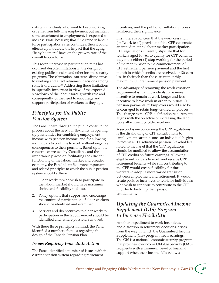dating individuals who want to keep working, or retire from full-time employment but maintain some attachment to employment, is expected to increase. Note, however, that if the trend in labour force participation rates continues, then it could effectively moderate the impact that the aging "baby boomers" have on the growth rate of the overall labour force.

This recent increase in participation rates has occurred despite limitations in the design of existing public pension and other income security programs. These limitations can create disincentives to working and affect retirement decisions among some individuals.<sup>109</sup> Addressing these limitations is especially important in view of the expected slowdown of the labour force growth rate and, consequently, of the need to encourage and support participation of workers as they age.

# *Principles for the Public Pension System*

The Panel heard through the public consultation process about the need for flexibility in opening up possibilities for combining employment income with pension income, and for allowing individuals to continue to work without negative consequences to their pensions. Based upon the concerns expressed by Canadians, and the importance placed on facilitating the efficient functioning of the labour market and broader economy, the Panel identified three important and related principles to which the public pension system should adhere:

- 1. Older workers who wish to participate in the labour market should have maximum choice and flexibility to do so.
- 2. Policy options that support and encourage the continued participation of older workers should be identified and examined.
- 3. Barriers and disincentives to older workers' participation in the labour market should be identified and, where possible, removed.

With these three principles in mind, the Panel identified a number of issues regarding the design of the Canada Pension Plan.

### *Issues Requiring Immediate Action*

The Panel identified a number of issues with the current pension system regarding retirement

incentives, and the public consultation process reinforced their significance.

First, there is concern that the work cessation (or "work test") provision of the CPP can create an impediment to labour market participation. CPP regulations currently stipulate that for workers aged 60–64 to qualify for CPP benefits, they must either (1) stop working for the period of the month prior to the commencement of CPP retirement pension payment and the first month in which benefits are received, or (2) earn less in their job than the current monthly maximum CPP retirement pension payment.

The advantage of removing the work cessation requirement is that individuals have more incentive to remain at work longer and less incentive to leave work in order to initiate CPP pension payments. 110 Employers would also be encouraged to retain long-tenured employees. This change to the CPP qualification requirements aligns with the objective of increasing the labour force attachment of older workers.

A second issue concerning the CPP regulations is the disallowing of CPP contributions to employment earnings once an individual begins to receive a CPP retirement pension. Stakeholders noted to the Panel that the CPP regulations should be modified to allow the accumulation of CPP credits on future earnings. Allowing eligible individuals to work and receive CPP retirement benefits while still contributing to the CPP would create flexibility for those workers to adopt a more varied transition between employment and retirement. It would create positive incentives to work for individuals who wish to continue to contribute to the CPP in order to build up their pension entitlements. 111

# *Updating the Guaranteed Income Supplement (GIS) Program to Increase Flexibility*

Another impediment to work incentives, and distortion in retirement decisions, arises from the way in which the Guaranteed Income Supplement (GIS) program treats earnings. The GIS is a national economic security program that provides low-income Old Age Security (OAS) recipients with a minimum level of financial support when their income falls below a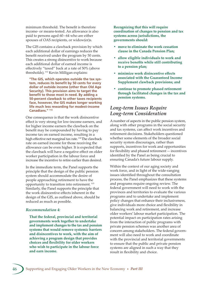minimum threshold. The benefit is therefore income- or means-tested. An allowance is also paid to persons aged 60 – 64 who are either spouses of OAS recipients, or widow(er)s.

The GIS contains a clawback provision by which each additional dollar of earnings reduces the benefit received under the program by 50 cents. This creates a strong disincentive to work because each additional dollar of earned income is effectively "taxed" back at a rate of 50% (above thresholds). 112 Kevin Milligan explains:

 **"The GIS, which operates outside the tax system, reduces its benefit by 50 cents for every dollar of outside income (other than Old Age Security). This provision aims to target the benefit to those most in need. By adding a 50-percent clawback to other taxes recipients face, however, the GIS makes longer working life much less rewarding for modest-income Canadians." 113**

One consequence is that the work disincentive effect is very strong for low-income earners, and for higher income earners the clawback on the benefit may be compounded by having to pay income tax on earned income, resulting in a high effective net marginal tax rate.<sup>114</sup> The clawback rate on earned income for those receiving the allowance can be even higher. It is expected that the clawback will have a negative effect on older worker participation in the labour force and increase the incentive to retire earlier than desired.

In the immediate term, the Panel supports the principle that the design of the public pension system should accommodate the desire of people approaching retirement to have the opportunity to transition into retirement. 115 Similarly, the Panel supports the principle that the work disincentive effects inherent in the design of the GIS, as outlined above, should be reduced as much as possible.

### *Recommendation 4:*

**That the federal, provincial and territorial governments work together to undertake and implement changes to the tax and pension systems that would remove systemic barriers and disincentives to work, with the aim of achieving a program design that provides choices and flexibility for older workers who wish to participate in the labour force and earn income.**

**Recognizing that this will require coordination of changes to pension and tax systems across jurisdictions, the governments should:**

- **move to eliminate the work cessation clause in the Canada Pension Plan;**
- **allow eligible individuals to work and receive benefits while still contributing to a pension plan;**
- **minimize work disincentive effects associated with the Guaranteed Income Supplement clawback provisions; and**
- **continue to promote phased retirement through facilitated changes in the tax and pension systems.**

### *Long-term Issues Require Long-term Consideration*

A number of aspects in the public pension system, along with other programs in the social security and tax systems, can affect work incentives and retirement decisions. Stakeholders questioned whether some elements of the broader social security system discourages, rather than supports, incentives for work and opportunities for flexibility and phased retirement — incentives identified by the Panel as being crucial to ensuring Canada's future labour supply.

Within the context of our aging society and work force, and in light of the wide-ranging issues identified throughout the consultation process, the Panel emphasizes that these systems and programs require ongoing review. The federal government will need to work with the provinces and territories to evaluate the various programs and to undertake and implement policy changes that enhance their inclusiveness, give individuals more choice and flexibility in balancing work and retirement, and increase older workers' labour market participation. The potential impact on participation rates arising from the interaction of public programs with private pension schemes was another area of concern among stakeholders. The federal government will also need to work and coordinate with the provincial and territorial governments to ensure that the public and private pension systems are aligned in such a way that they result in flexibility and choice.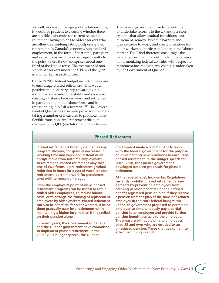As well, in view of the aging of the labour force, it would be prudent to examine whether there are possible disincentives in current registered retirement savings plans to older workers who are otherwise contemplating postponing their retirement. In Canada's economy, nonstandard employment, in the form of part-time, part-year and self-employment, has risen significantly to the point where it now comprises about onethird of the labour force. The treatment of nonstandard workers under the CPP and the QPP is another key area of concern.

Canada's 2007 federal budget included measures to encourage phased retirement. This was a positive and necessary step toward giving individuals maximum flexibility and choice in creating a balance between work and retirement, in participating in the labour force, and in transitioning into full retirement. 116 The Government of Quebec has also been proactive in undertaking a number of measures to promote more flexible transitions into retirement through changes to the QPP (see Information Box below).

The federal government needs to continue to undertake reforms to the tax and pension systems that allow gradual transitions into retirement, remove systemic barriers and disincentives to work, and create incentives for older workers to participate longer in the labour market. The Panel therefore encourages the federal government to continue to pursue ways of harmonizing federal tax rules with respect to retirement income with any changes undertaken by the Government of Quebec.

### **Phased Retirement**

**Phased retirement is broadly defined as any program allowing for gradual decreases in working time and workload instead of an abrupt move from full-time employment to retirement. Phased retirement may take one of two forms: a pre-retirement gradual reduction in hours (or days) of work; or postretirement, part-time work for pensioners who wish to remain employed.**

**From the employer's point of view, phased retirement programs can be useful to retain skilled older employees, to reduce labour costs, or to arrange the training of replacement employees by older workers. Phased retirement can also be beneficial for older workers. It helps them gradually ease into retirement while maintaining a higher income than if they relied on their pension alone.**

**In recent years, the Government of Canada and the Quebec government have committed to implement phased retirement. In the 2006 – 2007 budget speech, the Quebec** 

**government made a commitment to work with the federal government for the purpose of implementing new provisions to encourage phased retirement. In the budget speech for 2007 – 2008, the Quebec government developed detailed proposals for phased retirement.**

**At the federal level, Income Tax Regulations currently prohibit phased retirement arrangements by preventing employees from accruing pension benefits under a defined benefit registered pension plan if they receive a pension from the plan of the same or a related employer. In the 2007 federal budget, the Canadian government proposed to permit an employer to simultaneously pay a partial pension to an employee and provide further pension benefit accruals to the employee. The measure will apply only to employees aged 55 and over who are entitled to an unreduced pension. These changes come into effect beginning in 2008.**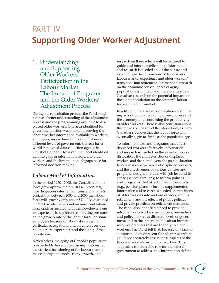# DA DT IV **Supporting Older Worker Adjustment**

1. Understanding and Supporting Older Workers' Participation in the Labour Market: The Impact of Programs and the Older Workers' Adjustment Process

During the consultation process, the Panel sought to have a better understanding of the adjustment process and the programming available to displaced older workers. One area identified for government action was that of improving the labour market information available to workers, employers, researchers and policy makers at different levels of government. Canada has a world-renowned data collection agency in Statistics Canada. However, the Panel identified definite gaps in information related to older workers and the limitations such gaps pose for informed decision-making.

# *Labour Market Information*

In the period 1950 – 2000, the Canadian labour force grew approximately 200%. In contrast, if participation rates remain constant, analysts project that between 2000 and 2050 the labour force will grow by only about 5%. 117 As discussed in Part I, while there is not an imminent labour force crisis associated with this slowdown, there are expected to be significant, continuing pressures on the growth rate of the labour force, on some employers because of labour shortages in particular occupations, and on employees due to longer life expectancy and the aging of the population.

Nevertheless, the aging of Canada's population is expected to have long-term implications for the efficient functioning of the labour market, the economy and productivity growth, and

research on these effects will be required to guide and inform public policy. Information and research is needed about the nature and extent of age discrimination, older workers' labour market experience and older workers' transitions into retirement. International research on the economic consequences of aging populations is limited, and there is a dearth of Canadian research on the potential impacts of the aging population on the country's labour force and labour market.

In addition, there are misconceptions about the impacts of population aging on employers and the economy, and concerning the productivity of older workers. There is also confusion about the impacts on the size of the labour force, as many Canadians believe that the labour force will eventually begin to shrink as the population ages.

To inform policies and programs that affect displaced workers effectively, information and research is needed on the extent of worker dislocation, the characteristics of displaced workers and their employers, the post-dislocation labour market experience of displaced workers, and the effectiveness of various policies and programs designed to deal with job loss and its consequences. Similarly, to inform policies and programs that affect older individuals (e.g., pension plans or income supplements), information and research is needed on transitions of older workers into and out of work, or into retirement, and the effects of public policies and private practices on retirement decisions. The Panel also identified a need to provide information to workers, employers, researchers and policy makers at different levels of government, and to the general public about human resource practices that are friendly to older workers. The Panel felt that, because of a lack of supporting data or recent Canadian research, it could not accurately assess these aspects of the labour market status of older workers. This suggests a considerable role for the federal government to address this information deficit.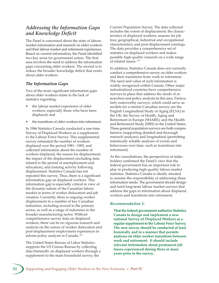# *Addressing the Information Gaps and Knowledge Deficit*

The Panel is concerned about the state of labour market information and research on older workers and their labour market and retirement experiences. Based on current information, the Panel identified two key areas for government action. The first area involves the need to address the information gaps concerning older workers. The second is to reduce the broader knowledge deficit that exists about older workers.

### *The Information Gaps*

Two of the more significant information gaps about older workers relate to the lack of statistics regarding:

- the labour market experience of older workers, especially those who have been displaced; and
- the transitions of older workers into retirement.

In 1986 Statistics Canada conducted a one-time Survey of Displaced Workers as a supplement to the Labour Force Survey. This supplemental survey estimated the number of workers displaced over the period 1981 – 1985, and collected information about the number of workers displaced, the reason for displacement, the impact of the displacement (including data related to the period of unemployment and relocation), and training activity following displacement. Statistics Canada has not repeated this survey. Thus, there is a significant information gap on displaced workers. This information gap is especially critical in view of the dynamic nature of the Canadian labour market in terms of worker dislocation and job creation. Currently, there is ongoing worker displacement in a number of key Canadian industries, including several in the primary sector, as well as a range of industries in the broader manufacturing sector. Without comprehensive survey data on displaced workers, there can be no rigorous research and analysis on the nature of worker dislocation and post-displacement employment experiences to inform policy analysis in Canada.<sup>118</sup>

The United States Bureau of Labor Statistics supports the US Census Bureau by collecting data biennially on displaced workers through a supplement to the main household survey, the

Current Population Survey. The data collected includes the extent of displacement; the characteristics of displaced workers; reasons for job loss; geographical, industrial and occupational characteristics; and post-displacement earnings. The data provides a comprehensive set of statistics on displaced workers and makes possible high-quality research on a wide range of related issues.<sup>119</sup>

In addition, Statistics Canada does not currently conduct a comprehensive survey on older workers and their transitions from work to retirement. The need and value of such information is widely recognized within Canada. Other major industrialized countries have comprehensive surveys in place that address the needs of researchers and policy analysts in this area. Particularly noteworthy surveys, which could serve as models for a similar Canadian survey, are the English Longitudinal Study of Aging (ELSA) in the UK; the Survey of Health, Aging and Retirement in Europe (SHARE); and the Health and Retirement Study (HRS) in the United States. These general population surveys are both comprehensive (supporting detailed and thorough research analyses) and longitudinal (permitting statistically reliable analyses of events and behaviours over time, such as transitions into retirement).

At the consultations, the perspectives of stakeholders confirmed the Panel's view that the federal government has an important role to play in producing high-quality labour market statistics. Statistics Canada is ideally situated to assume the responsibility of addressing these information needs. The government should design and fund long-term labour market surveys that address the gaps in information about displaced workers and transitions into retirement.

### *Recommendation 5:*

**That the federal government authorize Statistics Canada to design and implement a new national Survey of Displaced Workers as a regular supplement to the Labour Force Survey. The new survey should be conducted at least biennially and in a manner that permits analyses on older worker transitions between work and retirement. It should include relevant information about permanent job losses experienced during three or more years prior to the survey.**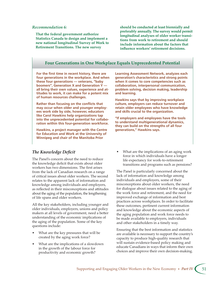### *Recommendation 6:*

**That the federal government authorize Statistics Canada to design and implement a new national longitudinal Survey of Work to Retirement Transitions. The new survey** 

**should be conducted at least biennially and preferably annually. The survey would permit longitudinal analyses of older worker transitions from work to retirement and should include information about the factors that influence workers' retirement decisions.**

### **Four Generations in One Workplace Equals Unprecedented Potential**

**For the first time in recent history, there are four generations in the workplace. And when these four generations — veterans, "baby boomers", Generation X and Generation Y all bring their own values, experience and attitudes to work, it can make for a potent mix of human resources challenges.**

**Rather than focusing on the conflicts that may occur when older and younger employees work side by side, however, educators like Carol Hawkins help organizations tap into the unprecedented potential for collaboration within this four-generation workforce.** 

**Hawkins, a project manager with the Centre for Education and Work at the University of Winnipeg and chair of the Manitoba Prior** 

### *The Knowledge Deficit*

The Panel's concern about the need to reduce the knowledge deficit that exists about older workers has two dimensions. The first arises from the lack of Canadian research on a range of critical issues about older workers. The second relates to the apparent lack of information and knowledge among individuals and employers, as reflected in their misconceptions and attitudes about the aging of the population, the lengthening of life spans and older workers.

All the key stakeholders, including younger and older individuals, employers, unions and policy makers at all levels of government, need a better understanding of the economic implications of the aging of the population. Some of the key questions include:

- What are the key pressures that will be created by the aging work force?
- What are the implications of a slowdown in the growth of the labour force for productivity and economic growth?

**Learning Assessment Network, analyzes each generation's characteristics and strong points when it comes to core competencies such as collaboration, interpersonal communication, problem solving, decision making, leadership and learning.**

**Hawkins says that by improving workplace culture, employers can reduce turnover and retain older employees who have knowledge and skills crucial to the organization.**

**"If employers and employees have the tools to understand multigenerational dynamics, they can build on the strengths of all four generations," Hawkins says.**

• What are the implications of an aging work force in which individuals have a longer life expectancy for work-to-retirement transitions and programs such as pensions?

The Panel is particularly concerned about the lack of information and knowledge among individuals and employers, some of their misconceptions about older workers, the need for dialogue about issues related to the aging of the work force and retirement, and the need for improved exchange of information and best practices across workplaces. In order to facilitate these outcomes, pertinent current information and knowledge about the economic aspects of the aging population and work force needs to be made available to employers, individuals and other stakeholders in a timely way.

Ensuring that the best information and statistics are available is necessary to support the country's capacity to produce high-quality research that will sustain evidence-based policy making and educate Canadians in ways that inform their own choices and improve their own decision-making.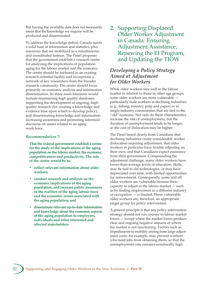But having the available data does not necessarily mean that the knowledge we require will be produced and disseminated.

To address the knowledge deficit, Canada needs a solid base of information and statistics, plus resources that are mobilized in a simultaneous and coordinated fashion. The Panel proposes that the government establish a research centre for analyzing the implications of population aging for the labour market and the economy. The centre should be anchored in an existing research-oriented facility and incorporate a network of key researchers from the broader research community. The centre should focus primarily on economic analysis and information dissemination. Its three main functions would include maintaining high quality databases; supporting the development of ongoing, highquality research (for creating a knowledge and evidence base upon which to develop policy); and disseminating knowledge and information, increasing awareness and promoting informed discourse on issues related to an aging work force.

### *Recommendation 7:*

**That the federal government establish a centre for the study of the implications of the aging population on the labour market, the economy, competitiveness and productivity. The role of the centre would be to:**

- **collect relevant information about older workers;**
- **conduct research and analysis on the economic implications of the aging population, and increase public awareness of the realities of the aging labour force and the economic issues associated with the aging population; and**
- **disseminate relevant up-to-date information and knowledge about the economic aspects of the aging population to employers, individuals and other interested and affected stakeholders.**

2. Supporting Displaced Older Worker Adjustment in Canada: Ensuring Adjustment Assistance, Renewing the EI Program, and Updating the TIOW

## *Developing a Policy Strategy Aimed at Adjustment for Older Workers*

While older workers fare well in the labour market in relation to those in other age groups, some older workers are more vulnerable particularly male workers in declining industries (e.g., fishing, forestry, pulp and paper) or in single-industry communities that are tied to the "old" economy. Not only do these characteristics increase the risk of unemployment, but the duration of unemployment tends to be longer, so the cost of dislocation may be higher.

The Panel heard clearly from Canadians that declining industries create considerable worker dislocation requiring adjustment, that older workers in particular have trouble adjusting on their own, and that Canadians expect assistance from their government. Compounding the adjustment challenge, many older workers have lower-than-average levels of education. Skills may be tied to old technologies, or may have depreciated over time, with limited opportunities for reinvestment. Consequently, some laid off older workers are vulnerable because their capacity to adjust in the labour market — such as by finding employment in a different industry or occupation — is limited. These vulnerable older workers are, therefore, an appropriate target group for policy intervention.

A general principle is that any policy intervention strategy should not run counter to labour market forces — except where the market forces produce clear and ongoing negative impacts or where the market is not functioning. Factors such as impediments to mobility arising from large adjustment costs, for example, may prevent workers who need jobs from obtaining them, so that the unemployment rate remains unnaturally high.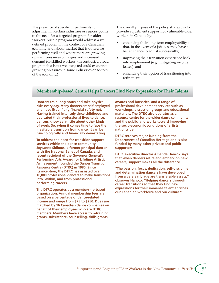The presence of specific impediments to adjustment in certain industries or regions points to the need for a targeted program for older workers. Such a program would address a welldefined problem in the context of a Canadian economy and labour market that is otherwise performing well and where there are growing upward pressures on wages and increased demand for skilled workers. (In contrast, a broad program that is not well targeted could exacerbate growing pressures in some industries or sectors of the economy.)

The overall purpose of the policy strategy is to provide adjustment support for vulnerable older workers in Canada by:

- enhancing their long-term employability so that, in the event of a job loss, they have a better chance to adjust successfully;
- improving their transition experience back into employment (e.g., mitigating income losses); and
- enhancing their option of transitioning into retirement.

### **Membership-based Centre Helps Dancers Find New Expression for Their Talents**

**Dancers train long hours and take physical risks every day. Many dancers are self-employed and have little if any financial safety net. Having trained intensely since childhood and dedicated their professional lives to dance, dancers know very little about other kinds of work. So, when it comes time to face the inevitable transition from dance, it can be psychologically and financially devastating.** 

**To address the need for transition support services within the dance community, Joysanne Sidimus, a former principal dancer with the National Ballet of Canada, and recent recipient of the Governor General's Performing Arts Award for Lifetime Artistic Achievement, founded the Dancer Transition Resource Centre (DTRC) in 1985. Since its inception, the DTRC has assisted over 10,000 professional dancers to make transitions into, within, and from professional performing careers.**

**The DTRC operates as a membership-based organization. Annual membership fees are based on a percentage of dance-related income and range from \$75 to \$250. Dues are matched by 16 Canadian dance companies on behalf of their employees who are DTRC members. Members have access to retraining grants, subsistence, counselling, skills grants,** 

**awards and bursaries, and a range of professional development services such as workshops, discussion groups and educational materials. The DTRC also operates as a resource centre for the wider dance community and the public, and works toward improving the socio-economic conditions of artists nationwide.** 

**DTRC receives major funding from the Department of Canadian Heritage and is also funded by many other private and public supporters.**

**DTRC executive director Amanda Hancox says that when dancers retire and embark on new careers, support makes all the difference.** 

**"The passion, focus, dedication, self-discipline and determination dancers have developed from a very early age are transferable assets," observes Hancox. "Helping dancers through career transitions so that they find new expressions for their immense talent enriches our Canadian workforce and our culture."**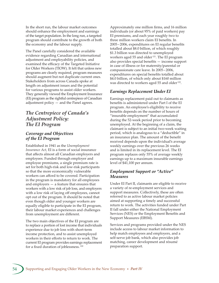In the short run, the labour market outcomes should enhance the employment and earnings of the target population. In the long run, a targeted program should contribute to the growth of both the economy and the labour supply.

The Panel carefully considered the available evidence regarding Canadian and international adjustment and employability policies, and examined the efficacy of the Targeted Initiative for Older Workers (TIOW). It felt that unless new programs are clearly required, program measures should augment but not duplicate current ones. Stakeholders from across Canada spoke at length on adjustment issues and the potential for various programs to assist older workers. They generally viewed the Employment Insurance (EI) program as the rightful centrepiece of Canadian adjustment policy — and the Panel agrees.

# *The Centrepiece of Canada's Adjustment Policy: The EI Program*

### *Coverage and Objectives of the EI Program*

Established in 1941 as the *Unemployment Insurance Act*, EI is a form of social insurance that affects almost all Canadian employers and employees. Funded through employer and employee premiums, a single premium rate is set for both high-risk and low-risk participants so that the more economically vulnerable workers can afford to be covered. Participation in the program is mandatory for all employees and employers — a feature that ensures that workers with a low risk of job loss, and employers with a low risk of laying off employees, cannot opt out of the program. It should be noted that even though older and younger workers are equally eligible to participate in the EI program, their labour market experiences and challenges from unemployment are different.

The two main objectives of the EI program are to replace a portion of lost income that individuals experience due to job loss with short-term income protection, and to assist unemployed workers in their efforts to return to work. The current EI program provides earnings replacement for a fixed duration of joblessness.<sup>120</sup>

Approximately one million firms, and 16 million individuals (or about 95% of paid workers) pay EI premiums, and each year roughly two to three million workers claim EI benefits. In 2005 – 2006, expenditures on EI regular benefits totalled about \$8.0 billion, of which roughly \$1.3 billion was directed to unemployed workers aged 55 and older<sup>121</sup>. The EI program also provides special benefits — income support in case of illness or for maternity/parental or compassionate care leave. In 2005 – 2006, expenditures on special benefits totalled about \$4.0 billion, of which only about \$160 million was directed to workers aged 55 and older<sup>122</sup>.

### *Earnings Replacement Under EI*

Earnings replacement paid out to claimants as benefits is administered under Part I of the EI program. An employee's eligibility to receive benefits depends on the number of hours of "insurable employment" that accumulated during the 52-week period prior to becoming unemployed. At the beginning of a claim, the claimant is subject to an initial two-week waiting period, which is analogous to a "deductible" in an insurance plan. The amount of the benefit received depends upon the individual's average weekly earnings over the previous 26 weeks and is limited in its replacement level. The EI program replaces only 55% of average weekly earnings up to a maximum insurable earnings level of \$41,100 per annum.

### *Employment Support or "Active" Measures*

Under EI Part II, claimants are eligible to receive a variety of re-employment services and support measures. Collectively, these are often referred to as active labour market policies aimed at supporting a timely and successful return to work. The activities funded under Part II fall under either the National Employment Services (NES) or the Employment Benefits and Support Measures (EBSM).

Services and programs provided under the NES include access to labour market information to help match employees and employers, and a self-serve job bank, which also provides job matching, career development and résumé preparation support.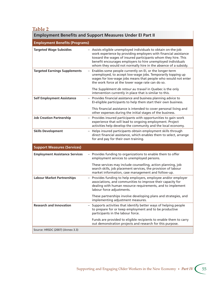## **Table 2**

# **Employment Benefits and Support Measures Under EI Part II**

| <b>Employment Benefits (Programs)</b> |                                                                                                                                                                                                                                                                                                                                      |
|---------------------------------------|--------------------------------------------------------------------------------------------------------------------------------------------------------------------------------------------------------------------------------------------------------------------------------------------------------------------------------------|
| <b>Targeted Wage Subsidies</b>        | - Assists eligible unemployed individuals to obtain on-the-job<br>work experience by providing employers with financial assistance<br>toward the wages of insured participants whom they hire. This<br>benefit encourages employers to hire unemployed individuals<br>whom they would not normally hire in the absence of a subsidy. |
| <b>Targeted Earnings Supplements</b>  | - Enables some people currently on EI, or the longer-term<br>unemployed, to accept low-wage jobs. Temporarily topping up<br>wages for low-wage jobs means that people who would not enter<br>the work force at the lower wage rate can do so.                                                                                        |
|                                       | The Supplément de retour au travail in Quebec is the only<br>intervention currently in place that is similar to this.                                                                                                                                                                                                                |
| <b>Self Employment Assistance</b>     | - Provides financial assistance and business planning advice to<br>EI-eligible participants to help them start their own business.                                                                                                                                                                                                   |
|                                       | This financial assistance is intended to cover personal living and<br>other expenses during the initial stages of the business.                                                                                                                                                                                                      |
| <b>Job Creation Partnership</b>       | - Provides insured participants with opportunities to gain work<br>experience that will lead to ongoing employment. Project<br>activities help develop the community and the local economy.                                                                                                                                          |
| <b>Skills Development</b>             | - Helps insured participants obtain employment skills through<br>direct financial assistance, which enables them to select, arrange<br>for and pay for their own training.                                                                                                                                                           |
| <b>Support Measures (Services)</b>    |                                                                                                                                                                                                                                                                                                                                      |
| <b>Employment Assistance Services</b> | - Provides funding to organizations to enable them to offer<br>employment services to unemployed persons.                                                                                                                                                                                                                            |
|                                       | These services may include counselling, action planning, job<br>search skills, job placement services, the provision of labour<br>market information, case management and follow-up.                                                                                                                                                 |
| <b>Labour Market Partnerships</b>     | - Provides funding to help employers, employee and/or employer<br>associations, and communities to improve their capacity for<br>dealing with human resource requirements, and to implement<br>labour force adjustments.                                                                                                             |
|                                       | These partnerships involve developing plans and strategies, and<br>implementing adjustment measures.                                                                                                                                                                                                                                 |
| <b>Research and Innovation</b>        | - Supports activities that identify better ways of helping people<br>to prepare for or keep employment and to be productive<br>participants in the labour force.                                                                                                                                                                     |
|                                       | Funds are provided to eligible recipients to enable them to carry<br>out demonstration projects and research for this purpose.                                                                                                                                                                                                       |
| Source: HRSDC (2007) (Annex 3.3)      |                                                                                                                                                                                                                                                                                                                                      |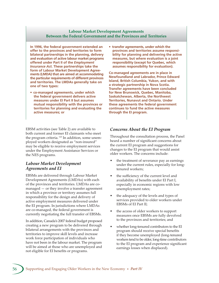### **Labour Market Development Agreements Between the Federal Government and the Provinces and Territories**

**In 1996, the federal government extended an offer to the provinces and territories to form bilateral partnerships in the planning, delivery and evaluation of active labour market programs offered under Part II of the** *Employment Insurance Act***. These partnerships take the form of Labour Market Development Agreements (LMDA) that are aimed at accommodating the particular requirements of different provinces and territories. The LMDAs generally take on one of two types:**

**• co-managed agreements, under which the federal government delivers active measures under EI Part II but assumes mutual responsibility with the provinces or territories for planning and evaluating the active measures; or** 

EBSM activities (see Table 2) are available to both current and former EI claimants who meet the program criteria.<sup>123</sup> In addition, some unemployed workers designated as "non-insured" may be eligible to receive employment services under the Employment Assistance Services or the NES programs.

### *Labour Market Development Agreements and EI*

EBSMs are delivered through Labour Market Development Agreements (LMDAs) with each of the provinces and territories. LMDAs are comanaged — or they involve a transfer agreement in which a province or territory assumes full responsibility for the design and delivery of active employment measures delivered under the EI program. In jurisdictions where LMDAs are co-managed, the federal government is currently negotiating the full transfer of EBSMs.

In addition, Canada's 2007 federal budget proposed creating a new program to be delivered through bilateral arrangements with the provinces and territories to improve skill levels and increase work force participation of individuals who have not been in the labour market. The program will be aimed at those who are unemployed and not eligible for EI benefits or programs.

**• transfer agreements, under which the provinces and territories assume responsibility for planning and delivering the active measures, but where evaluation is a joint responsibility (except for Quebec, which assumes responsibility for evaluation).**

**Co-managed agreements are in place in Newfoundland and Labrador, Prince Edward Island, British Columbia, Yukon, and with a strategic partnership in Nova Scotia. Transfer agreements have been concluded for New Brunswick, Quebec, Manitoba, Saskatchewan, Alberta, the Northwest Territories, Nunavut and Ontario. Under these agreements the federal government continues to fund the active measures through the EI program.**

### *Concerns About the EI Program*

Throughout the consultation process, the Panel heard a number of significant concerns about the current EI program and suggestions for changes to the EI program that would assist older workers. The concerns include:

- the treatment of severance pay as earnings under the current rules, especially for longtenured workers;
- the sufficiency of the current level and availability of benefits under EI Part I, especially in economic regions with low unemployment rates;
- the adequacy of the levels and types of services provided to older workers under EBSMs of EI Part II;
- the access of older workers to support measures once EBSMs are fully devolved to the provinces and territories; and
- whether long-tenured contributors to the EI program should receive special benefits if they become unemployed (long-tenured workers tend to be older, long-time contributors to the EI program and experience significant earnings losses when displaced).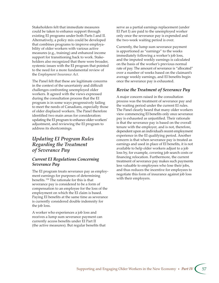Stakeholders felt that immediate measures could be taken to enhance support through existing EI programs under both Parts I and II. Alternatively, a policy mix could be developed that combines programs to improve employability of older workers with various active measures (e.g., training) and enhanced income support for transitioning back to work. Stakeholders also recognized that there were broader, systemic issues with the EI program that pointed to the need for a more fundamental review of the *Employment Insurance Act*.

The Panel felt that these are legitimate concerns in the context of the uncertainty and difficult challenges confronting unemployed older workers. It agreed with the views expressed during the consultation process that the EI program is in some ways progressively failing to meet the needs of Canadians, especially those of older displaced workers. The Panel therefore identified two main areas for consideration: updating the EI program to enhance older workers' adjustment, and reviewing the EI program to address its shortcomings.

# *Updating EI Program Rules Regarding the Treatment of Severance Pay*

### *Current EI Regulations Concerning Severance Pay*

The EI program treats severance pay as employment earnings for purposes of determining benefits. 124 The rationale for this is that severance pay is considered to be a form of compensation to an employee for the loss of the employment on which the EI claim is based. Paying EI benefits at the same time as severance is currently considered double indemnity for the job loss.

A worker who experiences a job loss and receives a lump sum severance payment can currently access benefits under EI Part II (the active measures). But regular benefits that serve as a partial earnings replacement (under EI Part I) are paid to the unemployed worker only once the severance pay is expended and the two-week waiting period is over.

Currently, the lump sum severance payment is apportioned as "earnings" to the weeks immediately following a worker's job loss, and the imputed weekly earnings is calculated on the basis of the worker's previous normal rate of pay. The amount of severance is "allocated" over a number of weeks based on the claimant's average weekly earnings, and EI benefits begin once the severance pay is exhausted.

### *Revise the Treatment of Severance Pay*

A major concern raised in the consultation process was the treatment of severance pay and the waiting period under the current EI rules. The Panel clearly heard that many older workers view commencing EI benefits only once severance pay is exhausted as unjustified. Their rationale is that the severance pay is based on the overall tenure with the employer, and is not, therefore, dependent upon an individual's recent employment experience in the EI qualifying period. Another concern is that when severance pay is treated as earnings and used in place of EI benefits, it is not available to help older workers adjust to a job loss by, for example, covering job search costs or financing relocation. Furthermore, the current treatment of severance pay makes such payments less valuable to employees who lose their jobs, and thus reduces the incentive for employees to negotiate this form of insurance against job loss with their employers.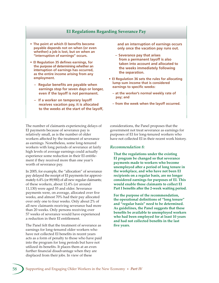### **EI Regulations Regarding Severance Pay**

- **The point at which EI benefits become payable depends not on when (or even whether) a job is lost, but on when an "interruption of earnings" occurs.**
- **EI Regulation 35 defines earnings, for the purpose of determining whether an interruption of earnings has occurred, as the entire income arising from any employment.**
	- **Regular benefits are payable when earnings stop for seven days or longer, even if the layoff is not permanent.**
	- **If a worker on temporary layoff receives vacation pay, it is allocated to the weeks at the start of the layoff,**

The number of claimants experiencing delays of EI payments because of severance pay is relatively small, as is the number of older workers affected by the treatment of severance as earnings. Nonetheless, some long-tenured workers with long periods of severance at fairly high levels of average earnings could actually experience some reduction in their EI entitlement if they received more than one year's worth of severance pay.

In 2005, for example, the "allocation" of severance pay delayed the receipt of EI payments for approximately 6.4% (or 89,900) of all new regular claimants; of these workers, about 12.4% (or around 11,130) were aged 55 and older. Severance payments were, on average, allocated over five weeks, and almost 70% had their pay allocated over only one to four weeks. Only about 2% of all new claimants receiving severance had more than 20 weeks. Only persons receiving over 57 weeks of severance would have experienced a reduction in their EI entitlement.

The Panel felt that the treatment of severance as earnings for long-tenured older workers who have not collected EI benefits in recent years acts as a form of penalty to those who have paid into the program for long periods but have not utilized its benefits. It places them at an even further financial disadvantage when they are displaced from their jobs. In view of these

**and an interruption of earnings occurs only once the vacation pay runs out.**

- **Severance pay that arises from a permanent layoff is also taken into account and allocated to the weeks immediately following the separation.**
- **EI Regulation 36 sets the rules for allocating lump sum income that is considered earnings to specific weeks:**
	- **at the worker's normal weekly rate of pay; and**
	- **from the week when the layoff occurred.**

considerations, the Panel proposes that the government not treat severance as earnings for purposes of EI for long-tenured workers who have not collected EI in their recent work history.

#### *Recommendation 8:*

**That the regulations under the existing EI program be changed so that severance payments made to workers who become**  unemployed after a period of long tenure in **the workplace, and who have not been EI recipients on a regular basis, are no longer considered earnings for purposes of EI. This would enable those claimants to collect EI**  Part I benefits after the 2-week waiting period.

**For the purpose of the recommendation, the operational definitions of "long tenure" and "regular basis" need to be determined. As guidelines, the Panel suggests that these benefits be available to unemployed workers who had been employed for at least 10 years and had not collected benefits in the last five years.**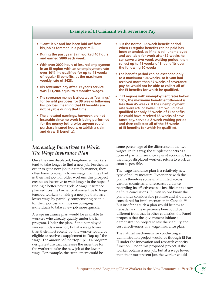### **Example of EI Claimant with Severance Pay**

- **"Sam" is 57 and has been laid off from his job as foreman in a paper mill.**
- **During the past year Sam worked 40 hours and earned \$800 each week.**
- **With over 2000 hours of insured employment in an EI region with an unemployment rate over 10%, he qualified for up to 45 weeks of regular EI benefits, at the maximum weekly rate of \$423.**
- **His severance pay after 39 year's service was \$31,200, equal to 9 month's wages.**
- **The severance money is allocated as "earnings" for benefit purposes for 39 weeks following his job loss, meaning that EI benefits are not payable during that time.**
- **The allocated earnings, however, are not insurable since no work is being performed for the money (otherwise anyone could purchase insured hours, establish a claim and draw EI benefits).**
- **But the normal 52-week benefit period when EI regular benefits can be paid has been extended, so if he is still unemployed and available for work after 39 weeks he can serve a two-week waiting period, then collect up to 45 weeks of EI benefits over the following 50 weeks.**
- **The benefit period can be extended only to a maximum 104 weeks, so if Sam had received more than 57 weeks of severance pay he would not be able to collect all of the EI benefits for which he qualified.**
- **In EI regions with unemployment rates below 10%, the maximum benefit entitlement is less than 45 weeks. If the unemployment rate were 6% or lower, Sam would have qualified for only 36 weeks of EI benefits. He could have received 66 weeks of severance pay, served a 2-week waiting period and then collected all of the 36 weeks of EI benefits for which he qualified.**

### *Increasing Incentives to Work: The Wage Insurance Plan*

Once they are displaced, long-tenured workers tend to take longer to find a new job. Further, in order to get a new job in a timely manner, they often have to accept a lower wage than they had in their last job. For older workers, this prospect creates an incentive to wait longer in the hope of finding a better-paying job. A wage insurance plan reduces the barrier or disincentive to longtenured workers to taking a new job that has a lower wage by partially compensating people for their job loss and thus encouraging individuals to take a new job more quickly.

A wage insurance plan would be available to workers who already qualify under the EI program. Under the plan, if an unemployed worker finds a new job, but at a wage lower than their most recent job, the worker would be eligible to receive a supplement to "top up" the wage. The amount of the "top-up" is a program design feature that increases the incentive for the worker to take the new job at the lower wage. For example, the supplement could be

some percentage of the difference in the two wages. In this way, the supplement acts as a form of partial insurance against economic loss that helps displaced workers return to work as soon as possible.

The wage insurance plan is a relatively new type of policy measure. Experience with the plan is therefore somewhat limited across various countries, and research evidence regarding its effectiveness is insufficient to draw definite conclusions. 125 Even so, we know the plan holds considerable promise and should be considered for implementation in Canada. 126 But insofar as such a plan would be new to Canada, and the experience here could be different from that in other countries, the Panel proposes that the government initiate a demonstration project to test the viability and cost effectiveness of a wage insurance plan.

The natural mechanism for conducting a demonstration project would be through EI Part II under the innovation and research capacity function. Under this proposed project, if the worker obtains a new job, but at a wage lower than their most recent job, the worker would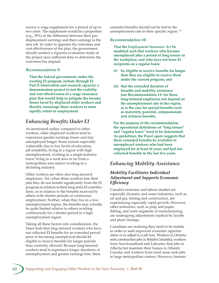receive a wage supplement for a period of up to two years. The supplement would be a proportion (e.g., 50%) of the difference between their predisplacement earnings and their earnings in the new job. In order to appraise the outcomes and cost effectiveness of the plan, the government should conduct a rigorous evaluation study of the project once sufficient time to determine the outcomes has elapsed.

### *Recommendation 9:*

**That the federal government, under the existing EI program, initiate through EI Part II (innovation and research capacity) a demonstration project to test the viability and cost effectiveness of a wage insurance plan that would help to mitigate the income losses faced by displaced older workers and thereby encourage these workers to more rapidly return to employment.**

# *Enhancing Benefits Under EI*

As mentioned earlier, compared to other workers, older displaced workers tend to experience greater earnings losses and stay unemployed longer. Some remain especially vulnerable due to low levels of education, job instability, living in a region with high unemployment, working in a single-industry town, living in a rural area or far from a metropolitan area and/or working in a declining industry.

Older workers are often also long-tenured employees. Yet, when these workers lose their jobs they do not benefit significantly from the EI program in relation to their long-term EI contributions, or in relation to the benefits received by others with shorter periods of continuous employment. Further, when they live in a lowunemployment region, the benefits may actually be quite limited relative to others working continuously for a shorter period in a high unemployment region.

Taking all these factors into consideration, the Panel feels that long-tenured workers who have not collected EI benefits for an extended period prior to becoming unemployed should be eligible to receive benefits for longer periods than currently allowed. Because long-tenured workers tend to experience longer durations of unemployment and greater earnings loss, these

extended benefits should not be tied to the unemployment rate in their specific region.<sup>127</sup>

### *Recommendation 10:*

**That the** *Employment Insurance Act* **be modified such that workers who become unemployed after a period of long tenure in the workplace, and who have not been EI recipients on a regular basis:**

- **(i) be eligible to receive benefits for longer than they are eligible to receive them under the current program; and**
- **(ii) that the extended duration of benefits and mobility assistance (see Recommendation 11) for these long-tenured employees not depend on the unemployment rate in the region, as is the case for special benefits such as maternity, parental, compassionate and sickness benefits.**

**For the purpose of the recommendation, the operational definitions of "long tenure" and "regular basis" need to be determined. As guidelines, the Panel again suggests that these extended benefits be available to unemployed workers who had been employed for at least 10 years and had not collected benefits in the last five years.**

### *Enhancing Mobility Assistance*

### *Mobility Facilitates Individual Adjustment and Supports Economic Efficiency*

Canada's economy and labour market are especially dynamic and some industries, such as oil and gas, mining and construction, are experiencing especially rapid growth. However, other industries, such as pulp and paper, fishing, and some segments of manufacturing, are undergoing adjustments marked by layoffs and plant closings.

Canadians are realizing they need to be mobile in order to seek improved economic opportunities or to adjust to a job loss. Workers in Ontario seek construction jobs in British Columbia; workers from Newfoundland and Labrador find jobs in Alberta but maintain their homes in Atlantic Canada; and workers from rural areas seek jobs in large metropolitan centres. However, barriers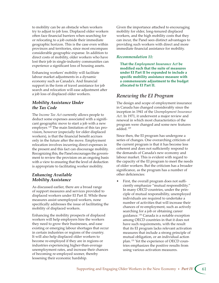to mobility can be an obstacle when workers try to adjust to job loss. Displaced older workers often face financial barriers when searching for or relocating to a job outside their immediate geographic horizon. This is the case even within provinces and territories, since most encompass considerable geographic expanse. In addition to direct costs of mobility, older workers who have lost their job in single-industry communities can experience a significant loss of housing assets.

Enhancing workers' mobility will facilitate labour market adjustments in a dynamic economy such as Canada's. And financial support in the form of travel assistance for job search and relocation will ease adjustment after a job loss of displaced older workers.

### *Mobility Assistance Under the Tax Code*

The *Income Tax Act* currently allows people to deduct some expenses associated with a significant geographic move to start a job with a new employer. 128 The main limitation of this tax provision, however (especially for older displaced workers), is that the financial benefit accrues only in the future after the move. Employment relocation involves incurring direct expenses in the present and this fact can discourage mobility. Recognizing this, the Panel encourages the government to review the provision on an ongoing basis with a view to ensuring that the level of deduction is appropriate to facilitating worker mobility.

### *Enhancing Available Mobility Assistance*

As discussed earlier, there are a broad range of support measures and services provided to displaced workers under EI Part II. While these measures assist unemployed workers, none specifically addresses the issue of facilitating the mobility of displaced workers.

Enhancing the mobility prospects of displaced workers will help employers hire the workers they need to grow their businesses, and ease existing or emerging labour shortages that occur in certain industries or regions of the country. It will also help displaced older workers to become re-employed if they are in regions or industries experiencing higher-than-average unemployment rates, and increase their chances of becoming re-employed sooner, thereby lessening their economic hardship.

Given the importance attached to encouraging mobility for older, long-tenured displaced workers, and the high mobility costs that they can incur, the Panel sees distinct advantages to providing such workers with direct and more immediate financial assistance for mobility.

### *Recommendation 11:*

**That the** *Employment Insurance Act* **be modified such that the suite of measures under EI Part II be expanded to include a specific mobility assistance measure with a commensurate adjustment to the budget allocated to EI Part II.**

# *Renewing the EI Program*

The design and scope of employment insurance in Canada has changed considerably since the inception in 1941 of the *Unemployment Insurance Act*. In 1971, it underwent a major review and renewal in which most characteristics of the program were changed and some new features added. 129

Since then, the EI program has undergone a series of changes. One overarching criticism of the current program is that it has become less coherent and does not sufficiently respond to the demands of Canada's new economy and labour market. This is evident with regard to the capacity of the EI program to meet the needs of older workers. But the criticism has a broader significance, as the program has a number of other deficiencies:

First, the overall program does not sufficiently emphasize "mutual responsibility." In many OECD countries, under the principle of mutual responsibility, unemployed individuals are required to undertake a number of activities that will increase their chances of re-employment, such as actively searching for a job or obtaining career guidance. 130 Canada is a notable exception among OECD countries in that it does not have such requirements, with the result that its EI program lacks relevant activation measures that include a strong principle of mutual obligation, or an individual action plan. 131 Yet the experience of OECD countries emphasizes the positive results from using various activation measures.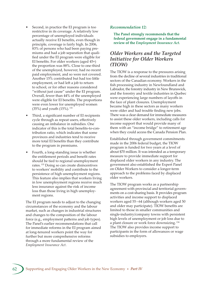- Second, in practice the EI program is too restrictive in its coverage. A relatively low percentage of unemployed individuals actually receive EI benefits, even though in principle, coverage is fairly high. In 2006, 83% of persons who had been paying premiums and had a job separation that qualified under the EI program were eligible for EI benefits. For older workers (aged 45+) the proportion was 88%. Close to one-third of the unemployed, however, had no recent paid employment, and so were not covered. Another 15% contributed but had too little employment, or had left a job to return to school, or for other reasons considered "without just cause" under the EI program. Overall, fewer than 44% of the unemployed were eligible for EI benefits. The proportions were even lower for unemployed women (35%) and youth (15%). <sup>132</sup>
- Third, a significant number of EI recipients cycle through as repeat users, effectively causing an imbalance in subsidies. One indicator of this is the total benefits-to-contribution ratio, which indicates that some provinces and industries tend to receive more total EI benefits than they contribute to the program in premiums.
- Fourth, a long-standing issue is whether the entitlement periods and benefit rates should be tied to regional unemployment rates. 133 Doing so can create disincentives to workers' mobility and contribute to the persistence of high unemployment regions. This feature also implies that workers living in low unemployment regions receive much less insurance against the risk of income loss than those living in high unemployment regions.

The EI program needs to adjust to the changing circumstances of the economy and the labour market, such as changes in industrial structures and changes to the composition of the labour force (e.g., employment patterns and job types). The Panel's earlier recommendations that call for immediate reforms in the EI program aimed at long-tenured workers point the way for further but more comprehensive reforms through a more fundamental review of the *Employment Insurance Act*.

### *Recommendation 12:*

**The Panel strongly recommends that the federal government engage in a fundamental review of the** *Employment Insurance Act.*

# *Older Workers and the Targeted Initiative for Older Workers (TIOW)*

The TIOW is a response to the pressures arising from the decline of several industries in traditional sectors of the Canadian economy. Workers in the fish processing industry in Newfoundland and Labrador, the forestry industry in New Brunswick, and the forestry and textile industries in Quebec were experiencing large numbers of layoffs in the face of plant closures. Unemployment became high in these sectors as many workers were older and had trouble finding new jobs. There was a clear demand for immediate measures to assist these older workers, including calls for income support that would provide many of them with an "income bridge" to retirement age when they could access the Canada Pension Plan.

Established through government commitments made in the 2006 federal budget, the TIOW program is funded for two years at a level of about \$70 million. It was intended as a temporary measure to provide immediate support for displaced older workers in any industry. The government also established the Expert Panel on Older Workers to consider a longer-term approach to the problems faced by displaced older workers.

The TIOW program works as a partnership agreement with provincial and territorial governments on a cost-sharing basis. It provides program activities and income support to displaced workers aged 55 – 64 (although workers aged 50 and older may participate). TIOW benefits are limited to those in smaller communities and single-industry/company towns with persistent high levels of unemployment or job loss due to a plant closure or work force downsizing.<sup>134</sup> The TIOW also provides income support to participants in the form of allowances or wage subsidies to employers.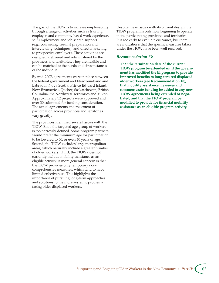The goal of the TIOW is to increase employability through a range of activities such as training, employer- and community-based work experience, self-employment and job search support (e.g., counseling, résumé preparation and interviewing techniques), and direct marketing to prospective employers. These activities are designed, delivered and administered by the provinces and territories. They are flexible and can be matched to the needs and circumstances of the individual.

By mid-2007, agreements were in place between the federal government and Newfoundland and Labrador, Nova Scotia, Prince Edward Island, New Brunswick, Quebec, Saskatchewan, British Columbia, the Northwest Territories and Yukon. Approximately 12 projects were approved and over 30 submitted for funding consideration. The actual agreements and the extent of participation across provinces and territories vary greatly.

The provinces identified several issues with the TIOW. First, the targeted age group of workers is too narrowly defined. Some program partners would prefer the minimum age for participation to be lowered to 50, or even 40 years of age. Second, the TIOW excludes large metropolitan areas, which naturally include a greater number of older workers. Third, the TIOW does not currently include mobility assistance as an eligible activity. A more general concern is that the TIOW provides only temporary noncomprehensive measures, which tend to have limited effectiveness. This highlights the importance of pursuing long-term approaches and solutions to the more systemic problems facing older displaced workers.

Despite these issues with its current design, the TIOW program is only now beginning to operate in the participating provinces and territories. It is too early to evaluate outcomes, but there are indications that the specific measures taken under the TIOW have been well received.

#### *Recommendation 13:*

**That the termination date of the current TIOW program be extended until the government has modified the EI program to provide improved benefits to long-tenured displaced older workers (see Recommendation 10); that mobility assistance measures and commensurate funding be added to any new TIOW agreements being extended or negotiated; and that the TIOW program be modified to provide for financial mobility assistance as an eligible program activity.**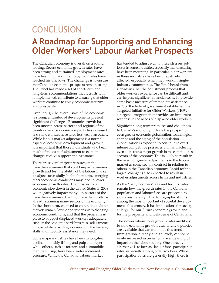## **CONCLUSION A Roadmap for Supporting and Enhancing Older Workers' Labour Market Prospects**

The Canadian economy is overall on a sound footing. Recent economic growth rates have been strong and sustained, employment rates have been high and unemployment rates have reached historic lows. The challenge is to ensure that Canada's economic prospects remain strong. The Panel has made a set of short-term and long-term recommendations that it trusts will, if implemented, contribute to ensuring that older workers continue to enjoy economic security and prosperity.

Even though the overall state of the economy is strong, a number of developments present significant challenges. Economic growth has been uneven across sectors and regions of the country, overall economic inequality has increased, and some workers have fared less well than others. While labour market adjustment is a normal aspect of economic development and growth, it is important that those individuals who bear much of the cost of adjustment to economic changes receive support and assistance.

There are several major pressures on the Canadian economy that could impact economic growth and test the ability of the labour market to adjust successfully. In the short term, emerging macroeconomic conditions may lead to lower economic growth rates. The prospect of an economic slowdown in the United States in 2008 will negatively impact many key sectors of the Canadian economy. The high Canadian dollar is already straining many sectors of the economy. In the short term, we need to ensure that labour markets remain flexible and responsive to changing economic conditions, and that the programs in place to support displaced workers adequately cushion the economic hardships these adjustments impose while providing workers with the training, skills and mobility assistance they need.

Some major industries have been in long-term decline — notably fishing and pulp and paper while others, such as forestry and automobile manufacturing, have been under increased pressure. While the Canadian labour market

has tended to adjust well to these stresses, job losses in some industries, especially manufacturing, have been mounting. In particular, older workers in these industries have been negatively affected, especially when they work in singleindustry communities. The Panel heard from Canadians that the adjustment process that older workers experience can be difficult and can impose significant financial costs. To provide some basic measure of immediate assistance, in 2006 the federal government established the Targeted Initiative for Older Workers (TIOW), a targeted program that provides an important response to the needs of displaced older workers.

Significant long-term pressures and challenges to Canada's economy include the prospect of even greater economic globalization, technological change and the aging of the population. Globalization is expected to continue to exert intense competitive pressures on manufacturing, even as it creates major growth in the commodities sectors of the economy. This is likely to result in the need for greater adjustments in the labour market as some sectors contract in relation to others in the Canadian economy. Rapid technological change is also expected to result in worker adjustments across firms and industries.

As the "baby boomers" age and fertility rates remain low, the growth rates in the Canadian population and labour force are projected to slow considerably. This demographic shift is among the most important of societal developments this century. It has implications for society at large, for our future economic growth and for the prosperity and well-being of Canadians.

The slower labour force growth rates are likely to slow economic growth rates, and few policies are available that can minimize this trend. Immigration, already at high levels, cannot be easily increased in order to have a meaningful impact on the labour supply. One attractive alternative is to increase labour force participation rates, especially among older workers. While participation rates are generally high, there is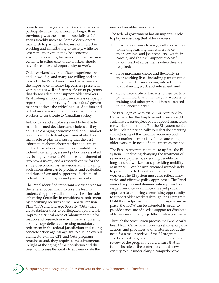room to encourage older workers who wish to participate in the work force for longer than previously was the norm — especially as life spans steadily increase. Some older workers may wish to participate because of interest in working and contributing to society, while for others the motivation may be economic arising, for example, because of limited pension benefits. In either case, older workers should have the choice and opportunity to work.

Older workers have significant experience, skills and knowledge and many are willing and able to work. The Panel heard from Canadians about the importance of removing barriers present in workplaces as well as features of current programs that do not adequately support older workers. Establishing a major public awareness campaign represents an opportunity for the federal government to address the critical issues of ageism and lack of awareness of the full potential of older workers to contribute to Canadian society.

Individuals and employers need to be able to make informed decisions and choices as they adjust to changing economic and labour market conditions. The federal government also has a major role to play in ensuring that the best information about labour market adjustment and older workers' transitions is available to individuals, employers and policy makers at all levels of government. With the establishment of two new surveys, and a research centre for the study of economic issues associated with aging, such information can be produced and evaluated, and thus inform and support the decisions of individuals, employers and governments.

The Panel identified important specific areas for the federal government to take the lead in undertaking policy adjustments. These include enhancing flexibility in transitions to retirement by modifying features of the Canada Pension Plan (CPP) and Old Age Security (OAS) that create disincentives to participate in paid work; improving critical areas of labour market information and research in which there is currently a knowledge deficit; addressing mandatory retirement in the federal jurisdiction; and taking concrete action against ageism. While the overall architecture of the CPP and OAS programs remains sound, they require some adjustments in light of the aging of the population and the need to increase flexibility to accommodate the

needs of an older workforce.

The federal government has an important role to play in ensuring that older workers:

- have the necessary training, skills and access to lifelong learning that will enhance their earnings and job prospects over their careers, and that will support successful labour market adjustments when they are required;
- have maximum choice and flexibility in their working lives, including participating in paid work, transitioning into retirement and balancing work and retirement; and
- do not face artificial barriers to their participation in work, and that they have access to training and other prerequisites to succeed in the labour market.

The Panel agrees with the views expressed by Canadians that the Employment Insurance (EI) system is the centrepiece of the support framework for worker adjustment. But the EI system needs to be updated periodically to reflect the emerging characteristics of the Canadian economy and labour market — especially those concerning older workers in need of adjustment assistance.

The Panel's recommendations to update the EI system — including changing the treatment of severance payments, extending benefits for long-tenured workers, and providing mobility assistance — can be implemented immediately to provide needed assistance to displaced older workers. The EI system must also reflect innovative and effective policy approaches. The Panel views the proposed demonstration project on wage insurance as an innovative yet prudent approach to exploring a promising opportunity to support older workers through the EI program. Until these adjustments to the EI program are in place, the TIOW can be extended in order to provide a measure of needed support for displaced older workers undergoing difficult job adjustments.

Through the consultation process, the Panel clearly heard from Canadians, major stakeholder organizations, and provinces and territories about the need for a major review of the EI program. The Panel's strong recommendation for a major review of the program would ensure that EI fulfills its role as the centerpiece in this new century. While undertaking a comprehensive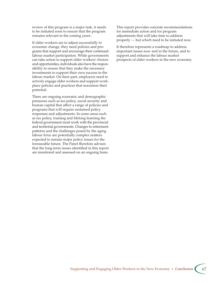review of this program is a major task, it needs to be initiated soon to ensure that the program remains relevant in the coming years.

If older workers are to adjust successfully to economic change, they need policies and programs that support and encourage their continued labour market participation. While governments can take action to support older workers' choices and opportunities, individuals also have the responsibility to ensure that they make the necessary investments to support their own success in the labour market. On their part, employers need to actively engage older workers and support workplace policies and practices that maximize their potential.

There are ongoing economic and demographic pressures such as tax policy, social security and human capital that affect a range of policies and programs that will require sustained policy responses and adjustments. In some areas such as tax policy, training and lifelong learning the federal government must work with the provincial and territorial governments. Changes to retirement patterns and the challenges posed by the aging labour force are potentially complex matters expected to remain major policy issues for the foreseeable future. The Panel therefore advises that the long-term issues identified in this report are monitored and assessed on an ongoing basis.

This report provides concrete recommendations for immediate action and for program adjustments that will take time to address properly — but which need to be initiated now.

It therefore represents a roadmap to address important issues now and in the future, and to support and enhance the labour market prospects of older workers in the new economy.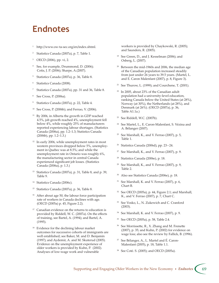### **Endnotes**

- <sup>1</sup> http://www.ow-ta-sec.org/en/index.shtml.
- 2 Statistics Canada (2007a), p. 7, Table 1.
- 3 OECD (2006), pp. vi, 2.
- 4 See, for example, Drummond, D. (2006); Cotis, J. P. (2006); Sharpe, A.(2007).
- 5 Statistics Canada (2007a), p. 36, Table 8.
- 6 Statistics Canada (2008).
- 7 Statistics Canada (2007a), pp. 31 and 36, Table 8.
- 8 See Cross, P. (2006a).
- 9 Statistics Canada (2007a), p. 22, Table 4.
- 10 See Cross, P. (2006b); and Ferrao, V. (2006).
- <sup>11</sup> By 2006, in Alberta the growth in GDP reached 4.5%, job growth reached 4%, unemployment fell below 4%, while roughly 25% of manufacturers reported experiencing labour shortages. (Statistics Canada (2006a), pp. 1.2–1.3; Statistics Canada (2006b), pp. 1.2–1.3.)
- $12$  In early 2006, while unemployment rates in most western provinces dropped below 5%, unemployment in Quebec was at 8.5%; and while the unemployment rate in Ontario was roughly 6%, the manufacturing sector in central Canada experienced significant job losses. (Statistics Canada (2006a), p. 1.3.)
- 13 Statistics Canada (2007a), p. 31, Table 8, and p. 39, Table 9.
- <sup>14</sup> Statistics Canada (2006c).
- 15 Statistics Canada (2007a), p. 36, Table 8.
- $16$  After about age 50, the labour force participation rate of workers in Canada declines with age. (OECD (2005a) p. 45, Figure 2.2).
- $17$  Canadian evidence on the returns to education is provided by Riddell, W. C. (2007a). On the effects of training, see Bartel, A. (1994); and Bartel, A. (1995).
- <sup>18</sup> Evidence for the declining labour market outcomes for successive cohorts of immigrants are well established; see Baker, M. and D. Benjamin (1997); and Aydemir, A. and M. Skuterud (2005). Evidence on the unemployment experience of older workers is provided by Kuhn, P. (2002). Analyses of low-wage work and vulnerable

workers is provided by Chaykowski, R. (2005); and Saunders, R. (2005).

- 19 See Green, D., and J. Kesselman (2006); and Osberg, L. (2007).
- <sup>20</sup> Between the mid-1960s and 2006, the median age of the Canadian population increased steadily from just under 26 years to 39.5 years. (Martel, L. and E. Caron Malenfant (2007), p. 8, Figure 3).
- <sup>21</sup> See Thurow, L. (1999); and Courchene, T. (2001).
- $22$  In 2005, about 23% of the Canadian adult population had a university-level education, ranking Canada below the United States (at 28%), Norway (at 30%), the Netherlands (at 28%), and Denmark (at 26%). (OECD (2007a), p. 36, Table A1.1a.)
- 23 See Riddell, W.C. (2007b).
- 24 See Martel, L., E. Caron-Malenfant, S. Vézina and A. Bélanger (2007).
- $25$  See Marshall, K., and V. Ferrao (2007), p. 5, Table 1.
- <sup>26</sup> Statistics Canada (2006d), pp. 23-24.
- $27$  See Marshall, K., and V. Ferrao (2007), p. 9.
- 28 Statistics Canada (2006e), p. 18.
- <sup>29</sup> See Marshall, K., and V. Ferrao (2007), p. 9, Table 2.
- 30 Also see Statistics Canada (2006e), p. 18.
- $31$  See Marshall, K. and V. Ferrao (2007), p. 6, Chart B.
- 32 See OECD (2005a), p. 44, Figure 2.1; and Marshall, K., and V. Ferrao (2007), p. 7, Chart C.
- 33 See Vosko, L., N. Zukewich and C. Cranford (2003).
- 34 See Marshall, K. and V. Ferrao (2007), p. 9.
- 35 See OECD (2005a), p. 58, Table 2.4.
- <sup>36</sup> See Morrissette, R., X. Zhang and M. Frenette (2007), p. 35; and Kuhn, P. (2002) for evidence on wage loss; also see the review by Fallick, B. (1996).
- 37 See Bélanger, A., L. Martel and É. Caron-Malenfant (2005), p. 18, Table 1.1.
- 38 See Coté. S. (2005); and OECD (2005a).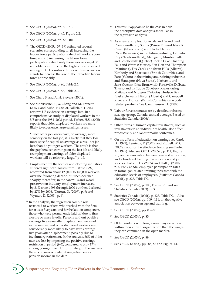- 39 See OECD (2005a), pp. 50 51.
- See OECD (2005a), p. 45, Figure 2.2.
- See OECD (2005a), pp. 83-101.
- 42 The OECD (2005a: 37–39) estimated several scenarios corresponding to: (i) increasing the labour force participation rate of all workers over time; and (ii) increasing the labour force participation rate of only those workers aged 50 and older, over time, to the highest rate observed among OECD countries. Either of these scenarios stands to increase the size of the Canadian labour force appreciably.
- 43 See OECD (2005a), p. 60, Table 2.5.
- 44 See OECD (2005a), p. 58, Table 2.4.
- See Chan, S. and A. H. Stevens (2001).
- <sup>46</sup> See Morrissette, R., X. Zhang and M. Frenette (2007); and Kuhn, P. (2002). Fallick, B. (1996) reviews US evidence on earnings loss. In a comprehensive study of displaced workers in the US over the 1984–2003 period, Farber, H.S. (2005) reports that older displaced workers are more likely to experience large earnings losses:

 "Since older job losers have, on average, more seniority on the lost job, it is likely that they lose more specific capital on average as a result of job loss than do younger workers. The result is that the gap between earnings on the lost job and likely reemployment earnings of older displaced workers will be relatively large." p. 19.

- $47$  Employment in the textiles and clothing industries suffered significant losses from 1989 to 1992, recovered from about 120,000 to 148,000 workers over the following decade, but then declined sharply thereafter; in the sawmills and wood preservation industry, employment increased by 31% from 1995 through 2000 but then declined by 27% by 2006. (Dufour, D. [2007], p. 9; and Wyman, D. [2005], p. 6).
- 48 In the analysis, the regression sample was restricted to workers who worked with the firm for at least five years, and for the laid-off component, those who were permanently laid off due to firm closure or mass layoffs. Persons without positive earnings five years after displacement were not in the sample, and older displaced workers are considerably more likely to have zero earnings five years after displacement, possibly due to involuntary retirement. In the analysis, 36% of older men are lost by imposing the positive earnings restriction in period (t+5), compared to only 17% among younger men. Unfortunately, in the analysis there is no means of identifying retirement or pension income in the data.
- <sup>49</sup> This result appears to be the case in both the descriptive data analysis as well as in the regression analysis.
- 50 As a few examples, Bonavista and Grand Bank (Newfoundland), Souris (Prince Edward Island), Canso (Nova Scotia) and Blacks Harbour (New Brunswick) in the fishing industry; Labrador City (Newfoundland), Matagami, Murdochville and Schefferville (Quebec), Pickle Lake, Onaping Falls and Wawa (Ontario), Flin Flon and Thompson (Manitoba), Fox Creek and Swan Hills (Alberta), Kimberly and Sparwood (British Columbia), and Faro (Yukon) in the mining and refining industries; and Hantsport (Nova Scotia), Nackawic and Saint-Quentin (New Brunswick), Forestville, Dolbeau, Thurso and La Tuque (Quebec), Kapuskasing, Mattawa and Nipigon (Ontario), Hudson Bay (Saskatchewan), Hinton (Alberta) and Campbell River and Duncan (British Columbia) in woodrelated products. See Clemmenson, H. (1992).
- Labour force estimates are by detailed industry, sex, age group, Canada, annual average. Based on Statistics Canada (2006c).
- 52 Other forms of human capital investment, such as investments in an individual's health, also affect productivity and labour market outcomes.
- 53 On the effects of education on earnings see Card, D. (1999); Lemieux, T. (2002); and Riddell, W. C. (2007a); and for the effects on training see Bartel, A. (1995). Also see OECD (2005a), p. 111, Figure 5.3, on the association between age and education, and job-related training. On education and job loss, see Farber, H.S. (2005); and Hall, J. (2000), p. 6. For Canada, employee participation rates in formal job-related training increases with the education levels of employees. (Statistics Canada (2006f), p. 223, Table D2.1.)
- 54 See OECD (2005a), p. 105, Figure 5.1; and see Statistics Canada (2003), p. 33.
- 55 Statistics Canada (2006f), p. 223, Table D2.1. Also see OECD (2005a), pp. 109 – 111, on the negative association between age and training.
- See OECD (2005a), pp. 83-88.
- See OECD (2005a), p. 85.
- Older workers with long tenure may earn more within their current organization than the wages they can command in the open market.
- 59 See OECD (2005a), p. 89.
- See OECD (2005a), pp. 85, 86 and Figure 4.1.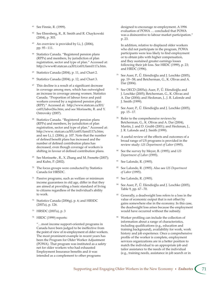- 61 See Finnie, R. (1999).
- See Ehrenberg, R., R. Smith and R. Chaykowski (2004), p. 303.
- $63$  An overview is provided by Li, J. (2006), pp. 95 – 111.
- <sup>64</sup> Statistics Canada. "Registered pension plans (RPPs) and members, by jurisdiction of plan registration, sector and type of plan." Accessed at: hp://www40.statcan.ca/l01/cst01/famil117a.htm.
- 65 Statistics Canada (2004), p. 11, and Chart 2.
- <sup>66</sup> Statistics Canada (2004), p. 12, and Chart 3.
- $67$  This decline is a result of a significant decrease in coverage among men, which has outweighed an increase in coverage among women. Statistics Canada. "Proportion of labour force and paid workers covered by a registered pension plan (RPP)." Accessed at: http://www.statcan.ca/l01/ cst01/labor26a.htm; and see Morissette, R. and Y. Ostrovsky (2007).
- <sup>68</sup> Statistics Canada. "Registered pension plans (RPPs) and members, by jurisdiction of plan registration, sector and type of plan." Accessed at: hp://www. statcan.ca/l01/cst01/famil117a.htm; and see Li, J. (2006), p. 107. Note that the number of defined benefit plans has increased and the number of defined contribution plans has decreased, even though coverage of workers is shifting in favour of defined contribution plans.
- $69$  See Morissette, R., X. Zhang and M. Frenette (2007); and Kuhn, P. (2002).
- $70$  The focus groups were conducted by Statistics Canada for HRSDC.
- $71$  Passive programs, such as welfare or minimum income guarantees in old age, differ in that they are aimed at providing a basic standard of living to citizens regardless of the individual's ability to work.
- 72 Statistics Canada (2006g), p. 6; and HRSDC (2007a), p. 126.
- 73 HRSDC (2007a), p. 3
- 74 HRDC (1999) reports:

 "…most income support-oriented programs in Canada have been judged to be ineffective from the point of view of re-employment of older workers. The most prominent example in recent years has been the Program for Older Worker Adjustment (POWA). That program was instituted as a safety net for older workers who had exhausted Employment Insurance benefits and it was intended as a complement to other programs

designed to encourage re-employment. A 1996 evaluation of POWA … concluded that POWA was a disincentive to labour market participation." p. 23.

 In addition, relative to displaced older workers who did not participate in the program, POWA participants were less likely to find employment or to obtain jobs with higher compensation, and they sustained greater earnings losses following their job loss. See HRDC (1999), p. 23; and HRDC (1996).

- See Auer, P., Ű. Efendioğlu and J. Leschke (2005), pp. 19 – 58; and Betcherman, G., K. Olivas and A. Dar (2004).
- See OECD (2005a); Auer, P., Ű. Efendioğlu and J. Leschke (2005); Betcherman, G., K. Olivas and A. Dar (2004); and Heckman, J., J. R. Lalonde and J. Smith (1999).
- $77$  See Auer, P.,  $\tilde{U}$ . Efendioğlu and J. Leschke (2005), pp. 15 – 17.
- 78 Refer to the comprehensive reviews by Betcherman, G., K. Olivas and A. Dar (2004), Martin, J. and D. Grubb (2001); and Heckman, J., J. R. Lalonde and J. Smith (1999).
- 79 A useful review of the effects and outcomes of a broad range of US programs is provided in the review study: *US Department of Labor* (1995).
- See the survey by Meyer, B. (1995); and *US Department of Labor* (1995).
- See Lalonde, R. (1995).
- 82 See Lalonde, R. (1995). Also see *US Department of Labor* (1995).
- See Lalonde, R. (1995).
- See Auer, P., Ű. Efendioğlu and J. Leschke (2005), Table 9, pp. 67 – 70.
- Generally, a deadweight loss refers to a loss in the value of economic output that is not offset by gains somewhere else in the economy. In this case, the deadweight loss arises because the employment would have occurred without the subsidy.
- 86 Worker profiling can include the collection of information about a range of characteristics, including qualifications (e.g., education and training background), availability for work, work history and job experience. Once a comprehensive profile of the worker is complete, employment services organizations are in a better position to match the individual to an appropriate job and tailor assistance to the needs of the individual (e.g., training needs, assistance in job search or in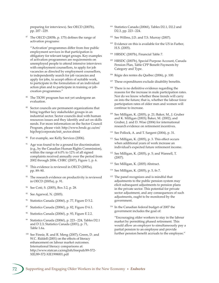preparing for interviews). See OECD (2007b), pp. 207 – 229.

 $87$  The OECD (2005b, p. 175) defines the range of activation programs:

 "'Activation' programmes differ from free public employment services in that participation is obligatory for relevant target groups. Key examples of activation programmes are requirements on unemployed people to attend intensive interviews with employment counsellors, to apply for job vacancies as directed by employment counsellors, to independently search for job vacancies and apply for jobs, to accept offers of suitable work, to participate in the formulation of an individual action plan and to participate in training or jobcreation programmes."

- The TIOW program has not yet undergone an evaluation.
- <sup>89</sup> Sector councils are permanent organizations that bring together key stakeholder groups in an industrial sector. Sector councils deal with human resources issues and they identify and act on skills needs. For more information on the Sector Council Program, please visit: http://www.hrsdc.gc.ca/en/ hip/hrp/corporate/init\_sector.shtml
- <sup>90</sup> For example, see Kelly Services (2006).
- Age was found to be a ground for discrimination (e.g., by the Canadian Human Rights Commission), within the range of 6.0% to 12% of all signed complaints received annually over the period from 2002 through 2006. CHRC (2007), Figure 1, p. 6.
- $92$  This evidence is reviewed in OECD (2005a), pp. 89–90.
- <sup>93</sup> The research evidence on productivity is reviewed in OECD (2005a), p. 91.
- 94 See Coté, S. (2005), Box 3.2, p. 28.
- See Agarwal, N. (2005).
- Statistics Canada (2006f), p. 77, Figure D 5.2.
- Statistics Canada (2006f), p. 82, Figure D 6.1.
- Statistics Canada (2006f), p. 93, Figure E 2.2.
- Statistics Canada (2006f), p. 223-224, Tables D2.1 and D 2.3; Statistics Canada (2001), p. 71, Table 1.6a.
- 100 See Finnie, R. and R. Meng (2007); Green, D. and W.C. Riddell (2001) on the effects of literacy enhancement on labour market outcomes. International literacy comparisons at: http://www.statcan.ca/english/freepub/89-572-XIE/89-572-XIE1998001.pdf
- 101 Statistics Canada (2006f), Tables D2.1, D2.2 and D2.3, pp. 223 – 224.
- <sup>102</sup> See Willms, J.D. and T.S. Murray (2007).
- <sup>103</sup> Evidence on this is available for the US in Farber, H.S. (2005).
- 104 HRSDC (2007b), Financial Table 7.
- 105 HRSDC (2007b), Special Purpose Account, Canada Pension Plan, Table CPP Benefit Payments by Category and Type.
- 106 Régie des rentes du Québec (2006), p. 100.
- <sup>107</sup> These expenditures exclude disability benefits.
- <sup>108</sup> There is no definitive evidence regarding the reasons for the increase in male participation rates. Nor do we know whether these trends will carry on into the future; that is, whether the labour force participation rates of older men and women will continue to increase.
- 109 See Milligan, K. (2005), p. 21; Baker, M., J. Gruber and K. Milligan (2003); Baker, M. (2002); and Gruber, J. and D. Wise (2004) for international research evidence on retirement incentives.
- 110 See Pollock, A. and T. Sargent (2004), p. 31.
- 111 See Milligan, K. (2005), p. 3. This effect occurs when additional years of work increase an individual's expected future retirement income.
- 112 See Milligan, K. (2005), p. 5; and Wannell, T. (2007).
- 113 See Milligan, K. (2005) Abstract.
- 114 See Milligan, K. (2005), p. 5, fn 7.
- <sup>115</sup> The panel recognizes and is mindful that adjustments to the public pension system may elicit subsequent adjustments to pension plans in the private sector. This potential for private sector adjustment, and any consequences of such adjustments, ought to be monitored by the government.
- 116 In the Canadian federal budget of 2007 the government includes the goal of:

 "Encouraging older workers to stay in the labour market by permitting phased retirement. This would allow an employer to simultaneously pay a partial pension to an employee and provide further pension benefit accruals to the employee."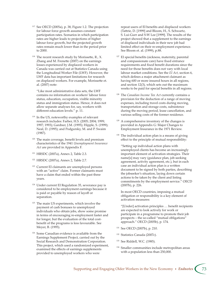- 117 See OECD (2005a), p. 38, Figure 1.2. The projection for labour force growth assumes constant participation rates. Scenarios in which participation rates are higher leads to projections of higher labour force growth, but the projected growth rates remain much lower than in the period prior to 2000.
- $118$  The recent research study by Morissette, R., X. Zhang and M. Frenette (2007) on the earnings losses experienced by displaced workers in Canada was carried out at Statistics Canada using the Longitudinal Worker File (LWF). However, the LWF data has important limitations for research on displaced workers. For example, Morissette et. al. (2007) note:

 "Like most administrative data sets, the LWF contains no information on workers' labour force status, education, occupation, visible minority status and immigration status. Hence, it does not allow separate analyses for, say, workers with different education levels." p. 11.

- <sup>119</sup> In the US, noteworthy examples of relevant research includes: Farber, H.S. (2005; 2004; 1999; 1997; 1993); Gardner, J.M. (1995); Hipple, S. (1999); Neal, D. (1995); and Podgursky, M. and P. Swaim (1987).
- <sup>120</sup> The main coverage, benefit levels and premium characteristics of the 1941 *Unemployment Insurance Act* are provided in Appendix F.
- 121 HRSDC (2007a), Annex 2, Table 2.3.
- 122 HRSDC (2007a), Annex 2, Table 2.7.
- 123 Current EI claimants are unemployed persons with an "active" claim. Former claimants must have a claim that ended within the past three years.
- <sup>124</sup> Under current EI Regulation 35, severance pay is considered to be employment earnings because it is paid or payable by reason of layoff or separation.
- <sup>125</sup> The main US experiments, which involve the payment of cash bonuses to unemployed individuals who obtain jobs, show some promise in terms of encouraging re-employment faster and for longer, but the evaluation of the total costbenefit of the programs is less favourable. See Meyer, B. (1995).
- <sup>126</sup> Some Canadian evidence is available from the Earnings Supplement Project, carried out by the Social Research and Demonstration Corporation. This project, which used a randomized experiment, examined the effects of earnings supplements provided to unemployed workers who were

repeat users of EI benefits and displaced workers (Tattrie, D. [1999] and Bloom, H., S. Schwartz, S. Lui-Gurr and S-W Lee [1999]. The results of the project showed that a supplement to the earnings of displaced individuals in their new job had limited effect on their re-employment experience. See Bloom et. al. (1999), p.88.

- <sup>127</sup> EI special benefits (sickness, maternity, parental and compassionate care) have fixed entrance requirements and fixed benefit durations since the need for those benefits does not vary with local labour market conditions. See the *EI Act*, section 6, which defines a major attachment claimant as having 600 or more insured hours in all regions, and section 12(3), which sets out the maximum weeks to be paid for special benefits in all regions.
- 128 The *Canadian Income Tax Act* currently contains a provision for the deduction of a range of moving expenses, including travel costs during moving, transportation and storage costs, subsistence during the moving period, lease cancellation, and various selling costs of the former residence.
- <sup>129</sup> A comprehensive inventory of the changes is provided in Appendix G: Major Changes to Employment Insurance in the 1971 Review.
- <sup>130</sup> The individual action plan is a means of giving effect to the principle of mutual responsibility:

"Setting up individual action plans with unemployed clients has become an increasingly important element of activation strategies. Their name[s] may vary (guidance plan, job-seeking agreement, activity agreement, etc.), but in each case an individual action plan is a written document to be signed by both parties, describing the jobseeker's situation, laying down certain actions to be taken by the client and listing commitments by the employment service." OECD (2007b), p. 226.

 In most OECD countries, imposing a mutual obligation or responsibility is a key element of activation measures:

 "[Under] activation principles … benefit recipients are expected to look actively for work or participate in a programme to promote their job prospects – the so-called "mutual obligations" approach." OECD (2005b), p. 174.

- 131 See OECD (2007b), p. 210.
- 132 Statistics Canada (2007c).
- 133 See Riddell, W.C. (1985).
- 134 Smaller communities include metropolitan areas with a population less than 250,000.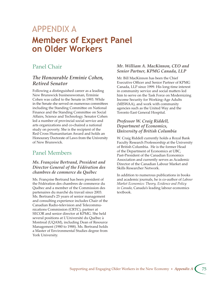## APPENDIX A**Members of Expert Panel on Older Workers**

### Panel Chair

#### *The Honourable Erminie Cohen, Retired Senator*

Following a distinguished career as a leading New Brunswick businesswoman, Erminie Cohen was called to the Senate in 1993. While in the Senate she served on numerous committees including the Standing Committee on National Finance and the Standing Committee on Social Affairs, Science and Technology. Senator Cohen led a number of provincial social service and arts organizations and co-chaired a national study on poverty. She is the recipient of the Red Cross Humanitarian Award and holds an Honourary Doctorate of Laws from the University of New Brunswick.

### Panel Members

#### *Ms. Françoise Bertrand, President and Director General of the Fédération des chambres de commerce du Québec*

Ms. Françoise Bertrand has been president of the Fédération des chambres de commerce du Québec and a member of the Commission des partenaires du marché du travail since 2003. Ms. Bertrand's 25 years of senior management and consulting experience includes Chair of the Canadian Radio-television and Telecommunications Commission (CRTC), partner at SECOR and senior director at KPMG. She held several positions at L'Université du Québec à Montreal (UQAM), including Dean of Resource Management (1980 to 1988). Ms. Bertrand holds a Master of Environmental Studies degree from York University.

#### *Mr. William A. MacKinnon, CEO and Senior Partner, KPMG Canada, LLP*

Mr. Bill MacKinnon has been the Chief Executive Officer and Senior Partner of KPMG Canada, LLP since 1999. His long-time interest in community service and social matters led him to serve on the Task Force on Modernizing Income Security for Working-Age Adults (MISWAA), and work with community agencies such as the United Way and the Toronto East General Hospital.

#### *Professor W. Craig Riddell, Department of Economics, University of British Columbia*

W. Craig Riddell currently holds a Royal Bank Faculty Research Professorship at the University of British Columbia. He is the former Head of the Department of Economics at UBC, Past-President of the Canadian Economics Association and currently serves as Academic Director of the Canadian Labour Market and Skills Researcher Network.

In addition to numerous publications in books and academic journals, he is co-author of *Labour Market Economics: Theory, Evidence and Policy in Canada*, Canada's leading labour economics textbook.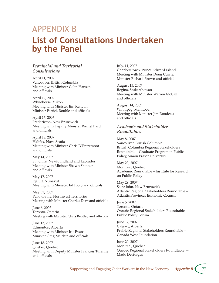## APPENDIX B**List of Consultations Undertaken by the Panel**

#### *Provincial and Territorial Consultations*

April 11, 2007 Vancouver, British Columbia Meeting with Minister Colin Hansen and officials

April 12, 2007 Whitehorse, Yukon Meeting with Minister Jim Kenyon, Minister Patrick Rouble and officials

April 17, 2007 Fredericton, New Brunswick Meeting with Deputy Minister Rachel Bard and officials

April 18, 2007 Halifax, Nova Scotia Meeting with Minister Chris D'Entremont and officials

May 14, 2007 St. John's, Newfoundland and Labrador Meeting with Minister Shawn Skinner and officials

May 17, 2007 Iqaluit, Nunavut Meeting with Minister Ed Picco and officials

May 31, 2007 Yellowknife, Northwest Territories Meeting with Minister Charles Dent and officials

June 6, 2007 Toronto, Ontario Meeting with Minister Chris Bentley and officials

June 13, 2007 Edmonton, Alberta Meeting with Minister Iris Evans, Minister Greg Melchin and officials

June 18, 2007 Quebec, Quebec Meeting with Deputy Minister François Turenne and officials

July, 11, 2007 Charlottetown, Prince Edward Island Meeting with Minister Doug Currie, Minister Richard Brown and officials

August 15, 2007 Regina, Saskatchewan Meeting with Minister Warren McCall and officials

August 14, 2007 Winnipeg, Manitoba Meeting with Minister Jim Rondeau and officials

#### *Academic and Stakeholder Roundtables*

May 8, 2007 Vancouver, British Columbia British Columbia Regional Stakeholders Roundtable – Graduate Program in Public Policy, Simon Fraser University

May 23, 2007 Montreal, Quebec Academic Roundtable – Institute for Research on Public Policy

May 29, 2007 Saint John, New Brunswick Atlantic Regional Stakeholders Roundtable – Atlantic Provinces Economic Council

June 5, 2007 Toronto, Ontario Ontario Regional Stakeholders Roundtable – Public Policy Forum

June 12, 2007 Calgary, Alberta Prairie Regional Stakeholders Roundtable – Canada West Foundation

June 20, 2007 Montreal, Quebec Quebec Regional Stakeholders Roundtable — Mado Desforges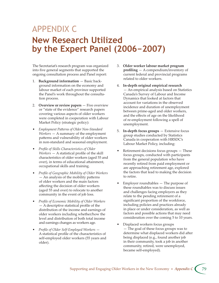# APPENDIX C**New Research Utilized by the Expert Panel (2006−2007)**

The Secretariat's research program was organized into five general segments that supported the ongoing consultation process and Panel report:

- 1. **Background information** Basic background information on the economy and labour market of each province supported the Panel's work throughout the consultation process.
- 2. **Overview or review papers** Five overview or "state of the evidence" research papers covering various aspects of older workers were completed in cooperation with Labour Market Policy (strategic policy):
- Employment Patterns of Older Non-Standard *Workers* — A summary of the employment patterns and vulnerability of older workers in non-standard and seasonal employment.
- *Profile of Skills Characteristics of Older Workers* — A statistical profile of the skill characteristics of older workers (aged 55 and over), in terms of educational attainment, occupational skills and training.
- *Profile of Geographic Mobility of Older Workers*   $-$  An analysis of the mobility patterns of older workers and the main factors affecting the decision of older workers (aged 55 and over) to relocate to another community in the event of job loss.
- *Profile of Economic Mobility of Older Workers* — A descriptive statistical profile of the distribution of the income and earnings of older workers including whether/how the level and distribution of both total income and earnings changes as workers age.
- *Profile of Older Self-Employed Workers* A statistical profile of the characteristics of self-employed older workers (55 years and older).
- 3. **Older worker labour market program profiling** — A compendium/inventory of current federal and provincial programs related to older workers.
- 4. **In-depth original empirical research** — An empirical analysis based on Statistics Canada's Survey of Labour and Income Dynamics that looked at factors that account for variations in the observed incidence and duration of unemployment between prime-aged and older workers, and the effects of age on the likelihood of re-employment following a spell of unemployment.
- 5. **In-depth focus groups** Extensive focus group studies conducted by Statistics Canada in cooperation with HRSDC's Labour Market Policy, including:
- Retirement decisions focus groups  $-$  These focus groups, conducted with participants from the general population who have recently retired from paid employment or are approaching retirement age, explored the factors that lead to making the decision to retire.
- Employer roundtables The purpose of these roundtables was to discuss issues and challenges facing employers as they relate to the pending retirement of a significant proportion of the workforce, including policies and practices already in place or under consideration, as well as factors and possible actions that may need consideration over the coming 5 to 10 years.
- Displaced workers focus groups — The goal of these focus groups was to determine what displaced workers did after being displaced (e.g., found another job in their community, took a job in another community, retired, were unemployed, became self-employed).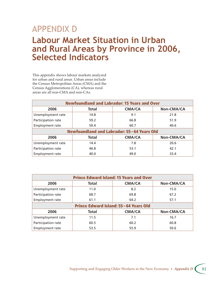## APPENDIX D**Labour Market Situation in Urban and Rural Areas by Province in 2006, Selected Indicators**

This appendix shows labour markets analyzed for urban and rural areas. Urban areas include the Census Metropolitan Areas (CMA) and the Census Agglomerations (CA), whereas rural areas are all non-CMA and non-CAs.

| <b>Newfoundland and Labrador: 15 Years and Over</b> |              |               |            |  |  |
|-----------------------------------------------------|--------------|---------------|------------|--|--|
| 2006                                                | <b>Total</b> | <b>CMA/CA</b> | Non-CMA/CA |  |  |
| Unemployment rate                                   | 14.8         | 9.1           | 21.8       |  |  |
| Participation rate                                  | 59.2         | 66.8          | 51.9       |  |  |
| Employment rate                                     | 50.4         | 60.7          | 40.6       |  |  |
| Newfoundland and Labrador: 55-64 Years Old          |              |               |            |  |  |
| <b>CMA/CA</b><br>2006<br>Non-CMA/CA<br><b>Total</b> |              |               |            |  |  |
| Unemployment rate                                   | 14.4         | 7.8           | 20.6       |  |  |
| Participation rate                                  | 46.8         | 53.1          | 42.1       |  |  |
| Employment rate                                     | 40.0         | 49.0          | 33.4       |  |  |

| <b>Prince Edward Island: 15 Years and Over</b>      |              |               |            |  |  |
|-----------------------------------------------------|--------------|---------------|------------|--|--|
| 2006                                                | <b>Total</b> | <b>CMA/CA</b> | Non-CMA/CA |  |  |
| Unemployment rate                                   | 11.0         | 8.2           | 15.0       |  |  |
| Participation rate                                  | 68.7         | 69.8          | 67.2       |  |  |
| Employment rate                                     | 61.1         | 64.2          | 57.1       |  |  |
| Prince Edward Island: 55-64 Years Old               |              |               |            |  |  |
| <b>Total</b><br><b>CMA/CA</b><br>2006<br>Non-CMA/CA |              |               |            |  |  |
| Unemployment rate                                   | 11.5         | 7.1           | 16.7       |  |  |
| Participation rate                                  | 60.5         | 60.2          | 60.8       |  |  |
| Employment rate                                     | 53.5         | 55.9          | 50.6       |  |  |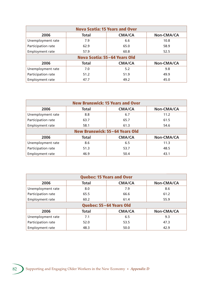| <b>Nova Scotia: 15 Years and Over</b>               |              |               |            |  |  |
|-----------------------------------------------------|--------------|---------------|------------|--|--|
| 2006                                                | <b>Total</b> | <b>CMA/CA</b> | Non-CMA/CA |  |  |
| Unemployment rate                                   | 7.9          | 6.6           | 10.8       |  |  |
| Participation rate                                  | 62.9         | 65.0          | 58.9       |  |  |
| Employment rate                                     | 57.9         | 60.8          | 52.5       |  |  |
| Nova Scotia: 55-64 Years Old                        |              |               |            |  |  |
| <b>CMA/CA</b><br>2006<br><b>Total</b><br>Non-CMA/CA |              |               |            |  |  |
| Unemployment rate                                   | 7.0          | 5.2           | 9.8        |  |  |
| Participation rate                                  | 51.2         | 51.9          | 49.9       |  |  |
| Employment rate                                     | 47.7         | 49.2          | 45.0       |  |  |

| <b>New Brunswick: 15 Years and Over</b>             |              |               |            |  |  |
|-----------------------------------------------------|--------------|---------------|------------|--|--|
| 2006                                                | <b>Total</b> | <b>CMA/CA</b> | Non-CMA/CA |  |  |
| Unemployment rate                                   | 8.8          | 6.7           | 11.2       |  |  |
| Participation rate                                  | 63.7         | 65.7          | 61.5       |  |  |
| <b>Employment rate</b>                              | 58.1         | 61.3          | 54.6       |  |  |
| New Brunswick: 55-64 Years Old                      |              |               |            |  |  |
| <b>CMA/CA</b><br>2006<br><b>Total</b><br>Non-CMA/CA |              |               |            |  |  |
| Unemployment rate                                   | 8.6          | 6.5           | 11.3       |  |  |
| Participation rate                                  | 51.3         | 53.7          | 48.5       |  |  |
| Employment rate                                     | 46.9         | 50.4          | 43.1       |  |  |

| <b>Quebec: 15 Years and Over</b>                    |              |               |            |  |  |
|-----------------------------------------------------|--------------|---------------|------------|--|--|
| 2006                                                | <b>Total</b> | <b>CMA/CA</b> | Non-CMA/CA |  |  |
| Unemployment rate                                   | 8.0          | 7.9           | 8.6        |  |  |
| Participation rate                                  | 65.5         | 66.6          | 61.2       |  |  |
| Employment rate                                     | 60.2         | 61.4          | 55.9       |  |  |
| Quebec: 55-64 Years Old                             |              |               |            |  |  |
| 2006<br><b>Total</b><br><b>CMA/CA</b><br>Non-CMA/CA |              |               |            |  |  |
| Unemployment rate                                   | 7.1          | 6.5           | 9.3        |  |  |
| Participation rate                                  | 52.0         | 53.5          | 47.3       |  |  |
| <b>Employment rate</b>                              | 48.3         | 50.0          | 42.9       |  |  |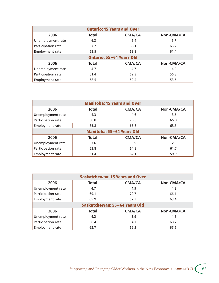| <b>Ontario: 15 Years and Over</b>                   |              |               |            |  |  |
|-----------------------------------------------------|--------------|---------------|------------|--|--|
| 2006                                                | <b>Total</b> | <b>CMA/CA</b> | Non-CMA/CA |  |  |
| Unemployment rate                                   | 6.3          | 6.4           | 5.7        |  |  |
| Participation rate                                  | 67.7         | 68.1          | 65.2       |  |  |
| Employment rate                                     | 63.5         | 63.8          | 61.4       |  |  |
| <b>Ontario: 55-64 Years Old</b>                     |              |               |            |  |  |
| <b>CMA/CA</b><br>2006<br><b>Total</b><br>Non-CMA/CA |              |               |            |  |  |
| Unemployment rate                                   | 4.7          | 4.7           | 4.9        |  |  |
| Participation rate                                  | 61.4         | 62.3          | 56.3       |  |  |
| Employment rate                                     | 58.5         | 59.4          | 53.5       |  |  |

| <b>Manitoba: 15 Years and Over</b>                  |              |               |            |  |  |
|-----------------------------------------------------|--------------|---------------|------------|--|--|
| 2006                                                | <b>Total</b> | <b>CMA/CA</b> | Non-CMA/CA |  |  |
| Unemployment rate                                   | 4.3          | 4.6           | 3.5        |  |  |
| Participation rate                                  | 68.8         | 70.0          | 65.8       |  |  |
| <b>Employment rate</b>                              | 65.8         | 66.8          | 63.5       |  |  |
| <b>Manitoba: 55-64 Years Old</b>                    |              |               |            |  |  |
| 2006<br><b>Total</b><br><b>CMA/CA</b><br>Non-CMA/CA |              |               |            |  |  |
| Unemployment rate                                   | 3.6          | 3.9           | 2.9        |  |  |
| Participation rate                                  | 63.8         | 64.8          | 61.7       |  |  |
| Employment rate                                     | 61.4         | 62.1          | 59.9       |  |  |

| <b>Saskatchewan: 15 Years and Over</b>              |              |               |            |  |  |
|-----------------------------------------------------|--------------|---------------|------------|--|--|
| 2006                                                | <b>Total</b> | <b>CMA/CA</b> | Non-CMA/CA |  |  |
| Unemployment rate                                   | 4.7          | 4.9           | 4.2        |  |  |
| Participation rate                                  | 69.1         | 70.7          | 66.1       |  |  |
| <b>Employment rate</b>                              | 65.9         | 67.3          | 63.4       |  |  |
| Saskatchewan: 55-64 Years Old                       |              |               |            |  |  |
| <b>CMA/CA</b><br>2006<br><b>Total</b><br>Non-CMA/CA |              |               |            |  |  |
| Unemployment rate                                   | 4.2          | 3.9           | 4.5        |  |  |
| Participation rate                                  | 66.4         | 64.7          | 68.7       |  |  |
| <b>Employment rate</b>                              | 63.7         | 62.2          | 65.6       |  |  |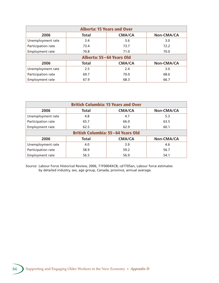| <b>Alberta: 15 Years and Over</b>            |              |               |            |  |  |
|----------------------------------------------|--------------|---------------|------------|--|--|
| 2006                                         | <b>Total</b> | <b>CMA/CA</b> | Non-CMA/CA |  |  |
| Unemployment rate                            | 3.4          | 3.6           | 3.0        |  |  |
| Participation rate                           | 73.4         | 73.7          | 72.2       |  |  |
| Employment rate                              | 70.8         | 71.0          | 70.0       |  |  |
| Alberta: 55-64 Years Old                     |              |               |            |  |  |
| <b>CMA/CA</b><br>Non-CMA/CA<br>2006<br>Total |              |               |            |  |  |
| Unemployment rate                            | 2.5          | 2.4           | 3.0        |  |  |
| Participation rate                           | 69.7         | 70.0          | 68.6       |  |  |
| <b>Employment rate</b>                       | 67.9         | 68.3          | 66.7       |  |  |

| <b>British Columbia: 15 Years and Over</b>   |              |               |            |  |  |
|----------------------------------------------|--------------|---------------|------------|--|--|
| 2006                                         | <b>Total</b> | <b>CMA/CA</b> | Non-CMA/CA |  |  |
| Unemployment rate                            | 4.8          | 4.7           | 5.3        |  |  |
| Participation rate                           | 65.7         | 66.0          | 63.5       |  |  |
| <b>Employment rate</b>                       | 62.5         | 62.9          | 60.1       |  |  |
| <b>British Columbia: 55-64 Years Old</b>     |              |               |            |  |  |
| <b>CMA/CA</b><br>2006<br>Total<br>Non-CMA/CA |              |               |            |  |  |
| Unemployment rate                            | 4.0          | 3.9           | 4.6        |  |  |
| Participation rate                           | 58.9         | 59.2          | 56.7       |  |  |
| <b>Employment rate</b>                       | 56.5         | 56.9          | 54.1       |  |  |

Source: Labour Force Historical Review, 2006, 71F0004XCB; cd1T05an, Labour force estimates by detailed industry, sex, age group, Canada, province, annual average.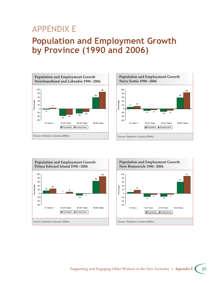## APPENDIX E**Population and Employment Growth by Province (1990 and 2006)**









#### Supporting and Engaging Older Workers in the New Economy • *Appendix E* 85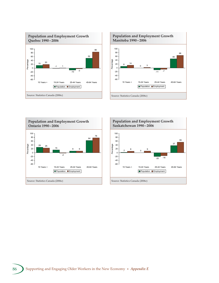





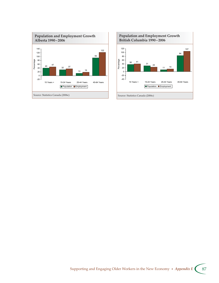

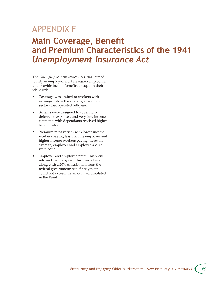## APPENDIX F

## **Main Coverage, Benefit and Premium Characteristics of the 1941**  *Unemployment Insurance Act*

The *Unemployment Insurance Act* (1941) aimed to help unemployed workers regain employment and provide income benefits to support their job search.

- Coverage was limited to workers with earnings below the average, working in sectors that operated full-year.
- Benefits were designed to cover nondeferrable expenses, and very-low income claimants with dependants received higher benefit rates.
- Premium rates varied, with lower-income workers paying less than the employer and higher-income workers paying more; on average, employer and employee shares were equal.
- Employer and employee premiums went into an Unemployment Insurance Fund along with a 20% contribution from the federal government; benefit payments could not exceed the amount accumulated in the Fund.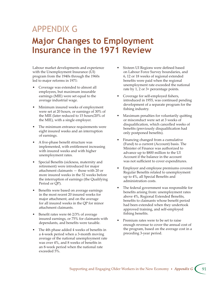# APPENDIX G**Major Changes to Employment Insurance in the 1971 Review**

Labour market developments and experience with the Unemployment Insurance (UI) program from the 1940s through the 1960s led to major reforms in 1971:

- Coverage was extended to almost all employees, but maximum insurable earnings (MIE) were set equal to the average industrial wage.
- Minimum insured weeks of employment were set at 20 hours, or earnings of 30% of the MIE (later reduced to 15 hours/20% of the MIE), with a single employer.
- The minimum entrance requirements were eight insured weeks and an interruption of earnings.
- A five-phase benefit structure was implemented, with entitlement increasing with insured weeks and with higher unemployment rates.
- Special Benefits (sickness, maternity and retirement) were introduced for major attachment claimants  $-$  those with 20 or more insured weeks in the 52 weeks before the interruption of earnings (the Qualifying Period or QP).
- Benefits were based on average earnings in the most recent 20 insured weeks for major attachment, and on the average for all insured weeks in the QP for minor attachment claimants.
- Benefit rates were 66 2/3% of average insured earnings, or 75% for claimants with dependants, and benefits were taxable.
- The 4th phase added 4 weeks of benefits in a 4-week period when a 3-month moving average of the national unemployment rate was over 4%, and 8 weeks of benefits in an 8-week period when the national rate exceeded 5%.
- Sixteen UI Regions were defined based on Labour Force Survey boundaries, and 6, 12 or 18 weeks of regional extended benefits were paid when the regional unemployment rate exceeded the national rate by 1, 2 or 3+ percentage points.
- Coverage for self-employed fishers, introduced in 1955, was continued pending development of a separate program for the fishing industry.
- Maximum penalties for voluntarily quitting or misconduct were set at 3 weeks of disqualification, which cancelled weeks of benefits (previously disqualification had only postponed benefits).
- Financing changed from a cumulative (Fund) to a current (Account) basis. The Minister of Finance was authorized to advance up to \$800 million to the UI Account if the balance in the account was not sufficient to cover expenditures.
- Employer and employee premiums covered Regular Benefits related to unemployment up to 4%, all Special Benefits and administration costs.
- The federal government was responsible for benefits arising from: unemployment rates above 4%, Regional Extended Benefits, benefits to claimants whose benefit period had been extended when they undertook approved training, and self-employed fishing benefits.
- Premium rates were to be set to raise enough revenue to cover the annual cost of the program, based on the average cost in a preceding 3-year period.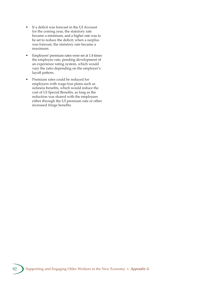- If a deficit was forecast in the UI Account for the coming year, the statutory rate became a minimum, and a higher rate was to be set to reduce the deficit; when a surplus was forecast, the statutory rate became a maximum.
- Employers' premium rates were set at 1.4 times the employee rate, pending development of an experience rating system, which would vary the ratio depending on the employer's layoff pattern.
- Premium rates could be reduced for employers with wage-loss plans such as sickness benefits, which would reduce the cost of UI Special Benefits, as long as the reduction was shared with the employees either through the UI premium rate or other increased fringe benefits.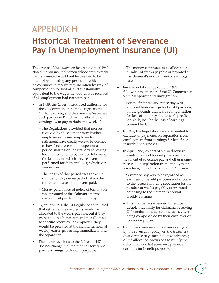## APPENDIX H**Historical Treatment of Severance Pay in Unemployment Insurance (UI)**

The original *Unemployment Insurance Act* of 1940 stated that an insured person whose employment had terminated would not be deemed to be unemployed during any period for which "… he continues to receive remuneration by way of compensation for loss of, and substantially equivalent to the wages he would have received if his employment had not terminated."

- In 1955, the *UI Act* introduced authority for the UI Commission to make regulations "… for defining and determining 'earnings' and 'pay period' and for the allocation of earnings … to pay periods and weeks."
	- The Regulations provided that monies received by the claimant from his/her employer or former employer for retirement leave credits were to be deemed to have been received in respect of a period starting on the first day following termination of employment or following the last day on which services were performed for that employer, whichever was earlier.
	- The length of that period was the actual number of days in respect of which the retirement leave credits were paid.
	- Money paid in lieu of notice of termination was prorated at the claimant's normal daily rate of pay from that employer.
- In January 1961, the UI Regulations stipulated that retirement leave credits would be allocated to the weeks payable, but if they were paid in a lump sum and not allocated to specific weeks by the employer, they would be prorated at the claimant's normal weekly earnings, starting immediately after the separation.
- The major revisions to the *UI Act* in 1971 did not change the treatment of severance pay as earnings for benefit purposes.
- The money continued to be allocated to number of weeks payable or prorated at the claimant's normal weekly earnings rate.
- Fundamental change came in 1977 following the merger of the UI Commission with Manpower and Immigration.
	- For the first time severance pay was excluded from earnings for benefit purposes, on the grounds that it was compensation for loss of seniority and loss of specific job skills, not for the loss of earnings covered by UI.
- In 1982, the Regulations were amended to exclude all payments on separation from employment from earnings for benefit or insurability purposes.
- In April 1985, as part of a broad review to control costs of federal programs, the treatment of severance pay and other monies received on separation from employment was changed back to the pre-1977 approach.
	- Severance pay was to be regarded as earnings for benefit purposes and allocated to the weeks following separation for the number of weeks payable, or prorated according to the claimant's normal weekly earnings.
	- This change was intended to reduce double indemnity for claimants receiving UI benefits at the same time as they were being compensated by their employer or former employer.
- Employers, unions and provinces angered by the reversal of policy on the treatment of severance pay started to take advantage of the allocation provisions to nullify the determination that severance pay was earnings for benefit purposes.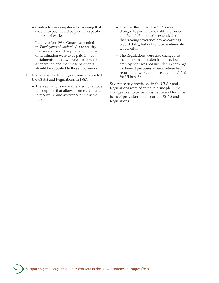- Contracts were negotiated specifying that severance pay would be paid in a specific number of weeks.
- In November 1986, Ontario amended its *Employment Standards Act* to specify that severance and pay in lieu of notice of termination were to be paid in two instalments in the two weeks following a separation and that these payments should be allocated to those two weeks.
- In response, the federal government amended the *UI Act* and Regulations in 1987.
	- The Regulations were amended to remove the loophole that allowed some claimants to receive UI and severance at the same time.
- To soften the impact, the *UI Act* was changed to permit the Qualifying Period and Benefit Period to be extended so that treating severance pay as earnings would delay, but not reduce or eliminate, UI benefits.
- The Regulations were also changed so income from a pension from previous employment was not included in earnings for benefit purposes when a retiree had returned to work and once again qualified for UI benefits.

Severance pay provisions in the *UI Act* and Regulations were adopted in principle in the changes to employment insurance and form the basis of provisions in the current *EI Act* and Regulations.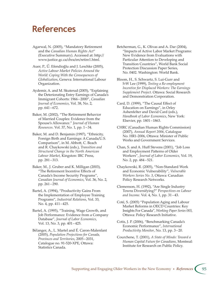### **References**

- Agarwal, N. (2005), "Mandatory Retirement and the *Canadian Human Rights Act*" (Executive Summary). Accessed at: http:// www.justice.gc.ca/chra/en/retire1.html.
- Auer, P., Ű. Efendioğlu and J. Leschke (2005), *Active Labour Market Policies Around the World: Coping With the Consequences of Globalization*, Geneva: International Labour Organization.
- Aydemir, A. and M. Skuterud (2005), "Explaining the Deteriorating Entry Earnings of Canada's Immigrant Cohorts: 1966 – 2000", *Canadian Journal of Economics*, Vol. 38, No. 2, pp. 641 – 672.
- Baker, M. (2002), "The Retirement Behavior of Married Couples: Evidence from the Spouse's Allowance." *Journal of Human Resources*. Vol. 37, No. 1, pp. 1 – 34.
- Baker, M. and D. Benjamin (1997), "Ethnicity, Foreign Birth and Earnings: A Canada/U.S. Comparison", in M. Abbott, C. Beach and R. Chaykowski (eds.), *Transition and Structural Change in the North American Labour Market*, Kingston: IRC Press, pp. 281 – 313.
- Baker, M., J. Gruber and K. Milligan (2003), "The Retirement Incentive Effects of Canada's Income Security Programs", *Canadian Journal of Economics*, Vol. 36, No. 2, pp. 261 – 290.
- Bartel, A. (1994), "Productivity Gains From the Implementation of Employee Training Programs", *Industrial Relations*, Vol. 33, No. 4, pp. 411-425.
- Bartel, A. (1995), "Training, Wage Growth, and Job Performance: Evidence from a Company Database", *Journal of Labor Economics*, Vol. 13, No. 3, pp. 401 – 425.
- Bélanger, A., L. Martel and É. Caron-Malenfant (2005), *Population Projections for Canada, Provinces and Territories*, 2005 – 2031, Catalogue no. 91-520-XPE, Ottawa: Statistics Canada.
- Betcherman, G., K. Olivas and A. Dar (2004), "Impacts of Active Labor Market Programs: New Evidence from Evaluations with Particular Attention to Developing and Transition Countries", World Bank Social Protection Discussion Paper Series, No. 0402. Washington: World Bank.
- Bloom, H., S. Schwartz, S. Lui-Gurr and S-W Lee (1999), *Testing a Re-employment Incentive for Displaced Workers: The Earnings*  **Supplement Project. Ottawa: Social Research** and Demonstration Corporation.
- Card, D. (1999), "The Causal Effect of Education on Earnings", in Orley Ashenfelter and David Card (eds.), *Handbook of Labor Economics*, New York: Elsevier, pp. 1801 – 1863.
- CHRC (Canadian Human Rights Commission) (2007), *Annual Report 2006*, Catalogue No. HR1-2006, Ottawa: Minister of Public Works and Government Services.
- Chan, S. and A. Huff Stevens (2001), "Job Loss and Employment Patterns of Older Workers", *Journal of Labor Economics*, Vol. 19, No. 2, pp. 484–521.
- Chaykowski, R. (2005), "Non-Standard Work and Economic Vulnerability", *Vulnerable Workers Series No. 3, Ottawa: Canadian* Policy Research Networks.
- Clemenson, H. (1992), "Are Single Industry Towns Diversifying?" P*erspectives on Labour and Income*. Vol. 4, No. 1, pp. 31 – 43.
- Coté, S. (2005) "Population Aging and Labour Market Reforms in OECD Countries: Key Insights For Canada", *Working Paper Series 003*, Ottawa: Policy Research Initiative.
- Cotis, J. P. (2006), "Benchmarking Canada's Economic Performance", *International Productivity Monitor*, No. 13, pp. 3 – 20.
- Courchene, T. (2001), *A State of Minds: Toward a Human Capital Future for Canadians*, Montreal: Institute for Research on Public Policy.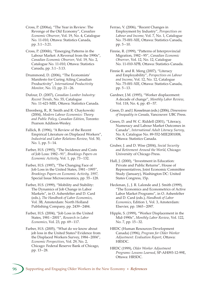Cross, P. (2006a), "The Year in Review: The Revenge of the Old Economy", C*anadian Economic Observer*, Vol. 19, No. 4, Catalogue No. 11-010, Ottawa: Statistics Canada, pp. 3.1 – 3.21.

Cross, P. (2006b), "Emerging Patterns in the Labour Market: A Reversal from the 1990s", *Canadian Economic Observer*, Vol. 19, No. 2, Catalogue No. 11-010, Ottawa: Statistics Canada, pp. 3.1-3.13.

Drummond, D. (2006), "The Economists' Manifesto for Curing Ailing Canadian Productivity", *International Productivity Monitor*, No. 13, pp. 21 – 26.

Dufour, D. (2007), *Canadian Lumber Industry: Recent Trends*, No. 55, Catalogue No. 11-621-MIE, Ottawa: Statistics Canada.

Ehrenberg, R., R. Smith and R. Chaykowski (2004), *Modern Labour Economics: Theory and Public Policy, Canadian Edition*, Toronto: Pearson Addison-Wesley.

Fallick, B. (1996), "A Review of the Recent Empirical Literature on Displaced Workers", *Industrial and Labor Relations Review*, Vol. 50, No. 1, pp. 5–14.

Farber, H.S. (1993), "The Incidence and Costs of Job Loss: 1982 – 91", *Brookings Papers on Economic Activity*, Vol. 1, pp. 73 – 132.

Farber, H.S. (1997), "The Changing Face of Job Loss in the United States, 1981 – 1995", *Brookings Papers on Economic Activity, 1997,* Special Issue Microeconomics, pp. 55 – 128.

Farber, H.S. (1999), "Mobility and Stability: The Dynamics of Job Change in Labor Markets", in O. Ashenfelter and D. Card (eds.), *The Handbook of Labor Economics*, Vol. 3B, Amsterdam: North Holland Publishing Company, pp. 2439 – 2484.

Farber, H.S. (2004), "Job Loss in the United States, 1981 – 2001", *Research in Labor Economics*, Vol. 23, pp. 69-117.

Farber, H.S. (2005), "What do we know about job loss in the United States? Evidence from the Displaced Workers Survey, 1984 – 2004", *Economic Perspectives*, Vol. 29, No. 2, Chicago: Federal Reserve Bank of Chicago, pp. 13 – 28.

Ferrao, V. (2006), "Recent Changes in Employment by Industry", *Perspectives on Labour and Income*, Vol. 7, No. 1, Catalogue No. 75-001-XIE, Ottawa: Statistics Canada, pp. 5 – 10.

Finnie, R. (1999), "Patterns of Interprovincial Migration, 1982 – 95", *Canadian Economic Observer*, Vol. 12, No. 12, Catalogue No. 11-010-XPB, Ottawa: Statistics Canada.

Finnie R. and R. Meng (2007), "Literacy and Employability", *Perspectives on Labour and Income*, Vol. 12, No. 12, Catalogue No. 75-001-XIE, Ottawa: Statistics Canada, pp. 5 – 13.

Gardner, J.M. (1995), "Worker displacement: A decade of change", *Monthly Labor Review*, Vol. 118, No. 4, pp. 45 – 57.

Green, D. and J. Kesselman (eds.) (2006), *Dimensions of Inequality in Canada*, Vancouver: UBC Press.

Green, D. and W. C. Riddell (2001), "Literacy, Numeracy and Labour Market Outcomes in Canada", *International Adult Literacy Survey*, No. 8, Catalogue No. 89-552-MIE2001008, Ottawa: Statistics Canada.

Gruber, J. and D. Wise (2004), *Social Security and Retirement Around the World*, Chicago: University of Chicago Press.

Hall, J. (2000), "Investment in Education: Private and Public Returns", House of Representatives, Joint Economic Committee Study (January), Washington DC: United States Congress, 15p.

Heckman, J., J. R. Lalonde and J. Smith (1999), "The Economics and Econometrics of Active Labor Market Programs", in O. Ashenfelter and D. Card (eds.), *Handbook of Labor Economics*, Edition 1, Vol. 3, Amsterdam: Elsevier, pp. 1865 – 2097.

Hipple, S. (1999), "Worker Displacement in the Mid-1990s", *Monthly Labor Review*, Vol. 122, No. 7, pp. 15 – 32.

HRDC (Human Resources Development Canada) (1996), *Program for Older Worker*  Adjustment: Evaluation Report, Ottawa: HRSDC.

HRDC (1999), *Older Worker Adjustment Programs: Lessons Learned*, SP-AH093-12-99E, Ottawa: HRSDC.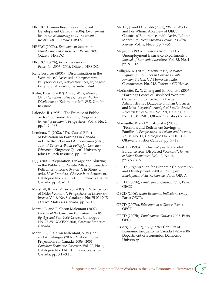HRSDC (Human Resources and Social Development Canada) (2006), *Employment Insurance Monitoring and Assessment Report 2005*, Ottawa: HRSDC.

HRSDC (2007a), *Employment Insurance Monitoring and Assessment Report 2006*, Ottawa: HRSDC.

HRSDC (2007b), *Report on Plans and*  Priorities, 2007-2008, Ottawa: HRSDC.

Kelly Services (2006), "Discrimination in the Workplace." Accessed at: http://www. kellyservices.ca/web/ca/services/en/pages/ kelly\_global\_workforce\_index.html.

Kuhn, P. (ed.) (2002), *Losing Work, Moving On: International Perspectives on Worker Displacement*, Kalamazoo MI: W.E. Upjohn Institute.

Lalonde, R. (1995), "The Promise of Public Sector Sponsored Training Programs", *Journal of Economic Perspectives*, Vol. 9, No. 2, pp. 149 – 168.

Lemieux, T. (2002), "The Causal Effect of Education on Earnings in Canada", in P. De Broucker and A. Sweetman (eds.), *Toward Evidence-Based Policy for Canadian Education*, Kingston: Queen's University John Deutsch Institute, pp. 105 – 116.

Li, J. (2006), "Separation, Linkage and Blurring in the Public and Private Pillars of Canada's Retirement Income System", in Stone, L. (ed.), *New Frontiers of Research on Retirement*, Catalogue No. 75-511-XIE, Ottawa: Statistics Canada. pp. 95-111.

Marshall, K. and V. Ferrao (2007), "Participation of Older Workers", *Perspectives on Labour and Income*, Vol. 8, No. 8, Catalogue No. 75-001-XIE, Ottawa: Statistics Canada, pp. 5-11.

Martel, L. and É. Caron Malenfant (2007), *Portrait of the Canadian Population in 2006*, *By Age and Sex, 2006 Census*, Catalogue No. 97-551-XWE2006001, Ottawa: Statistics Canada.

Martel, L., É. Caron Malenfant, S. Vézina and A. Bélanger (2007), "Labour Force Projections for Canada, 2006-2031", *Canadian Economic Observer*, Vol. 20, No. 6, Catalogue No. 11-010, Ottawa: Statistics Canada, pp. 3.1 – 3.13.

Martin, J. and D. Grubb (2001), "What Works and For Whom: A Review of OECD Countries' Experiences with Active Labour Market Policies" *Swedish Economic Policy Review*. Vol. 8, No. 2, pp. 9 – 56.

Meyer, B. (1995), "Lessons from the U.S. Unemployment Insurance Experiments", *Journal of Economic Literature*, Vol. 33, No. 1, pp. 91 – 131.

Milligan, K. (2005), *Making It Pay to Work: Improving Incentives in Canada's Public Pension System*, CD Howe Institute Commentary No. 218, Toronto: CD Howe.

Morissette, R., X. Zhang and M. Frenette (2007), "Earnings Losses of Displaced Workers: Canadian Evidence from a Large Administrative Database on Firm Closures and Mass Layoffs", *Analytical Studies Branch Research Paper Series*, No. 291, Catalogue No. 11F0019MIE, Ottawa: Statistics Canada.

Morissette, R. and Y. Ostrovsky (2007), "Pensions and Retirement Savings of Families", *Perspectives on Labour and Income*, Vol. 8, No. 11, Catalogue No. 75-001-XIE, Ottawa: Statistics Canada. pp. 5–18.

Neal, D. (1995), "Industry-Specific Capital: Evidence from Displaced Workers", *Journal of Labor Economics*, Vol. 13, No. 4, pp. 653 – 677.

OECD (Organization for Economic Co-operation and Development) (2005a), *Aging and Employment Policies: Canada*, Paris: OECD.

OECD (2005b), *Employment Outlook 2005*, Paris: OECD.

OECD (2006), *Main Economic Indicators*, (May) Paris: OECD.

OECD (2007a), *Education at a Glance*, Paris: OECD.

OECD (2007b), *Employment Outlook 2007*, Paris: OECD.

Osberg, L. (2007), "A Quarter Century of Economic Inequality in Canada 1981 – 2006", Department of Economics, Dalhousie University.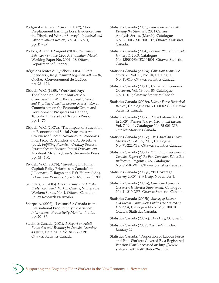Podgursky, M. and P. Swaim (1987), "Job Displacement Earnings Loss: Evidence from the Displaced Worker Survey", *Industrial and Labor Relations Review*, Vol. 41, No. 1, pp. 17 – 29.

- Pollock, A. and T. Sargent (2004), *Retirement Behaviour and the CPP: A Simulation Model*, Working Paper No. 2004-08, Ottawa: Department of Finance.
- Régie des rentes du Québec (2006), « États financiers », *Rapport annuel de gestion 2006 – 2007*, Québec: Gouvernement de Québec, pp. 93 – 121.

Riddell, W.C. (1985), "Work and Pay: The Canadian Labour Market: An Overview," in W.C. Riddell, (ed.), *Work and Pay: The Canadian Labour Market*, Royal Commission on the Economic Union and Development Prospects for Canada, Toronto: University of Toronto Press, pp. 1 – 75.

Riddell, W.C. (2007a), "The Impact of Education on Economic and Social Outcomes: An Overview of Recent Advances in Economics", in G. Picot, R. Saunders and A. Sweetman (eds.), *Fulfilling Potential, Creating Success: Perspectives on Human Capital Development*, Montreal: McGill-Queen's University Press. pp. 55 – 100.

Riddell, W.C. (2007b), "Investing in Human Capital: Policy Priorities in Canada", in J. Leonard, C. Ragan and F. St-Hilaire (eds.), *A Canadian Priorities Agenda*. Montreal: IRPP.

Saunders, R. (2005), *Does a Rising Tide Lift All Boats? Low Paid Work in Canada*, Vulnerable Workers Series, No. 4, Ottawa: Canadian Policy Research Networks.

Sharpe, A. (2007), "Lessons for Canada from International Productivity Experience", *International Productivity Monitor*, No. 14, pp. 20 – 37.

Statistics Canada (2001), *A Report on Adult Education and Training in Canada: Learning a Living*, Catalogue No. 81-586-XPE, Ottawa: Statistics Canada.

Statistics Canada (2003), *Education in Canada: Raising the Standard*, 2001 Census: Analysis Series, (March), Catalogue No. 96F0030XIE2001012, Ottawa: Statistics Canada.

Statistics Canada (2004), *Pension Plans in Canada: January 1, 2003*, Catalogue No. 13F0026MIE2004001, Ottawa: Statistics Canada.

- Statistics Canada (2006a), *Canadian Economic Observer*, Vol. 19, No. 04, Catalogue No. 11-010, Ottawa: Statistics Canada.
- Statistics Canada (2006b), Canadian Economic Observer, Vol. 19, No. 05, Catalogue No. 11-010, Ottawa: Statistics Canada.
- Statistics Canada (2006c), *Labour Force Historical*  Review, Catalogue No. 71F0004XCB, Ottawa: Statistics Canada.
- Statistics Canada (2006d), "The Labour Market in 2005", *Perspectives on Labour and Income*, Vol. 7, No. 1, Catalogue No. 75-001-XIE, Ottawa: Statistics Canada.
- Statistics Canada (2006e), *The Canadian Labour Market at a Glance*, 2005, Catalogue No. 71-222-XIE, Ottawa: Statistics Canada.
- Statistics Canada (2006f), *Education Indicators in Canada: Report of the Pan-Canadian Education Indicators Program 2005*, Catalogue No. 81-582-XIE, Ottawa: Statistics Canada.
- Statistics Canada (2006g), "EI Coverage Survey 2005", *The Daily*, November 1.
- Statistics Canada (2007a), *Canadian Economic Observer: Historical Supplement*, Catalogue No. 11-210-XPB, Ottawa: Statistics Canada.
- Statistics Canada (2007b), *Survey of Labour and Income Dynamics: Public Use Microdata File 2004*, Catalogue No. 75M0010XCB, Ottawa: Statistics Canada.

Statistics Canada (2007c), *The Daily*, October 3.

- Statistics Canada (2008), *The Daily*, Friday, January 11.
- Statistics Canada, "Proportion of Labour Force and Paid Workers Covered By a Registered Pension Plan", accessed at: http://www. statcan.ca/l01/cst01/labor26a.htm